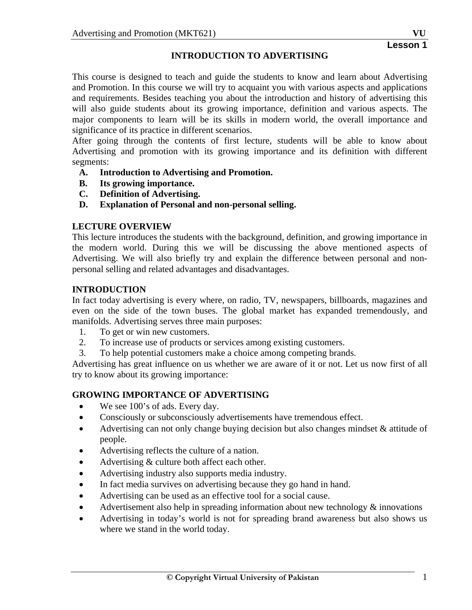## **INTRODUCTION TO ADVERTISING**

This course is designed to teach and guide the students to know and learn about Advertising and Promotion. In this course we will try to acquaint you with various aspects and applications and requirements. Besides teaching you about the introduction and history of advertising this will also guide students about its growing importance, definition and various aspects. The major components to learn will be its skills in modern world, the overall importance and significance of its practice in different scenarios.

After going through the contents of first lecture, students will be able to know about Advertising and promotion with its growing importance and its definition with different segments:

- **A. Introduction to Advertising and Promotion.**
- **B. Its growing importance.**
- **C. Definition of Advertising.**
- **D. Explanation of Personal and non-personal selling.**

## **LECTURE OVERVIEW**

This lecture introduces the students with the background, definition, and growing importance in the modern world. During this we will be discussing the above mentioned aspects of Advertising. We will also briefly try and explain the difference between personal and nonpersonal selling and related advantages and disadvantages.

## **INTRODUCTION**

In fact today advertising is every where, on radio, TV, newspapers, billboards, magazines and even on the side of the town buses. The global market has expanded tremendously, and manifolds. Advertising serves three main purposes:

- 1. To get or win new customers.
- 2. To increase use of products or services among existing customers.
- 3. To help potential customers make a choice among competing brands.

Advertising has great influence on us whether we are aware of it or not. Let us now first of all try to know about its growing importance:

## **GROWING IMPORTANCE OF ADVERTISING**

- We see 100's of ads. Every day.
- Consciously or subconsciously advertisements have tremendous effect.
- Advertising can not only change buying decision but also changes mindset & attitude of people.
- Advertising reflects the culture of a nation.
- Advertising & culture both affect each other.
- Advertising industry also supports media industry.
- In fact media survives on advertising because they go hand in hand.
- Advertising can be used as an effective tool for a social cause.
- Advertisement also help in spreading information about new technology & innovations
- Advertising in today's world is not for spreading brand awareness but also shows us where we stand in the world today.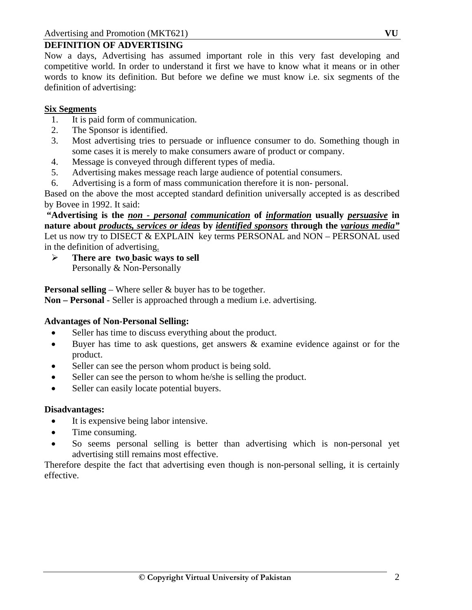## **DEFINITION OF ADVERTISING**

Now a days, Advertising has assumed important role in this very fast developing and competitive world. In order to understand it first we have to know what it means or in other words to know its definition. But before we define we must know i.e. six segments of the definition of advertising:

#### **Six Segments**

- 1. It is paid form of communication.
- 2. The Sponsor is identified.
- 3. Most advertising tries to persuade or influence consumer to do. Something though in some cases it is merely to make consumers aware of product or company.
- 4. Message is conveyed through different types of media.
- 5. Advertising makes message reach large audience of potential consumers.
- 6. Advertising is a form of mass communication therefore it is non- personal.

Based on the above the most accepted standard definition universally accepted is as described by Bovee in 1992. It said:

 **"Advertising is the** *non - personal communication* **of** *information* **usually** *persuasive* **in nature about** *products, services or ideas* **by** *identified sponsors* **through the** *various media"* Let us now try to DISECT & EXPLAIN key terms PERSONAL and NON – PERSONAL used in the definition of advertising.

¾ **There are two basic ways to sell**  Personally & Non-Personally

**Personal selling** – Where seller & buyer has to be together.

**Non – Personal** - Seller is approached through a medium i.e. advertising.

## **Advantages of Non-Personal Selling:**

- Seller has time to discuss everything about the product.
- Buyer has time to ask questions, get answers & examine evidence against or for the product.
- Seller can see the person whom product is being sold.
- Seller can see the person to whom he/she is selling the product.
- Seller can easily locate potential buyers.

#### **Disadvantages:**

- It is expensive being labor intensive.
- Time consuming.
- So seems personal selling is better than advertising which is non-personal yet advertising still remains most effective.

Therefore despite the fact that advertising even though is non-personal selling, it is certainly effective.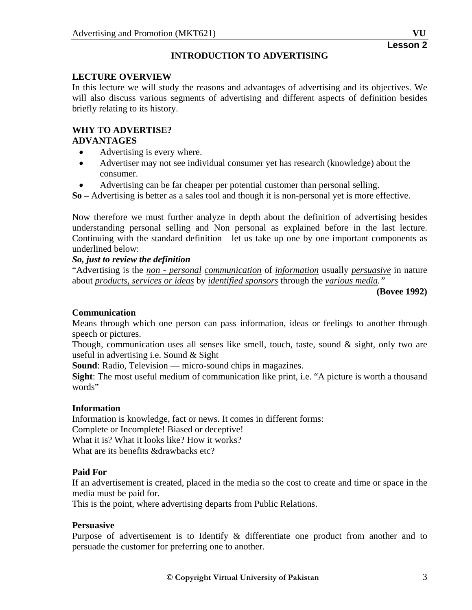## **LECTURE OVERVIEW**

In this lecture we will study the reasons and advantages of advertising and its objectives. We will also discuss various segments of advertising and different aspects of definition besides briefly relating to its history.

#### **WHY TO ADVERTISE? ADVANTAGES**

- Advertising is every where.
- Advertiser may not see individual consumer yet has research (knowledge) about the consumer.
- Advertising can be far cheaper per potential customer than personal selling.

**So –** Advertising is better as a sales tool and though it is non-personal yet is more effective.

Now therefore we must further analyze in depth about the definition of advertising besides understanding personal selling and Non personal as explained before in the last lecture. Continuing with the standard definition let us take up one by one important components as underlined below:

#### *So, just to review the definition*

"Advertising is the *non - personal communication* of *information* usually *persuasive* in nature about *products, services or ideas* by *identified sponsors* through the *various media."*

**(Bovee 1992)** 

#### **Communication**

Means through which one person can pass information, ideas or feelings to another through speech or pictures.

Though, communication uses all senses like smell, touch, taste, sound  $\&$  sight, only two are useful in advertising i.e. Sound & Sight

**Sound:** Radio, Television — micro-sound chips in magazines.

**Sight**: The most useful medium of communication like print, i.e. "A picture is worth a thousand words"

#### **Information**

Information is knowledge, fact or news. It comes in different forms: Complete or Incomplete! Biased or deceptive! What it is? What it looks like? How it works? What are its benefits &drawbacks etc?

#### **Paid For**

If an advertisement is created, placed in the media so the cost to create and time or space in the media must be paid for.

This is the point, where advertising departs from Public Relations.

#### **Persuasive**

Purpose of advertisement is to Identify & differentiate one product from another and to persuade the customer for preferring one to another.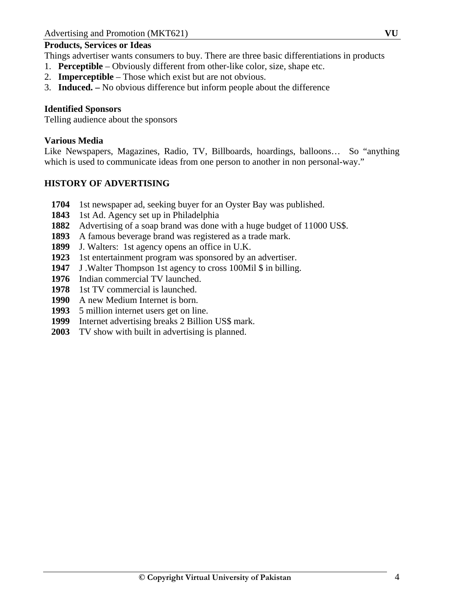#### **Products, Services or Ideas**

Things advertiser wants consumers to buy. There are three basic differentiations in products

- 1. **Perceptible** Obviously different from other-like color, size, shape etc.
- 2. **Imperceptible** Those which exist but are not obvious.
- 3. **Induced.** No obvious difference but inform people about the difference

## **Identified Sponsors**

Telling audience about the sponsors

## **Various Media**

Like Newspapers, Magazines, Radio, TV, Billboards, hoardings, balloons… So "anything which is used to communicate ideas from one person to another in non personal-way."

## **HISTORY OF ADVERTISING**

- **1704** 1st newspaper ad, seeking buyer for an Oyster Bay was published.
- **1843** 1st Ad. Agency set up in Philadelphia
- **1882** Advertising of a soap brand was done with a huge budget of 11000 US\$.
- **1893** A famous beverage brand was registered as a trade mark.
- **1899** J. Walters: 1st agency opens an office in U.K.
- **1923** 1st entertainment program was sponsored by an advertiser.
- **1947** J .Walter Thompson 1st agency to cross 100Mil \$ in billing.
- **1976** Indian commercial TV launched.
- **1978** 1st TV commercial is launched.
- **1990** A new Medium Internet is born.
- **1993** 5 million internet users get on line.
- **1999** Internet advertising breaks 2 Billion US\$ mark.
- **2003** TV show with built in advertising is planned.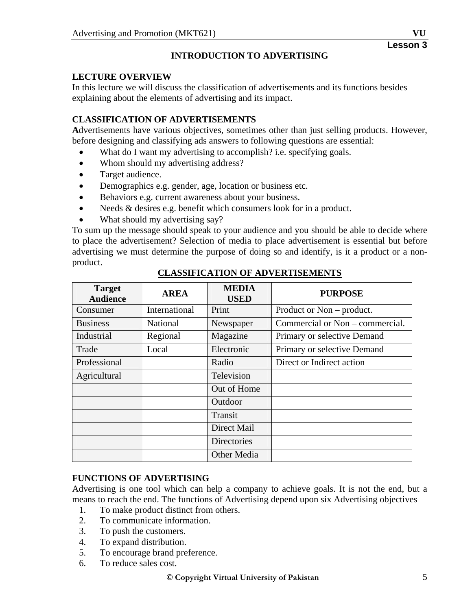## **LECTURE OVERVIEW**

In this lecture we will discuss the classification of advertisements and its functions besides explaining about the elements of advertising and its impact.

## **CLASSIFICATION OF ADVERTISEMENTS**

**A**dvertisements have various objectives, sometimes other than just selling products. However, before designing and classifying ads answers to following questions are essential:

- What do I want my advertising to accomplish? i.e. specifying goals.
- Whom should my advertising address?
- Target audience.
- Demographics e.g. gender, age, location or business etc.
- Behaviors e.g. current awareness about your business.
- Needs & desires e.g. benefit which consumers look for in a product.
- What should my advertising say?

To sum up the message should speak to your audience and you should be able to decide where to place the advertisement? Selection of media to place advertisement is essential but before advertising we must determine the purpose of doing so and identify, is it a product or a nonproduct.

| <b>Target</b><br><b>Audience</b> | <b>AREA</b>     | <b>MEDIA</b><br><b>USED</b> | <b>PURPOSE</b>                  |
|----------------------------------|-----------------|-----------------------------|---------------------------------|
| Consumer                         | International   | Print                       | Product or Non – product.       |
| <b>Business</b>                  | <b>National</b> | Newspaper                   | Commercial or Non - commercial. |
| Industrial                       | Regional        | Magazine                    | Primary or selective Demand     |
| Trade                            | Local           | Electronic                  | Primary or selective Demand     |
| Professional                     |                 | Radio                       | Direct or Indirect action       |
| Agricultural                     |                 | Television                  |                                 |
|                                  |                 | Out of Home                 |                                 |
|                                  |                 | Outdoor                     |                                 |
|                                  |                 | Transit                     |                                 |
|                                  |                 | Direct Mail                 |                                 |
|                                  |                 | Directories                 |                                 |
|                                  |                 | Other Media                 |                                 |

## **CLASSIFICATION OF ADVERTISEMENTS**

## **FUNCTIONS OF ADVERTISING**

Advertising is one tool which can help a company to achieve goals. It is not the end, but a means to reach the end. The functions of Advertising depend upon six Advertising objectives

- 1. To make product distinct from others.
- 2. To communicate information.
- 3. To push the customers.
- 4. To expand distribution.
- 5. To encourage brand preference.
- 6. To reduce sales cost.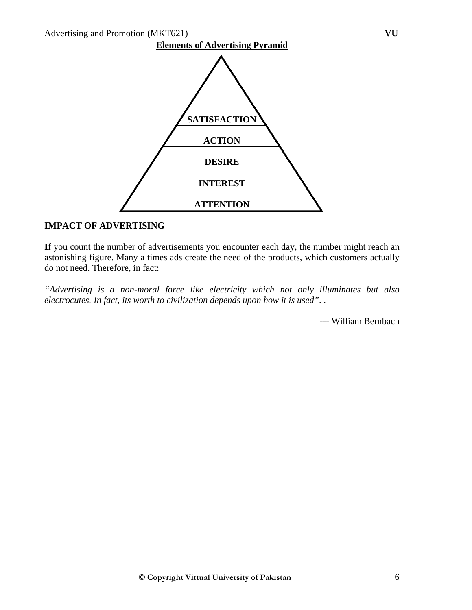

## **IMPACT OF ADVERTISING**

**I**f you count the number of advertisements you encounter each day, the number might reach an astonishing figure. Many a times ads create the need of the products, which customers actually do not need. Therefore, in fact:

*"Advertising is a non-moral force like electricity which not only illuminates but also electrocutes. In fact, its worth to civilization depends upon how it is used". .* 

--- William Bernbach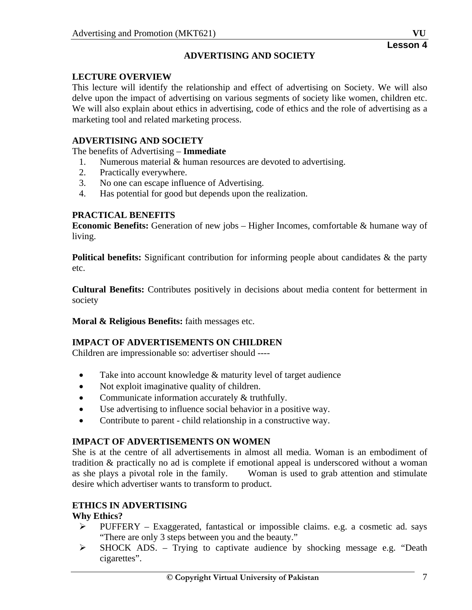## **ADVERTISING AND SOCIETY**

## **LECTURE OVERVIEW**

This lecture will identify the relationship and effect of advertising on Society. We will also delve upon the impact of advertising on various segments of society like women, children etc. We will also explain about ethics in advertising, code of ethics and the role of advertising as a marketing tool and related marketing process.

## **ADVERTISING AND SOCIETY**

The benefits of Advertising – **Immediate**

- 1. Numerous material & human resources are devoted to advertising.
- 2. Practically everywhere.
- 3. No one can escape influence of Advertising.
- 4. Has potential for good but depends upon the realization.

## **PRACTICAL BENEFITS**

**Economic Benefits:** Generation of new jobs – Higher Incomes, comfortable & humane way of living.

**Political benefits:** Significant contribution for informing people about candidates & the party etc.

**Cultural Benefits:** Contributes positively in decisions about media content for betterment in society

**Moral & Religious Benefits:** faith messages etc.

## **IMPACT OF ADVERTISEMENTS ON CHILDREN**

Children are impressionable so: advertiser should ----

- Take into account knowledge & maturity level of target audience
- Not exploit imaginative quality of children.
- Communicate information accurately & truthfully.
- Use advertising to influence social behavior in a positive way.
- Contribute to parent child relationship in a constructive way.

## **IMPACT OF ADVERTISEMENTS ON WOMEN**

She is at the centre of all advertisements in almost all media. Woman is an embodiment of tradition & practically no ad is complete if emotional appeal is underscored without a woman as she plays a pivotal role in the family. Woman is used to grab attention and stimulate desire which advertiser wants to transform to product.

## **ETHICS IN ADVERTISING**

## **Why Ethics?**

- $\triangleright$  PUFFERY Exaggerated, fantastical or impossible claims. e.g. a cosmetic ad. says "There are only 3 steps between you and the beauty."
- ¾ SHOCK ADS. Trying to captivate audience by shocking message e.g. "Death cigarettes".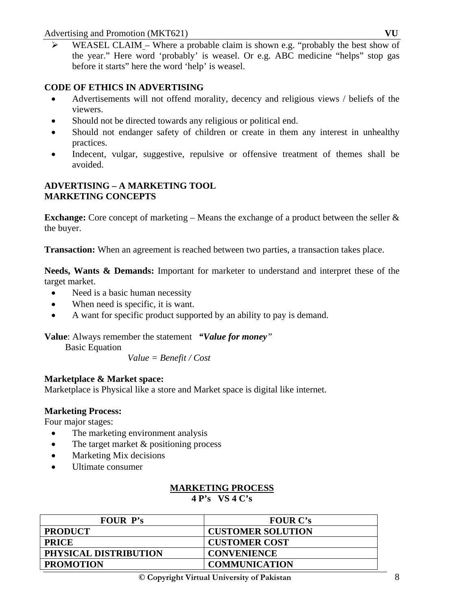WEASEL CLAIM – Where a probable claim is shown e.g. "probably the best show of the year." Here word 'probably' is weasel. Or e.g. ABC medicine "helps" stop gas before it starts" here the word 'help' is weasel.

## **CODE OF ETHICS IN ADVERTISING**

- Advertisements will not offend morality, decency and religious views / beliefs of the viewers.
- Should not be directed towards any religious or political end.
- Should not endanger safety of children or create in them any interest in unhealthy practices.
- Indecent, vulgar, suggestive, repulsive or offensive treatment of themes shall be avoided.

#### **ADVERTISING – A MARKETING TOOL MARKETING CONCEPTS**

**Exchange:** Core concept of marketing – Means the exchange of a product between the seller  $\&$ the buyer.

**Transaction:** When an agreement is reached between two parties, a transaction takes place.

**Needs, Wants & Demands:** Important for marketer to understand and interpret these of the target market.

- Need is a basic human necessity
- When need is specific, it is want.
- A want for specific product supported by an ability to pay is demand.

**Value**: Always remember the statement *"Value for money"* 

Basic Equation

*Value = Benefit / Cost* 

## **Marketplace & Market space:**

Marketplace is Physical like a store and Market space is digital like internet.

## **Marketing Process:**

Four major stages:

- The marketing environment analysis
- The target market & positioning process
- Marketing Mix decisions
- Ultimate consumer

#### **MARKETING PROCESS 4 P's VS 4 C's**

| <b>FOUR P's</b>       | <b>FOUR C's</b>          |
|-----------------------|--------------------------|
| <b>PRODUCT</b>        | <b>CUSTOMER SOLUTION</b> |
| <b>PRICE</b>          | <b>CUSTOMER COST</b>     |
| PHYSICAL DISTRIBUTION | <b>CONVENIENCE</b>       |
| <b>PROMOTION</b>      | <b>COMMUNICATION</b>     |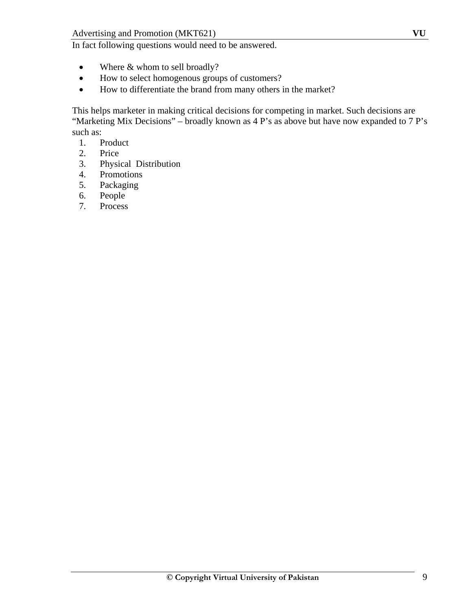In fact following questions would need to be answered.

- Where & whom to sell broadly?
- How to select homogenous groups of customers?
- How to differentiate the brand from many others in the market?

This helps marketer in making critical decisions for competing in market. Such decisions are "Marketing Mix Decisions" – broadly known as  $4 P$ 's as above but have now expanded to  $7 P$ 's such as:

- 1. Product
- 2. Price
- 3. Physical Distribution
- 4. Promotions
- 5. Packaging
- 6. People
- 7. Process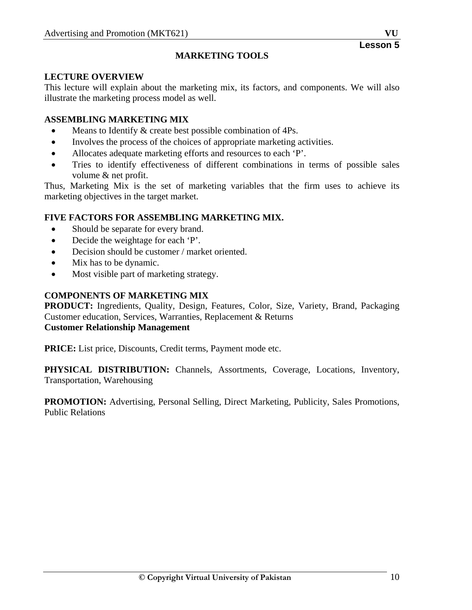#### **MARKETING TOOLS**

#### **LECTURE OVERVIEW**

This lecture will explain about the marketing mix, its factors, and components. We will also illustrate the marketing process model as well.

#### **ASSEMBLING MARKETING MIX**

- Means to Identify & create best possible combination of 4Ps.
- Involves the process of the choices of appropriate marketing activities.
- Allocates adequate marketing efforts and resources to each 'P'.
- Tries to identify effectiveness of different combinations in terms of possible sales volume & net profit.

Thus, Marketing Mix is the set of marketing variables that the firm uses to achieve its marketing objectives in the target market.

#### **FIVE FACTORS FOR ASSEMBLING MARKETING MIX.**

- Should be separate for every brand.
- Decide the weightage for each 'P'.
- Decision should be customer / market oriented.
- Mix has to be dynamic.
- Most visible part of marketing strategy.

#### **COMPONENTS OF MARKETING MIX**

**PRODUCT:** Ingredients, Quality, Design, Features, Color, Size, Variety, Brand, Packaging Customer education, Services, Warranties, Replacement & Returns **Customer Relationship Management** 

**PRICE:** List price, Discounts, Credit terms, Payment mode etc.

PHYSICAL DISTRIBUTION: Channels, Assortments, Coverage, Locations, Inventory, Transportation, Warehousing

**PROMOTION:** Advertising, Personal Selling, Direct Marketing, Publicity, Sales Promotions, Public Relations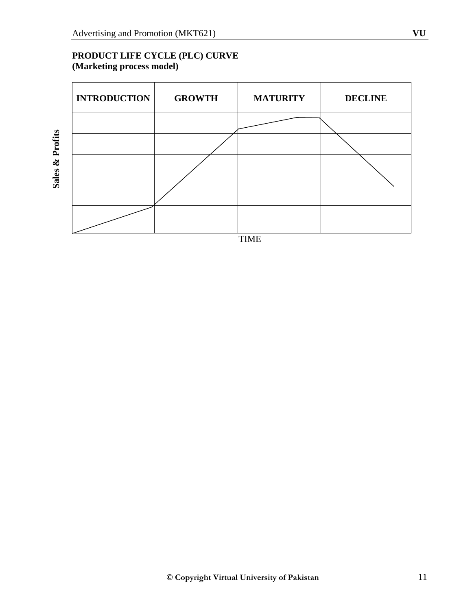#### **PRODUCT LIFE CYCLE (PLC) CURVE (Marketing process model)**

| <b>INTRODUCTION</b> | <b>GROWTH</b> | <b>MATURITY</b> | <b>DECLINE</b> |
|---------------------|---------------|-----------------|----------------|
|                     |               |                 |                |
|                     |               |                 |                |
|                     |               |                 |                |
|                     |               |                 |                |
|                     |               |                 |                |
|                     |               | <b>TIME</b>     |                |

Sales & Profits **Sales & Profits**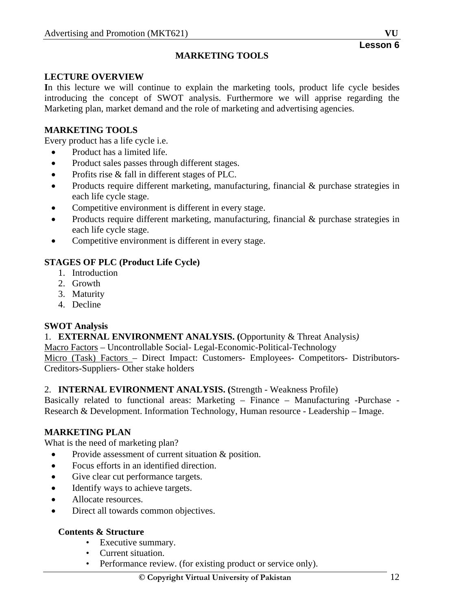#### **MARKETING TOOLS**

#### **LECTURE OVERVIEW**

**I**n this lecture we will continue to explain the marketing tools, product life cycle besides introducing the concept of SWOT analysis. Furthermore we will apprise regarding the Marketing plan, market demand and the role of marketing and advertising agencies.

#### **MARKETING TOOLS**

Every product has a life cycle i.e.

- Product has a limited life.
- Product sales passes through different stages.
- Profits rise & fall in different stages of PLC.
- Products require different marketing, manufacturing, financial & purchase strategies in each life cycle stage.
- Competitive environment is different in every stage.
- Products require different marketing, manufacturing, financial & purchase strategies in each life cycle stage.
- Competitive environment is different in every stage.

#### **STAGES OF PLC (Product Life Cycle)**

- 1. Introduction
- 2. Growth
- 3. Maturity
- 4. Decline

#### **SWOT Analysis**

1. **EXTERNAL ENVIRONMENT ANALYSIS. (**Opportunity & Threat Analysis*)* 

Macro Factors – Uncontrollable Social- Legal-Economic-Political-Technology

Micro (Task) Factors – Direct Impact: Customers- Employees- Competitors- Distributors-Creditors-Suppliers- Other stake holders

#### 2. **INTERNAL EVIRONMENT ANALYSIS. (**Strength - Weakness Profile)

Basically related to functional areas: Marketing – Finance – Manufacturing -Purchase - Research & Development. Information Technology, Human resource - Leadership – Image.

#### **MARKETING PLAN**

What is the need of marketing plan?

- Provide assessment of current situation & position.
- Focus efforts in an identified direction.
- Give clear cut performance targets.
- Identify ways to achieve targets.
- Allocate resources.
- Direct all towards common objectives.

#### **Contents & Structure**

- Executive summary.
- Current situation.
- Performance review. (for existing product or service only).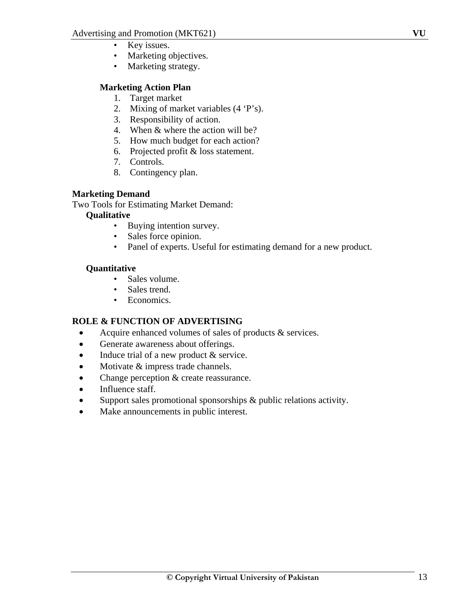- Key issues.
- Marketing objectives.
- Marketing strategy.

## **Marketing Action Plan**

- 1. Target market
- 2. Mixing of market variables (4 'P's).
- 3. Responsibility of action.
- 4. When & where the action will be?
- 5. How much budget for each action?
- 6. Projected profit & loss statement.
- 7. Controls.
- 8. Contingency plan.

## **Marketing Demand**

Two Tools for Estimating Market Demand:

## **Qualitative**

- Buying intention survey.
	- Sales force opinion.
- Panel of experts. Useful for estimating demand for a new product.

## **Quantitative**

- Sales volume.
- Sales trend.
- Economics.

## **ROLE & FUNCTION OF ADVERTISING**

- Acquire enhanced volumes of sales of products & services.
- Generate awareness about offerings.
- Induce trial of a new product & service.
- Motivate & impress trade channels.
- Change perception & create reassurance.
- Influence staff.
- Support sales promotional sponsorships & public relations activity.
- Make announcements in public interest.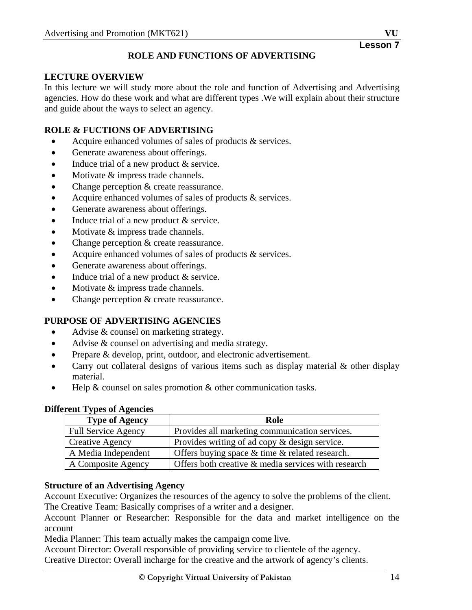## **ROLE AND FUNCTIONS OF ADVERTISING**

#### **LECTURE OVERVIEW**

In this lecture we will study more about the role and function of Advertising and Advertising agencies. How do these work and what are different types .We will explain about their structure and guide about the ways to select an agency.

#### **ROLE & FUCTIONS OF ADVERTISING**

- Acquire enhanced volumes of sales of products & services.
- Generate awareness about offerings.
- Induce trial of a new product  $&$  service.
- Motivate  $&$  impress trade channels.
- Change perception  $&$  create reassurance.
- Acquire enhanced volumes of sales of products & services.
- Generate awareness about offerings.
- Induce trial of a new product  $&$  service.
- Motivate & impress trade channels.
- Change perception  $&$  create reassurance.
- Acquire enhanced volumes of sales of products & services.
- Generate awareness about offerings.
- Induce trial of a new product  $&$  service.
- Motivate  $&$  impress trade channels.
- Change perception & create reassurance.

## **PURPOSE OF ADVERTISING AGENCIES**

- Advise & counsel on marketing strategy.
- Advise & counsel on advertising and media strategy.
- Prepare & develop, print, outdoor, and electronic advertisement.
- Carry out collateral designs of various items such as display material & other display material.
- Help  $\&$  counsel on sales promotion  $\&$  other communication tasks.

#### **Different Types of Agencies**

| <b>Type of Agency</b>      | Role                                                 |
|----------------------------|------------------------------------------------------|
| <b>Full Service Agency</b> | Provides all marketing communication services.       |
| <b>Creative Agency</b>     | Provides writing of ad copy & design service.        |
| A Media Independent        | Offers buying space $\&$ time $\&$ related research. |
| A Composite Agency         | Offers both creative & media services with research  |

#### **Structure of an Advertising Agency**

Account Executive: Organizes the resources of the agency to solve the problems of the client. The Creative Team: Basically comprises of a writer and a designer.

Account Planner or Researcher: Responsible for the data and market intelligence on the account

Media Planner: This team actually makes the campaign come live.

Account Director: Overall responsible of providing service to clientele of the agency. Creative Director: Overall incharge for the creative and the artwork of agency's clients.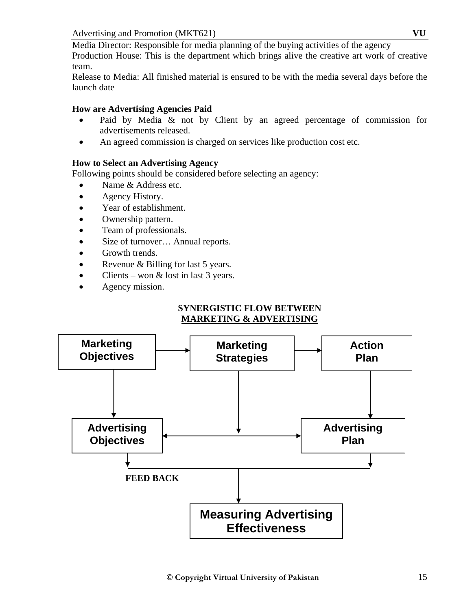Media Director: Responsible for media planning of the buying activities of the agency Production House: This is the department which brings alive the creative art work of creative team.

Release to Media: All finished material is ensured to be with the media several days before the launch date

## **How are Advertising Agencies Paid**

- Paid by Media & not by Client by an agreed percentage of commission for advertisements released.
- An agreed commission is charged on services like production cost etc.

## **How to Select an Advertising Agency**

Following points should be considered before selecting an agency:

- Name & Address etc.
- Agency History.
- Year of establishment.
- Ownership pattern.
- Team of professionals.
- Size of turnover... Annual reports.
- Growth trends.
- Revenue & Billing for last 5 years.
- Clients won  $&$  lost in last 3 years.
- Agency mission.

## **SYNERGISTIC FLOW BETWEEN MARKETING & ADVERTISING**

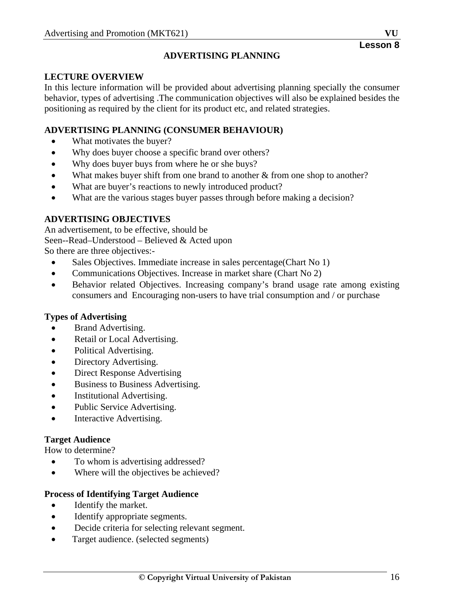#### **ADVERTISING PLANNING**

#### **LECTURE OVERVIEW**

In this lecture information will be provided about advertising planning specially the consumer behavior, types of advertising .The communication objectives will also be explained besides the positioning as required by the client for its product etc, and related strategies.

#### **ADVERTISING PLANNING (CONSUMER BEHAVIOUR)**

- What motivates the buyer?
- Why does buyer choose a specific brand over others?
- Why does buyer buys from where he or she buys?
- What makes buyer shift from one brand to another & from one shop to another?
- What are buyer's reactions to newly introduced product?
- What are the various stages buyer passes through before making a decision?

#### **ADVERTISING OBJECTIVES**

An advertisement, to be effective, should be Seen--Read–Understood – Believed & Acted upon So there are three objectives:-

- Sales Objectives. Immediate increase in sales percentage(Chart No 1)
- Communications Objectives. Increase in market share (Chart No 2)
- Behavior related Objectives. Increasing company's brand usage rate among existing consumers and Encouraging non-users to have trial consumption and / or purchase

#### **Types of Advertising**

- Brand Advertising.
- Retail or Local Advertising.
- Political Advertising.
- Directory Advertising.
- Direct Response Advertising
- Business to Business Advertising.
- Institutional Advertising.
- Public Service Advertising.
- Interactive Advertising.

#### **Target Audience**

How to determine?

- To whom is advertising addressed?
- Where will the objectives be achieved?

## **Process of Identifying Target Audience**

- Identify the market.
- Identify appropriate segments.
- Decide criteria for selecting relevant segment.
- Target audience. (selected segments)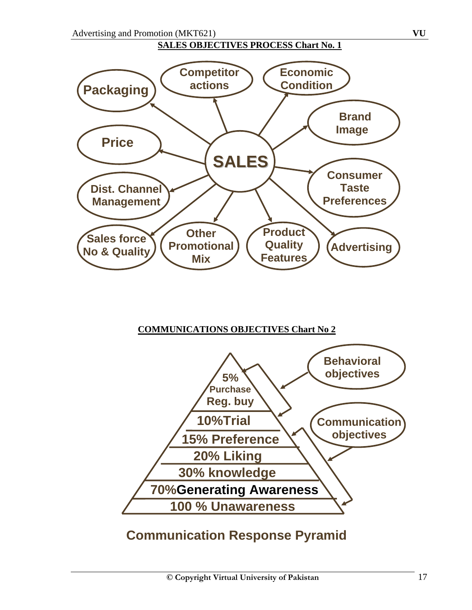

 **COMMUNICATIONS OBJECTIVES Chart No 2**



# **Communication Response Pyramid**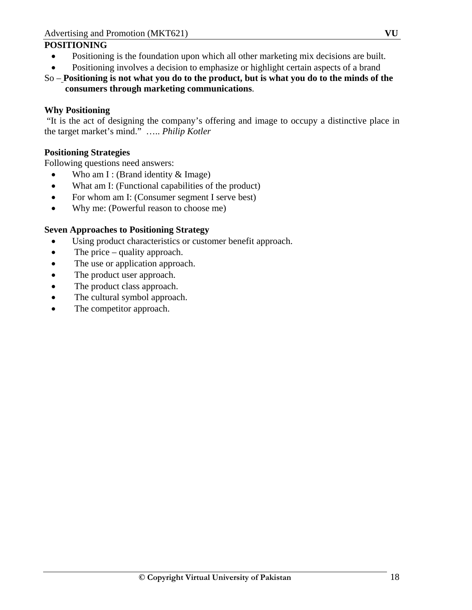## **POSITIONING**

- Positioning is the foundation upon which all other marketing mix decisions are built.
- Positioning involves a decision to emphasize or highlight certain aspects of a brand
- So **Positioning is not what you do to the product, but is what you do to the minds of the consumers through marketing communications**.

## **Why Positioning**

 "It is the act of designing the company's offering and image to occupy a distinctive place in the target market's mind." ….. *Philip Kotler*

## **Positioning Strategies**

Following questions need answers:

- Who am I : (Brand identity  $&$  Image)
- What am I: (Functional capabilities of the product)
- For whom am I: (Consumer segment I serve best)
- Why me: (Powerful reason to choose me)

## **Seven Approaches to Positioning Strategy**

- Using product characteristics or customer benefit approach.
- The price quality approach.
- The use or application approach.
- The product user approach.
- The product class approach.
- The cultural symbol approach.
- The competitor approach.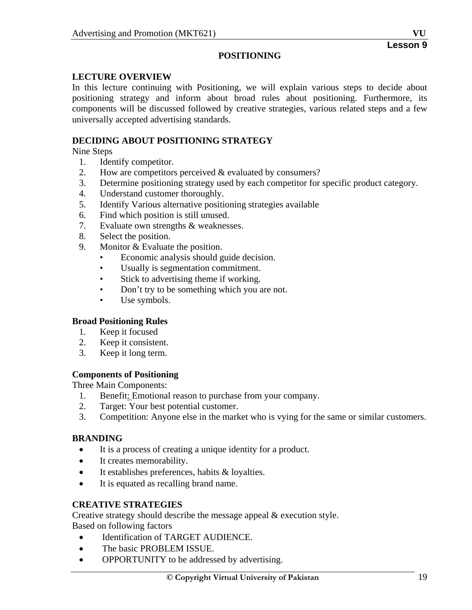#### **POSITIONING**

## **LECTURE OVERVIEW**

In this lecture continuing with Positioning, we will explain various steps to decide about positioning strategy and inform about broad rules about positioning. Furthermore, its components will be discussed followed by creative strategies, various related steps and a few universally accepted advertising standards.

## **DECIDING ABOUT POSITIONING STRATEGY**

Nine Steps

- 1. Identify competitor.
- 2. How are competitors perceived & evaluated by consumers?
- 3. Determine positioning strategy used by each competitor for specific product category.
- 4. Understand customer thoroughly.
- 5. Identify Various alternative positioning strategies available
- 6. Find which position is still unused.
- 7. Evaluate own strengths & weaknesses.
- 8. Select the position.
- 9. Monitor & Evaluate the position.
	- Economic analysis should guide decision.
	- Usually is segmentation commitment.
	- Stick to advertising theme if working.
	- Don't try to be something which you are not.
	- Use symbols.

## **Broad Positioning Rules**

- 1. Keep it focused
- 2. Keep it consistent.
- 3. Keep it long term.

## **Components of Positioning**

Three Main Components:

- 1. Benefit: Emotional reason to purchase from your company.
- 2. Target: Your best potential customer.
- 3. Competition: Anyone else in the market who is vying for the same or similar customers.

## **BRANDING**

- It is a process of creating a unique identity for a product.
- It creates memorability.
- It establishes preferences, habits & loyalties.
- It is equated as recalling brand name.

## **CREATIVE STRATEGIES**

Creative strategy should describe the message appeal & execution style. Based on following factors

- Identification of TARGET AUDIENCE.
- The basic PROBLEM ISSUE.
- OPPORTUNITY to be addressed by advertising.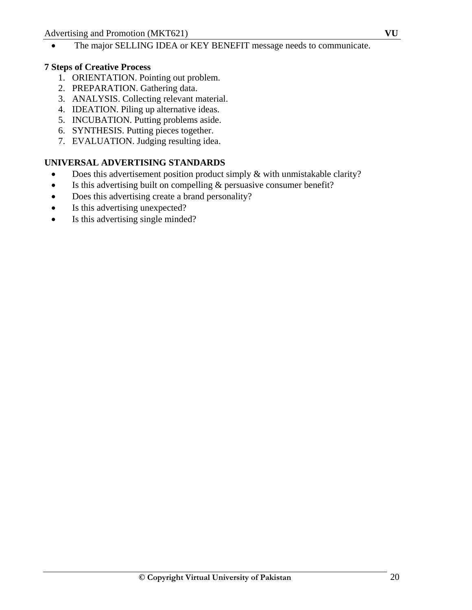The major SELLING IDEA or KEY BENEFIT message needs to communicate.

## **7 Steps of Creative Process**

- 1. ORIENTATION. Pointing out problem.
- 2. PREPARATION. Gathering data.
- 3. ANALYSIS. Collecting relevant material.
- 4. IDEATION. Piling up alternative ideas.
- 5. INCUBATION. Putting problems aside.
- 6. SYNTHESIS. Putting pieces together.
- 7. EVALUATION. Judging resulting idea.

## **UNIVERSAL ADVERTISING STANDARDS**

- Does this advertisement position product simply & with unmistakable clarity?
- Is this advertising built on compelling & persuasive consumer benefit?
- Does this advertising create a brand personality?
- Is this advertising unexpected?
- Is this advertising single minded?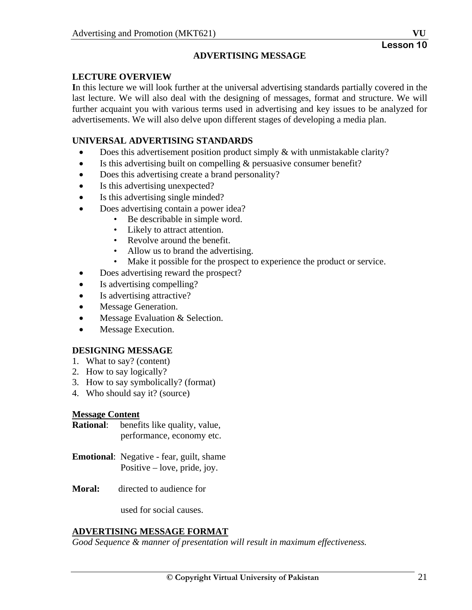## **ADVERTISING MESSAGE**

## **LECTURE OVERVIEW**

**I**n this lecture we will look further at the universal advertising standards partially covered in the last lecture. We will also deal with the designing of messages, format and structure. We will further acquaint you with various terms used in advertising and key issues to be analyzed for advertisements. We will also delve upon different stages of developing a media plan.

## **UNIVERSAL ADVERTISING STANDARDS**

- Does this advertisement position product simply & with unmistakable clarity?
- Is this advertising built on compelling  $&$  persuasive consumer benefit?
- Does this advertising create a brand personality?
- Is this advertising unexpected?
- Is this advertising single minded?
- Does advertising contain a power idea?
	- Be describable in simple word.
	- Likely to attract attention.
	- Revolve around the benefit.
	- Allow us to brand the advertising.
	- Make it possible for the prospect to experience the product or service.
- Does advertising reward the prospect?
- Is advertising compelling?
- Is advertising attractive?
- Message Generation.
- Message Evaluation & Selection.
- Message Execution.

## **DESIGNING MESSAGE**

- 1. What to say? (content)
- 2. How to say logically?
- 3. How to say symbolically? (format)
- 4. Who should say it? (source)

## **Message Content**

- **Rational**: benefits like quality, value, performance, economy etc.
- **Emotional**: Negative fear, guilt, shame Positive – love, pride, joy.
- **Moral:** directed to audience for

used for social causes.

## **ADVERTISING MESSAGE FORMAT**

*Good Sequence & manner of presentation will result in maximum effectiveness.*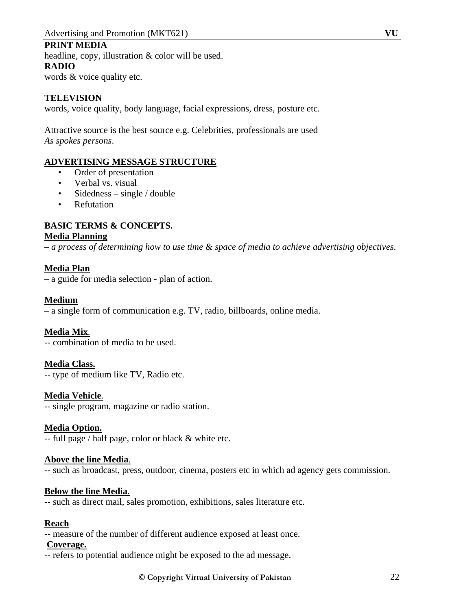## **PRINT MEDIA**

headline, copy, illustration & color will be used. **RADIO**  words & voice quality etc.

## **TELEVISION**

words, voice quality, body language, facial expressions, dress, posture etc.

Attractive source is the best source e.g. Celebrities, professionals are used *As spokes persons*.

#### **ADVERTISING MESSAGE STRUCTURE**

- Order of presentation
- Verbal vs. visual
- Sidedness single / double
- Refutation

# **BASIC TERMS & CONCEPTS.**

#### **Media Planning**

– *a process of determining how to use time & space of media to achieve advertising objectives*.

#### **Media Plan**

– a guide for media selection - plan of action.

#### **Medium**

– a single form of communication e.g. TV, radio, billboards, online media.

## **Media Mix**.

-- combination of media to be used.

## **Media Class.**

-- type of medium like TV, Radio etc.

#### **Media Vehicle**.

-- single program, magazine or radio station.

## **Media Option.**

-- full page / half page, color or black & white etc.

## **Above the line Media**.

-- such as broadcast, press, outdoor, cinema, posters etc in which ad agency gets commission.

## **Below the line Media**.

-- such as direct mail, sales promotion, exhibitions, sales literature etc.

#### **Reach**

-- measure of the number of different audience exposed at least once.

#### **Coverage.**

-- refers to potential audience might be exposed to the ad message.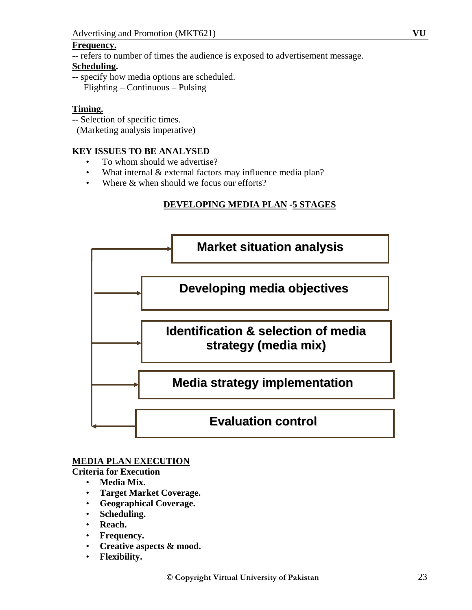## **Frequency.**

-- refers to number of times the audience is exposed to advertisement message.

#### **Scheduling.**

-- specify how media options are scheduled. Flighting – Continuous – Pulsing

## **Timing.**

-- Selection of specific times.

(Marketing analysis imperative)

## **KEY ISSUES TO BE ANALYSED**

- To whom should we advertise?
- What internal & external factors may influence media plan?
- Where  $&$  when should we focus our efforts?

## **DEVELOPING MEDIA PLAN** *-***5 STAGES**



## **MEDIA PLAN EXECUTION**

**Criteria for Execution** 

- **Media Mix.**
- **Target Market Coverage.**
- **Geographical Coverage.**
- **Scheduling.**
- **Reach.**
- **Frequency.**
- **Creative aspects & mood.**
- **Flexibility.**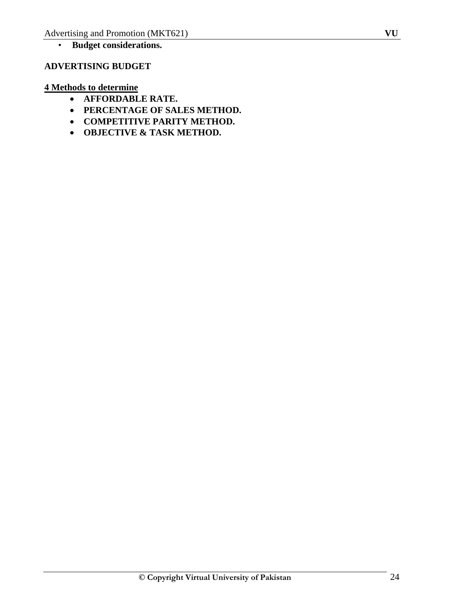## • **Budget considerations.**

## **ADVERTISING BUDGET**

#### **4 Methods to determine**

- **AFFORDABLE RATE.**
- **PERCENTAGE OF SALES METHOD.**
- **COMPETITIVE PARITY METHOD.**
- **OBJECTIVE & TASK METHOD.**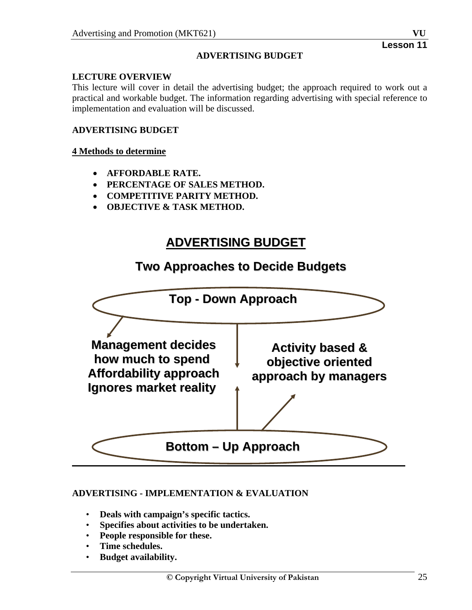#### **ADVERTISING BUDGET**

#### **LECTURE OVERVIEW**

This lecture will cover in detail the advertising budget; the approach required to work out a practical and workable budget. The information regarding advertising with special reference to implementation and evaluation will be discussed.

#### **ADVERTISING BUDGET**

#### **4 Methods to determine**

- **AFFORDABLE RATE.**
- **PERCENTAGE OF SALES METHOD.**
- **COMPETITIVE PARITY METHOD.**
- **OBJECTIVE & TASK METHOD.**

# **ADVERTISINGBUDGET**

# **Two Approaches to Decide Budgets**



#### **ADVERTISING - IMPLEMENTATION & EVALUATION**

- **Deals with campaign's specific tactics.**
- **Specifies about activities to be undertaken.**
- **People responsible for these.**
- **Time schedules.**
- **Budget availability.**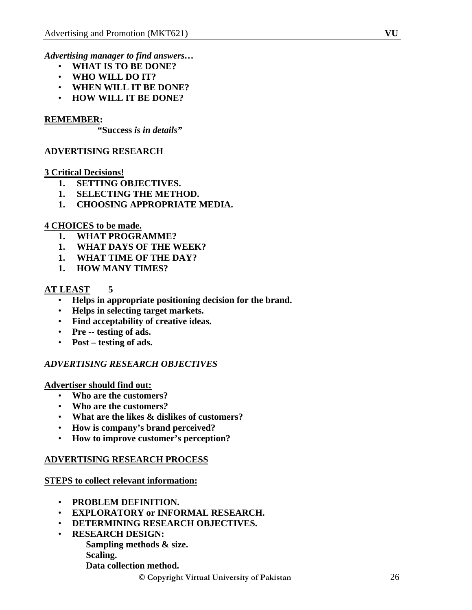*Advertising manager to find answers…* 

- **WHAT IS TO BE DONE?**
- **WHO WILL DO IT?**
- **WHEN WILL IT BE DONE?**
- **HOW WILL IT BE DONE?**

#### **REMEMBER:**

 **"Success** *is in details"* 

## **ADVERTISING RESEARCH**

#### **3 Critical Decisions!**

- **1. SETTING OBJECTIVES.**
- **1. SELECTING THE METHOD.**
- **1. CHOOSING APPROPRIATE MEDIA.**

## **4 CHOICES to be made.**

- **1. WHAT PROGRAMME?**
- **1. WHAT DAYS OF THE WEEK?**
- **1. WHAT TIME OF THE DAY?**
- **1. HOW MANY TIMES?**

## **AT LEAST 5**

- **Helps in appropriate positioning decision for the brand.**
- **Helps in selecting target markets.**
- **Find acceptability of creative ideas.**
- **Pre -- testing of ads.**
- **Post testing of ads.**

## *ADVERTISING RESEARCH OBJECTIVES*

**Advertiser should find out:**

- **Who are the customers?**
- **Who are the customers***?*
- **What are the likes & dislikes of customers?**
- **How is company's brand perceived?**
- **How to improve customer's perception?**

## **ADVERTISING RESEARCH PROCESS**

## **STEPS to collect relevant information:**

- **PROBLEM DEFINITION.**
- **EXPLORATORY or INFORMAL RESEARCH.**
- **DETERMINING RESEARCH OBJECTIVES.**
- **RESEARCH DESIGN: Sampling methods & size. Scaling.**

 **Data collection method.**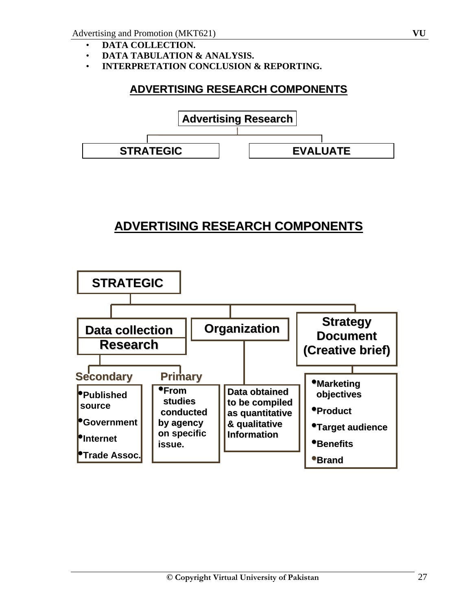- • **DATA COLLECTION.**
- • **DATA TABULATION & ANALYSIS.**
- • **INTERPRETATION CONCLUSION & REPORTING.**

## **ADVERTISING RESEARCH COMPONENTS**



# **ADVERTISING RESEARCH COMPONENTS**

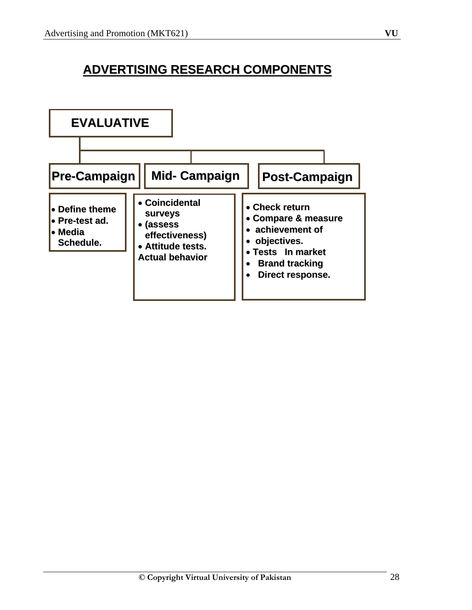# **ADVERTISING RESEARCH COMPONENTS**

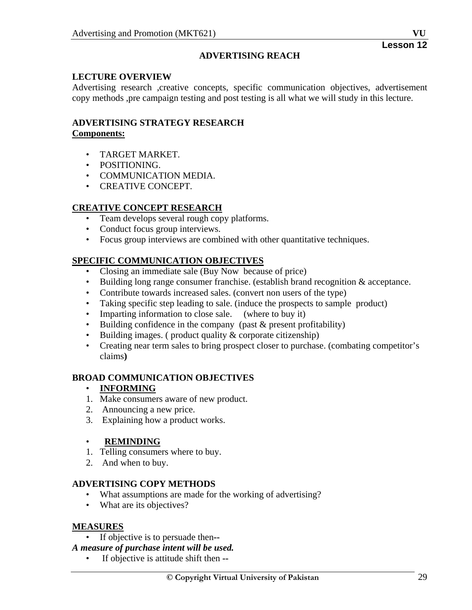#### **ADVERTISING REACH**

#### **LECTURE OVERVIEW**

Advertising research ,creative concepts, specific communication objectives, advertisement copy methods ,pre campaign testing and post testing is all what we will study in this lecture.

## **ADVERTISING STRATEGY RESEARCH Components:**

- TARGET MARKET.
- POSITIONING.
- COMMUNICATION MEDIA.
- CREATIVE CONCEPT.

## **CREATIVE CONCEPT RESEARCH**

- Team develops several rough copy platforms.
- Conduct focus group interviews.
- Focus group interviews are combined with other quantitative techniques.

#### **SPECIFIC COMMUNICATION OBJECTIVES**

- Closing an immediate sale (Buy Now because of price)
- Building long range consumer franchise. (establish brand recognition & acceptance.
- Contribute towards increased sales. (convert non users of the type)
- Taking specific step leading to sale. (induce the prospects to sample product)
- Imparting information to close sale. (where to buy it)
- Building confidence in the company (past & present profitability)
- Building images. (product quality & corporate citizenship)
- Creating near term sales to bring prospect closer to purchase. (combating competitor's claims**)**

## **BROAD COMMUNICATION OBJECTIVES**

#### • **INFORMING**

- 1. Make consumers aware of new product.
- 2. Announcing a new price.
- 3. Explaining how a product works.

#### • **REMINDING**

- 1. Telling consumers where to buy.
- 2. And when to buy.

#### **ADVERTISING COPY METHODS**

- What assumptions are made for the working of advertising?
- What are its objectives?

#### **MEASURES**

• If objective is to persuade then**--** 

## *A measure of purchase intent will be used.*

• If objective is attitude shift then **--**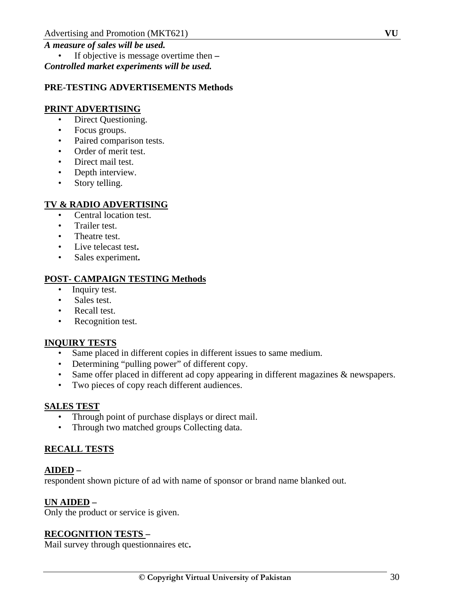• If objective is message overtime then **–**  *Controlled market experiments will be used.* 

#### **PRE-TESTING ADVERTISEMENTS Methods**

#### **PRINT ADVERTISING**

- Direct Questioning.
- Focus groups.
- Paired comparison tests.
- Order of merit test.
- Direct mail test.
- Depth interview.
- Story telling.

## **TV & RADIO ADVERTISING**

- Central location test.
- Trailer test.
- Theatre test.
- Live telecast test**.**
- Sales experiment**.**

## **POST- CAMPAIGN TESTING Methods**

- Inquiry test.
- Sales test.
- Recall test.
- Recognition test.

## **INQUIRY TESTS**

- Same placed in different copies in different issues to same medium.
- Determining "pulling power" of different copy.
- Same offer placed in different ad copy appearing in different magazines & newspapers.
- Two pieces of copy reach different audiences.

#### **SALES TEST**

- Through point of purchase displays or direct mail.
- Through two matched groups Collecting data.

## **RECALL TESTS**

## **AIDED –**

respondent shown picture of ad with name of sponsor or brand name blanked out.

## **UN AIDED –**

Only the product or service is given.

## **RECOGNITION TESTS –**

Mail survey through questionnaires etc**.**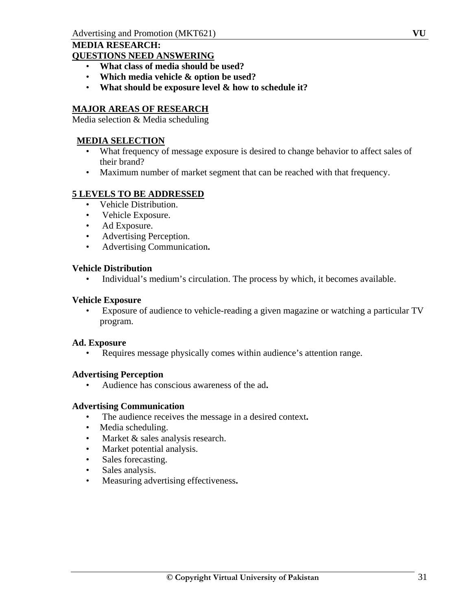## **MEDIA RESEARCH:**

#### **QUESTIONS NEED ANSWERING**

- **What class of media should be used?**
- **Which media vehicle & option be used?**
- **What should be exposure level & how to schedule it?**

#### **MAJOR AREAS OF RESEARCH**

Media selection & Media scheduling

#### **MEDIA SELECTION**

- What frequency of message exposure is desired to change behavior to affect sales of their brand?
- Maximum number of market segment that can be reached with that frequency.

#### **5 LEVELS TO BE ADDRESSED**

- Vehicle Distribution.
- Vehicle Exposure.
- Ad Exposure.
- Advertising Perception.
- Advertising Communication**.**

#### **Vehicle Distribution**

• Individual's medium's circulation. The process by which, it becomes available.

#### **Vehicle Exposure**

• Exposure of audience to vehicle-reading a given magazine or watching a particular TV program.

#### **Ad. Exposure**

• Requires message physically comes within audience's attention range.

#### **Advertising Perception**

• Audience has conscious awareness of the ad**.** 

#### **Advertising Communication**

- The audience receives the message in a desired context**.**
- Media scheduling.
- Market & sales analysis research.
- Market potential analysis.
- Sales forecasting.
- Sales analysis.
- Measuring advertising effectiveness**.**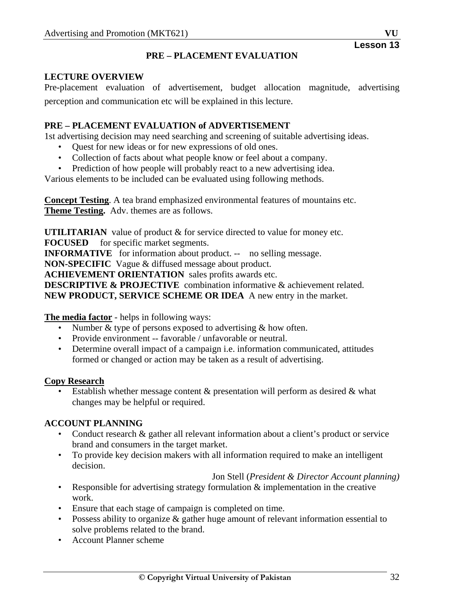#### **PRE – PLACEMENT EVALUATION**

#### **LECTURE OVERVIEW**

Pre-placement evaluation of advertisement, budget allocation magnitude, advertising perception and communication etc will be explained in this lecture.

#### **PRE – PLACEMENT EVALUATION of ADVERTISEMENT**

1st advertising decision may need searching and screening of suitable advertising ideas.

- Quest for new ideas or for new expressions of old ones.
- Collection of facts about what people know or feel about a company.
- Prediction of how people will probably react to a new advertising idea.

Various elements to be included can be evaluated using following methods.

**Concept Testing**. A tea brand emphasized environmental features of mountains etc. **Theme Testing.** Adv. themes are as follows.

**UTILITARIAN** value of product & for service directed to value for money etc.

**FOCUSED** for specific market segments.

**INFORMATIVE** for information about product. -- no selling message.

**NON-SPECIFIC** Vague & diffused message about product.

**ACHIEVEMENT ORIENTATION** sales profits awards etc.

**DESCRIPTIVE & PROJECTIVE** combination informative & achievement related. **NEW PRODUCT, SERVICE SCHEME OR IDEA** A new entry in the market.

**The media factor** *-* helps in following ways:

- Number & type of persons exposed to advertising & how often.
- Provide environment -- favorable / unfavorable or neutral.
- Determine overall impact of a campaign i.e. information communicated, attitudes formed or changed or action may be taken as a result of advertising.

#### **Copy Research**

• Establish whether message content  $\&$  presentation will perform as desired  $\&$  what changes may be helpful or required.

#### **ACCOUNT PLANNING**

- Conduct research & gather all relevant information about a client's product or service brand and consumers in the target market.
- To provide key decision makers with all information required to make an intelligent decision.

#### Jon Stell (*President & Director Account planning)*

- Responsible for advertising strategy formulation  $\&$  implementation in the creative work.
- Ensure that each stage of campaign is completed on time.
- Possess ability to organize & gather huge amount of relevant information essential to solve problems related to the brand.
- Account Planner scheme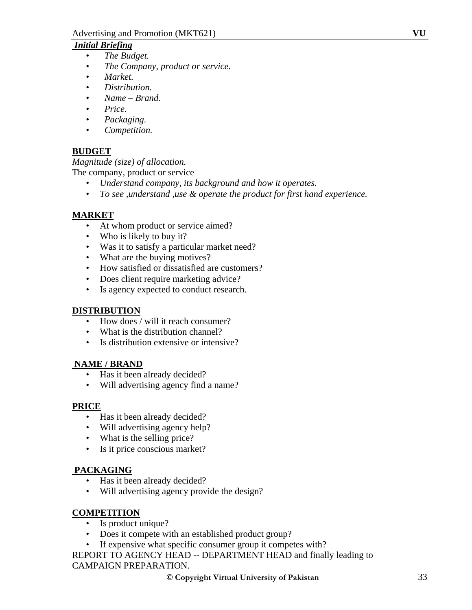## *Initial Briefing*

- • *The Budget.*
- • *The Company, product or service.*
- • *Market.*
- • *Distribution.*
- • *Name Brand.*
- • *Price.*
- • *Packaging.*
- • *Competition.*

## **BUDGET**

*Magnitude (size) of allocation.*  The company, product or service

- *Understand company, its background and how it operates.*
- *To see ,understand ,use & operate the product for first hand experience.*

## **MARKET**

- At whom product or service aimed?
- Who is likely to buy it?
- Was it to satisfy a particular market need?
- What are the buying motives?
- How satisfied or dissatisfied are customers?
- Does client require marketing advice?
- Is agency expected to conduct research.

## **DISTRIBUTION**

- How does / will it reach consumer?
- What is the distribution channel?
- Is distribution extensive or intensive?

## **NAME / BRAND**

- Has it been already decided?
- Will advertising agency find a name?

## **PRICE**

- Has it been already decided?
- Will advertising agency help?
- What is the selling price?
- Is it price conscious market?

## **PACKAGING**

- Has it been already decided?
- Will advertising agency provide the design?

## **COMPETITION**

- Is product unique?
- Does it compete with an established product group?
- If expensive what specific consumer group it competes with?

REPORT TO AGENCY HEAD -- DEPARTMENT HEAD and finally leading to CAMPAIGN PREPARATION.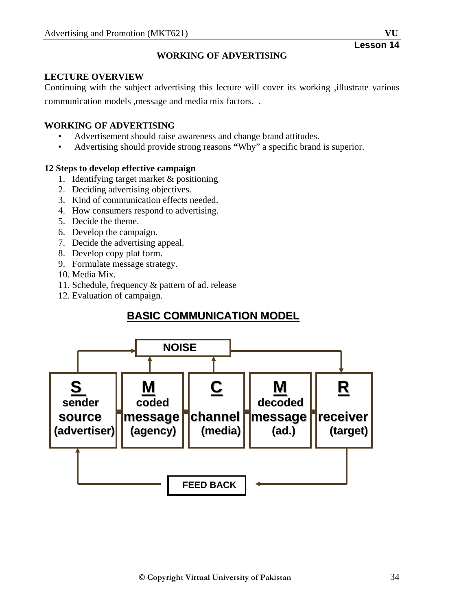#### **WORKING OF ADVERTISING**

## **LECTURE OVERVIEW**

Continuing with the subject advertising this lecture will cover its working ,illustrate various communication models ,message and media mix factors. .

#### **WORKING OF ADVERTISING**

- Advertisement should raise awareness and change brand attitudes.
- Advertising should provide strong reasons **"**Why" a specific brand is superior.

#### **12 Steps to develop effective campaign**

- 1. Identifying target market & positioning
- 2. Deciding advertising objectives.
- 3. Kind of communication effects needed.
- 4. How consumers respond to advertising.
- 5. Decide the theme.
- 6. Develop the campaign.
- 7. Decide the advertising appeal.
- 8. Develop copy plat form.
- 9. Formulate message strategy.
- 10. Media Mix.
- 11. Schedule, frequency & pattern of ad. release
- 12. Evaluation of campaign.

# **BASIC COMMUNICATION MODEL**

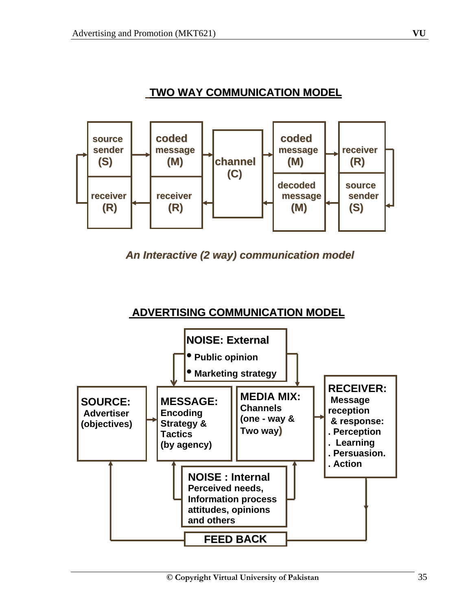

An *Interactive (2 way)* communication model

# **ADVERTISING COMMUNICATION MODEL**

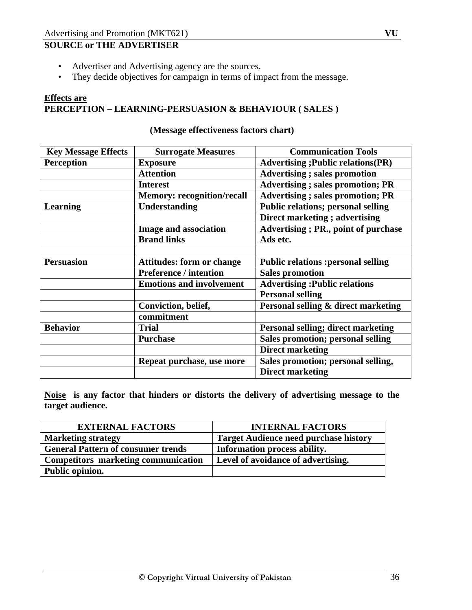# **SOURCE or THE ADVERTISER**

- Advertiser and Advertising agency are the sources.
- They decide objectives for campaign in terms of impact from the message.

## **Effects are PERCEPTION – LEARNING-PERSUASION & BEHAVIOUR ( SALES )**

| <b>Key Message Effects</b> | <b>Surrogate Measures</b>         | <b>Communication Tools</b>                  |
|----------------------------|-----------------------------------|---------------------------------------------|
| <b>Perception</b>          | <b>Exposure</b>                   | <b>Advertising ; Public relations(PR)</b>   |
|                            | <b>Attention</b>                  | <b>Advertising</b> ; sales promotion        |
|                            | <b>Interest</b>                   | <b>Advertising</b> ; sales promotion; PR    |
|                            | <b>Memory: recognition/recall</b> | <b>Advertising</b> ; sales promotion; PR    |
| <b>Learning</b>            | Understanding                     | <b>Public relations; personal selling</b>   |
|                            |                                   | Direct marketing; advertising               |
|                            | <b>Image and association</b>      | <b>Advertising</b> ; PR., point of purchase |
|                            | <b>Brand links</b>                | Ads etc.                                    |
|                            |                                   |                                             |
| <b>Persuasion</b>          | <b>Attitudes: form or change</b>  | <b>Public relations : personal selling</b>  |
|                            | <b>Preference / intention</b>     | <b>Sales promotion</b>                      |
|                            | <b>Emotions and involvement</b>   | <b>Advertising: Public relations</b>        |
|                            |                                   | <b>Personal selling</b>                     |
|                            | Conviction, belief,               | Personal selling & direct marketing         |
|                            | commitment                        |                                             |
| <b>Behavior</b>            | <b>Trial</b>                      | Personal selling; direct marketing          |
|                            | <b>Purchase</b>                   | Sales promotion; personal selling           |
|                            |                                   | <b>Direct marketing</b>                     |
|                            | Repeat purchase, use more         | Sales promotion; personal selling,          |
|                            |                                   | <b>Direct marketing</b>                     |

#### **(Message effectiveness factors chart)**

**Noise is any factor that hinders or distorts the delivery of advertising message to the target audience.** 

| <b>EXTERNAL FACTORS</b>                    | <b>INTERNAL FACTORS</b>                      |
|--------------------------------------------|----------------------------------------------|
| <b>Marketing strategy</b>                  | <b>Target Audience need purchase history</b> |
| <b>General Pattern of consumer trends</b>  | Information process ability.                 |
| <b>Competitors marketing communication</b> | Level of avoidance of advertising.           |
| Public opinion.                            |                                              |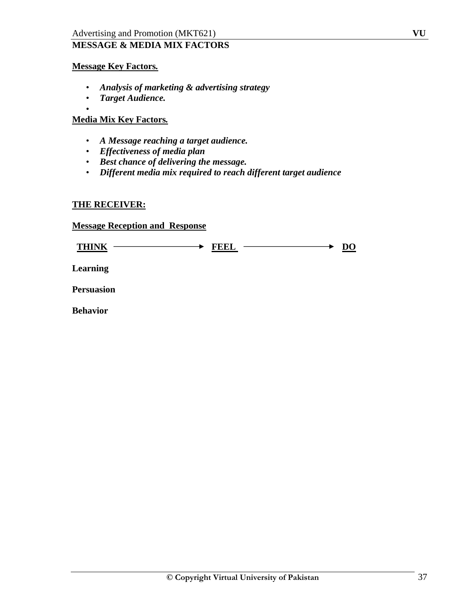# **MESSAGE & MEDIA MIX FACTORS**

#### **Message Key Factors***.*

- *Analysis of marketing & advertising strategy*
- *Target Audience.*
- •

# **Media Mix Key Factors***.*

- *A Message reaching a target audience.*
- *Effectiveness of media plan*
- *Best chance of delivering the message.*
- *Different media mix required to reach different target audience*

### **THE RECEIVER:**

# **Message Reception and Response**

 $\textrm{THINK} \longrightarrow \textrm{FELL} \longrightarrow \textrm{D0}$ 

**Learning** 

**Persuasion** 

**Behavior**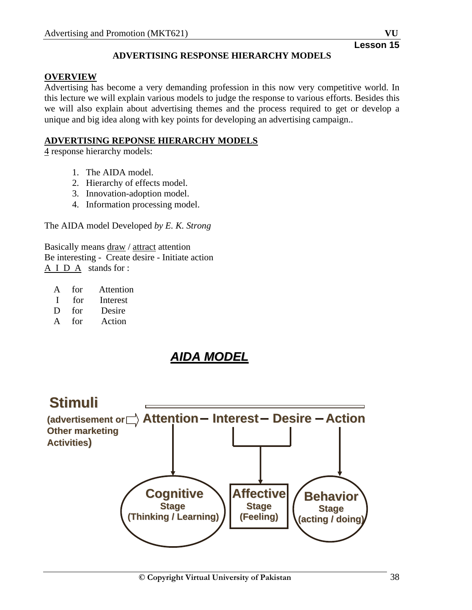#### **ADVERTISING RESPONSE HIERARCHY MODELS**

#### **OVERVIEW**

Advertising has become a very demanding profession in this now very competitive world. In this lecture we will explain various models to judge the response to various efforts. Besides this we will also explain about advertising themes and the process required to get or develop a unique and big idea along with key points for developing an advertising campaign..

#### **ADVERTISING REPONSE HIERARCHY MODELS**

4 response hierarchy models:

- 1. The AIDA model.
- 2. Hierarchy of effects model.
- 3. Innovation-adoption model.
- 4. Information processing model.

The AIDA model Developed *by E. K. Strong* 

Basically means draw / attract attention Be interesting - Create desire - Initiate action A I D A stands for :

- A for Attention
- I for Interest
- D for Desire
- A for Action

# *AIDAMODEL*

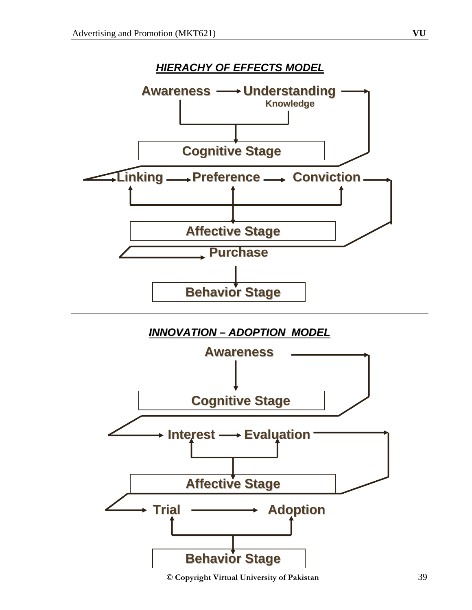



**© Copyright Virtual University of Pakistan** 39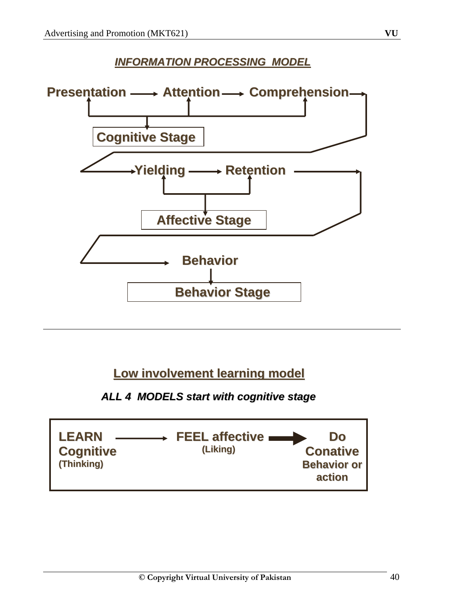



**Low involvement learning model** 



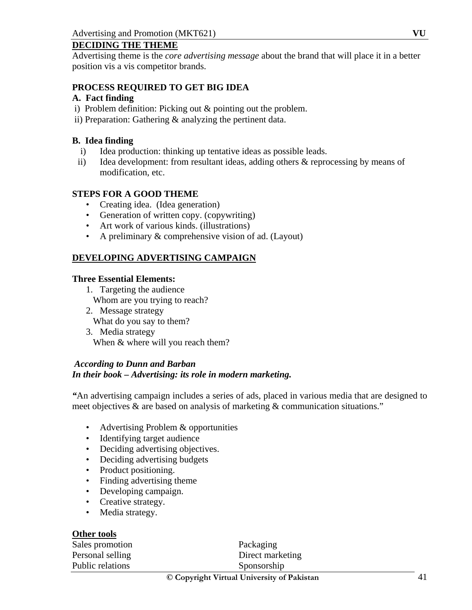# **DECIDING THE THEME**

Advertising theme is the *core advertising message* about the brand that will place it in a better position vis a vis competitor brands.

### **PROCESS REQUIRED TO GET BIG IDEA**

#### **A. Fact finding**

- i) Problem definition: Picking out & pointing out the problem.
- ii) Preparation: Gathering & analyzing the pertinent data.

#### **B. Idea finding**

- i) Idea production: thinking up tentative ideas as possible leads.
- ii) Idea development: from resultant ideas, adding others & reprocessing by means of modification, etc.

#### **STEPS FOR A GOOD THEME**

- Creating idea. (Idea generation)
- Generation of written copy. (copywriting)
- Art work of various kinds. (illustrations)
- A preliminary & comprehensive vision of ad. (Layout)

# **DEVELOPING ADVERTISING CAMPAIGN**

#### **Three Essential Elements:**

- 1. Targeting the audience Whom are you trying to reach?
- 2. Message strategy What do you say to them?
- 3. Media strategy When & where will you reach them?

#### *According to Dunn and Barban In their book – Advertising: its role in modern marketing.*

*"*An advertising campaign includes a series of ads, placed in various media that are designed to meet objectives & are based on analysis of marketing & communication situations."

- Advertising Problem & opportunities
- Identifying target audience
- Deciding advertising objectives.
- Deciding advertising budgets
- Product positioning.
- Finding advertising theme
- Developing campaign.
- Creative strategy.
- Media strategy.

#### **Other tools**

| Sales promotion  | Packaging        |
|------------------|------------------|
| Personal selling | Direct marketing |
| Public relations | Sponsorship      |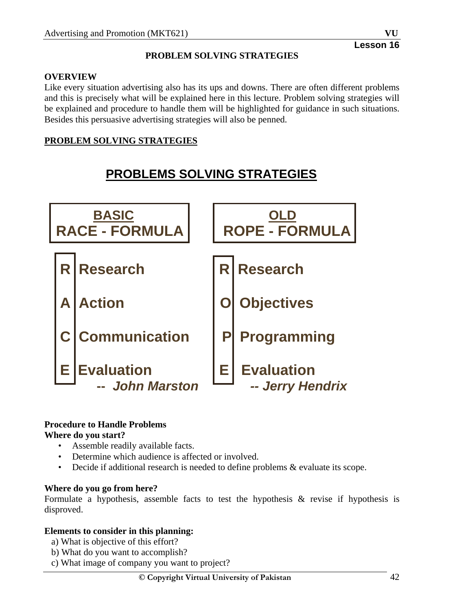#### **PROBLEM SOLVING STRATEGIES**

#### **OVERVIEW**

Like every situation advertising also has its ups and downs. There are often different problems and this is precisely what will be explained here in this lecture. Problem solving strategies will be explained and procedure to handle them will be highlighted for guidance in such situations. Besides this persuasive advertising strategies will also be penned.

**PROBLEMS SOLVING STRATEGIES**

#### **PROBLEM SOLVING STRATEGIES**



# **Procedure to Handle Problems**

# **Where do you start?**

- Assemble readily available facts.
- Determine which audience is affected or involved.
- Decide if additional research is needed to define problems & evaluate its scope.

#### **Where do you go from here?**

Formulate a hypothesis, assemble facts to test the hypothesis  $\&$  revise if hypothesis is disproved.

#### **Elements to consider in this planning:**

- a) What is objective of this effort?
- b) What do you want to accomplish?
- c) What image of company you want to project?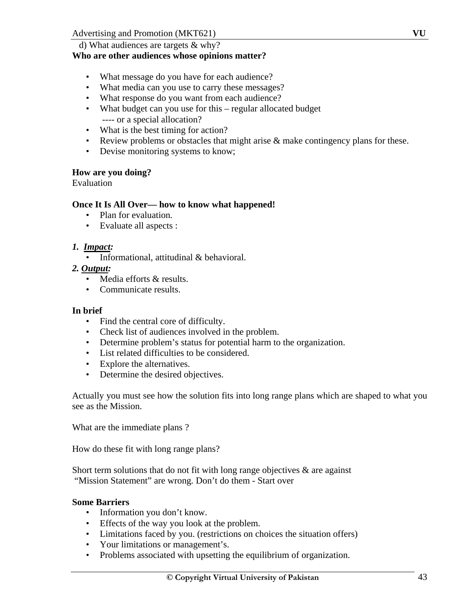d) What audiences are targets & why?

#### **Who are other audiences whose opinions matter?**

- What message do you have for each audience?
- What media can you use to carry these messages?
- What response do you want from each audience?
- What budget can you use for this regular allocated budget ---- or a special allocation?
- What is the best timing for action?
- Review problems or obstacles that might arise & make contingency plans for these.
- Devise monitoring systems to know;

#### **How are you doing?**

Evaluation

#### **Once It Is All Over— how to know what happened!**

- Plan for evaluation*.*
- Evaluate all aspects :

#### *1. Impact:*

• Informational, attitudinal & behavioral.

#### *2. Output:*

- Media efforts & results.
- Communicate results.

#### **In brief**

- Find the central core of difficulty.
- Check list of audiences involved in the problem.
- Determine problem's status for potential harm to the organization.
- List related difficulties to be considered.
- Explore the alternatives.
- Determine the desired objectives.

Actually you must see how the solution fits into long range plans which are shaped to what you see as the Mission.

What are the immediate plans ?

How do these fit with long range plans?

Short term solutions that do not fit with long range objectives  $\&$  are against "Mission Statement" are wrong*.* Don't do them - Start over

#### **Some Barriers**

- Information you don't know.
- Effects of the way you look at the problem.
- Limitations faced by you. (restrictions on choices the situation offers)
- Your limitations or management's.
- Problems associated with upsetting the equilibrium of organization.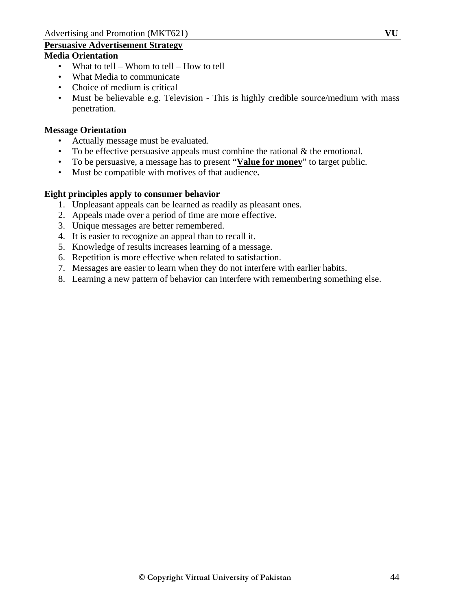# **Persuasive Advertisement Strategy**

# **Media Orientation**

- What to tell Whom to tell How to tell
- What Media to communicate
- Choice of medium is critical
- Must be believable e.g. Television This is highly credible source/medium with mass penetration.

# **Message Orientation**

- Actually message must be evaluated.
- To be effective persuasive appeals must combine the rational  $\&$  the emotional.
- To be persuasive, a message has to present "**Value for money**" to target public.
- Must be compatible with motives of that audience**.**

# **Eight principles apply to consumer behavior**

- 1. Unpleasant appeals can be learned as readily as pleasant ones.
- 2. Appeals made over a period of time are more effective.
- 3. Unique messages are better remembered.
- 4. It is easier to recognize an appeal than to recall it.
- 5. Knowledge of results increases learning of a message.
- 6. Repetition is more effective when related to satisfaction.
- 7. Messages are easier to learn when they do not interfere with earlier habits.
- 8. Learning a new pattern of behavior can interfere with remembering something else.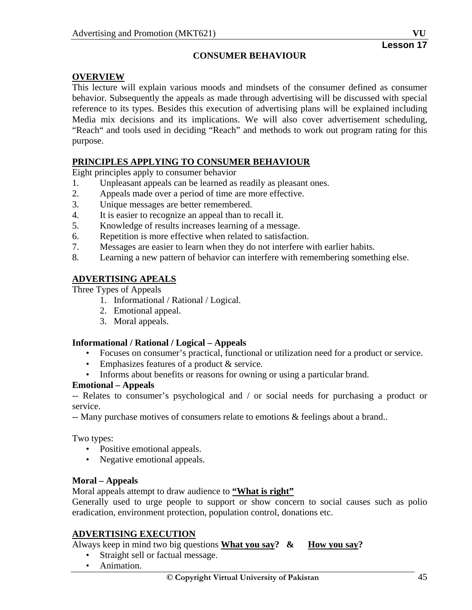# **OVERVIEW**

This lecture will explain various moods and mindsets of the consumer defined as consumer behavior. Subsequently the appeals as made through advertising will be discussed with special reference to its types. Besides this execution of advertising plans will be explained including Media mix decisions and its implications. We will also cover advertisement scheduling, "Reach" and tools used in deciding "Reach" and methods to work out program rating for this purpose.

# **PRINCIPLES APPLYING TO CONSUMER BEHAVIOUR**

Eight principles apply to consumer behavior

- 1. Unpleasant appeals can be learned as readily as pleasant ones.
- 2. Appeals made over a period of time are more effective.
- 3. Unique messages are better remembered.
- 4. It is easier to recognize an appeal than to recall it.
- 5. Knowledge of results increases learning of a message.
- 6. Repetition is more effective when related to satisfaction.
- 7. Messages are easier to learn when they do not interfere with earlier habits.
- 8. Learning a new pattern of behavior can interfere with remembering something else.

#### **ADVERTISING APEALS**

Three Types of Appeals

- 1. Informational / Rational / Logical.
- 2. Emotional appeal.
- 3. Moral appeals.

#### **Informational / Rational / Logical – Appeals**

- Focuses on consumer's practical, functional or utilization need for a product or service.
- Emphasizes features of a product & service.
- Informs about benefits or reasons for owning or using a particular brand.

#### **Emotional – Appeals**

-- Relates to consumer's psychological and / or social needs for purchasing a product or service.

-- Many purchase motives of consumers relate to emotions & feelings about a brand..

Two types:

- Positive emotional appeals.
- Negative emotional appeals.

#### **Moral – Appeals**

Moral appeals attempt to draw audience to **"What is right"** 

Generally used to urge people to support or show concern to social causes such as polio eradication, environment protection, population control, donations etc.

#### **ADVERTISING EXECUTION**

### Always keep in mind two big questions **What you say?** & How you say?

• Straight sell or factual message.

• Animation.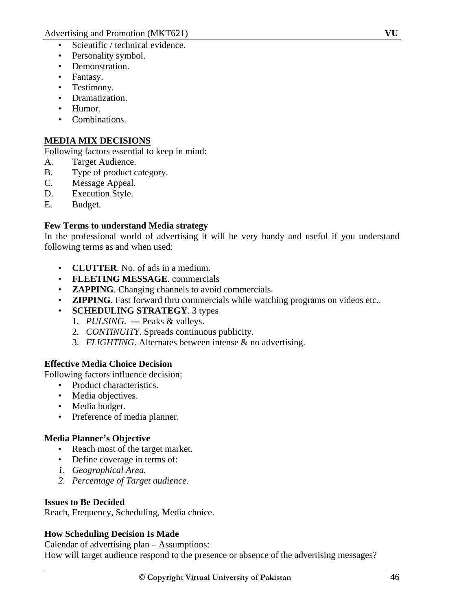- Scientific / technical evidence.
- Personality symbol.
- Demonstration.
- Fantasy.
- Testimony.
- Dramatization.
- Humor.
- Combinations.

#### **MEDIA MIX DECISIONS**

Following factors essential to keep in mind:

- A. Target Audience.
- B. Type of product category.
- C. Message Appeal.
- D. Execution Style.
- E. Budget.

#### **Few Terms to understand Media strategy**

In the professional world of advertising it will be very handy and useful if you understand following terms as and when used:

- **CLUTTER**. No. of ads in a medium.
- **FLEETING MESSAGE**. commercials
- **ZAPPING**. Changing channels to avoid commercials.
- **ZIPPING**. Fast forward thru commercials while watching programs on videos etc..
- **SCHEDULING STRATEGY**. 3 types
	- 1. *PULSING*. --- Peaks & valleys.
	- 2. *CONTINUITY*. Spreads continuous publicity.
	- 3. *FLIGHTING*. Alternates between intense & no advertising.

#### **Effective Media Choice Decision**

Following factors influence decision:

- Product characteristics.
- Media objectives.
- Media budget.
- Preference of media planner.

#### **Media Planner's Objective**

- Reach most of the target market.
- Define coverage in terms of:
- *1. Geographical Area.*
- *2. Percentage of Target audience.*

#### **Issues to Be Decided**

Reach, Frequency, Scheduling, Media choice.

#### **How Scheduling Decision Is Made**

Calendar of advertising plan – Assumptions: How will target audience respond to the presence or absence of the advertising messages?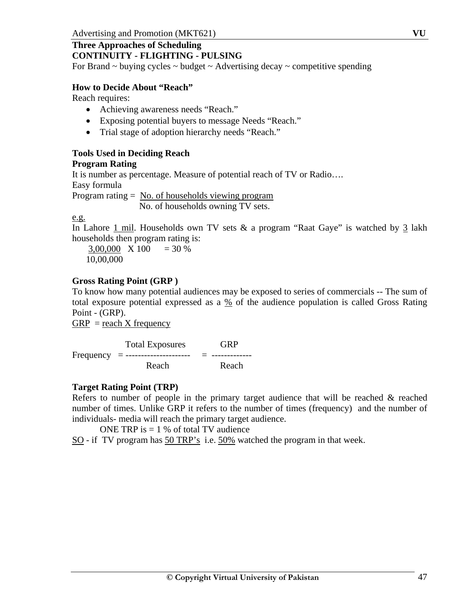# **Three Approaches of Scheduling**

# **CONTINUITY - FLIGHTING - PULSING**

For Brand  $\sim$  buying cycles  $\sim$  budget  $\sim$  Advertising decay  $\sim$  competitive spending

#### **How to Decide About "Reach"**

Reach requires:

- Achieving awareness needs "Reach."
- Exposing potential buyers to message Needs "Reach."
- Trial stage of adoption hierarchy needs "Reach."

#### **Tools Used in Deciding Reach Program Rating**

It is number as percentage. Measure of potential reach of TV or Radio….

Easy formula

Program rating = No. of households viewing program

No. of households owning TV sets.

e.g.

In Lahore 1 mil. Households own TV sets & a program "Raat Gaye" is watched by 3 lakh households then program rating is:

 $3,00,000 \times 100 = 30 \%$ 10,00,000

#### **Gross Rating Point (GRP )**

To know how many potential audiences may be exposed to series of commercials -- The sum of total exposure potential expressed as a % of the audience population is called Gross Rating Point - (GRP).

 $GRP$  = reach X frequency

Total Exposures **GRP** Frequency = --------------------- = ------------- Reach Reach

#### **Target Rating Point (TRP)**

Refers to number of people in the primary target audience that will be reached  $\&$  reached number of times. Unlike GRP it refers to the number of times (frequency) and the number of individuals- media will reach the primary target audience.

ONE TRP is  $= 1$  % of total TV audience

SO - if TV program has 50 TRP's i.e. 50% watched the program in that week.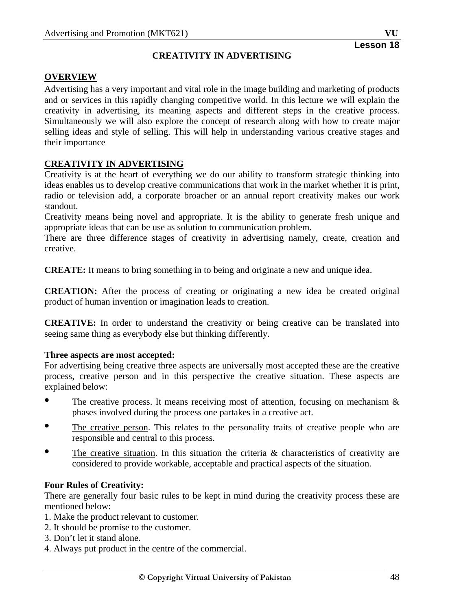#### **CREATIVITY IN ADVERTISING**

#### **OVERVIEW**

Advertising has a very important and vital role in the image building and marketing of products and or services in this rapidly changing competitive world. In this lecture we will explain the creativity in advertising, its meaning aspects and different steps in the creative process. Simultaneously we will also explore the concept of research along with how to create major selling ideas and style of selling. This will help in understanding various creative stages and their importance

#### **CREATIVITY IN ADVERTISING**

Creativity is at the heart of everything we do our ability to transform strategic thinking into ideas enables us to develop creative communications that work in the market whether it is print, radio or television add, a corporate broacher or an annual report creativity makes our work standout.

Creativity means being novel and appropriate. It is the ability to generate fresh unique and appropriate ideas that can be use as solution to communication problem.

There are three difference stages of creativity in advertising namely, create, creation and creative.

**CREATE:** It means to bring something in to being and originate a new and unique idea.

**CREATION:** After the process of creating or originating a new idea be created original product of human invention or imagination leads to creation.

**CREATIVE:** In order to understand the creativity or being creative can be translated into seeing same thing as everybody else but thinking differently.

#### **Three aspects are most accepted:**

For advertising being creative three aspects are universally most accepted these are the creative process, creative person and in this perspective the creative situation. These aspects are explained below:

- The creative process. It means receiving most of attention, focusing on mechanism  $\&$ phases involved during the process one partakes in a creative act.
- The creative person. This relates to the personality traits of creative people who are responsible and central to this process.
- The creative situation. In this situation the criteria  $\&$  characteristics of creativity are considered to provide workable, acceptable and practical aspects of the situation.

#### **Four Rules of Creativity:**

There are generally four basic rules to be kept in mind during the creativity process these are mentioned below:

- 1. Make the product relevant to customer.
- 2. It should be promise to the customer.
- 3. Don't let it stand alone.
- 4. Always put product in the centre of the commercial.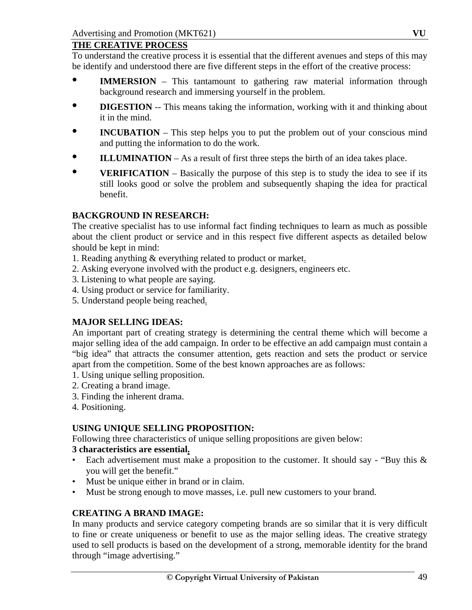# **THE CREATIVE PROCESS**

To understand the creative process it is essential that the different avenues and steps of this may be identify and understood there are five different steps in the effort of the creative process:

- **IMMERSION** This tantamount to gathering raw material information through background research and immersing yourself in the problem.
- **DIGESTION** -- This means taking the information, working with it and thinking about it in the mind.
- **INCUBATION** This step helps you to put the problem out of your conscious mind and putting the information to do the work.
- **ILLUMINATION** As a result of first three steps the birth of an idea takes place.
- **VERIFICATION** Basically the purpose of this step is to study the idea to see if its still looks good or solve the problem and subsequently shaping the idea for practical benefit.

#### **BACKGROUND IN RESEARCH:**

The creative specialist has to use informal fact finding techniques to learn as much as possible about the client product or service and in this respect five different aspects as detailed below should be kept in mind:

- 1. Reading anything & everything related to product or market.
- 2. Asking everyone involved with the product e.g. designers, engineers etc.
- 3. Listening to what people are saying.
- 4. Using product or service for familiarity.
- 5. Understand people being reached.

#### **MAJOR SELLING IDEAS:**

An important part of creating strategy is determining the central theme which will become a major selling idea of the add campaign. In order to be effective an add campaign must contain a "big idea" that attracts the consumer attention, gets reaction and sets the product or service apart from the competition. Some of the best known approaches are as follows:

- 1. Using unique selling proposition.
- 2. Creating a brand image.
- 3. Finding the inherent drama.
- 4. Positioning.

#### **USING UNIQUE SELLING PROPOSITION:**

Following three characteristics of unique selling propositions are given below:

#### **3 characteristics are essential.**

- Each advertisement must make a proposition to the customer. It should say "Buy this & you will get the benefit."
- Must be unique either in brand or in claim.
- Must be strong enough to move masses, i.e. pull new customers to your brand.

#### **CREATING A BRAND IMAGE:**

In many products and service category competing brands are so similar that it is very difficult to fine or create uniqueness or benefit to use as the major selling ideas. The creative strategy used to sell products is based on the development of a strong, memorable identity for the brand through "image advertising."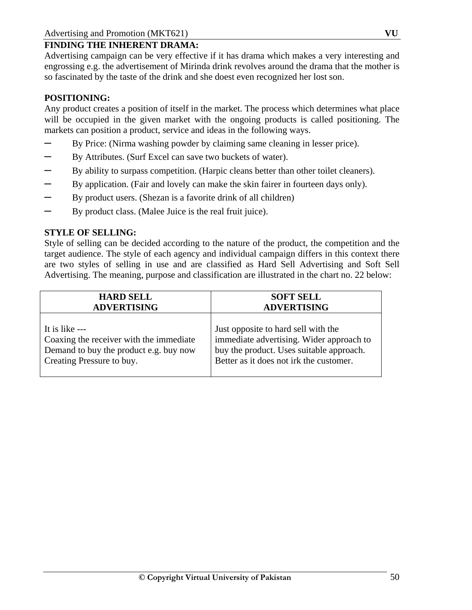# **FINDING THE INHERENT DRAMA:**

Advertising campaign can be very effective if it has drama which makes a very interesting and engrossing e.g. the advertisement of Mirinda drink revolves around the drama that the mother is so fascinated by the taste of the drink and she doest even recognized her lost son.

# **POSITIONING:**

Any product creates a position of itself in the market. The process which determines what place will be occupied in the given market with the ongoing products is called positioning. The markets can position a product, service and ideas in the following ways.

- By Price: (Nirma washing powder by claiming same cleaning in lesser price).
- By Attributes. (Surf Excel can save two buckets of water).
- By ability to surpass competition. (Harpic cleans better than other toilet cleaners).
- By application. (Fair and lovely can make the skin fairer in fourteen days only).
- By product users. (Shezan is a favorite drink of all children)
- By product class. (Malee Juice is the real fruit juice).

#### **STYLE OF SELLING:**

Style of selling can be decided according to the nature of the product, the competition and the target audience. The style of each agency and individual campaign differs in this context there are two styles of selling in use and are classified as Hard Sell Advertising and Soft Sell Advertising. The meaning, purpose and classification are illustrated in the chart no. 22 below:

| <b>HARD SELL</b>                        | <b>SOFT SELL</b>                         |  |  |
|-----------------------------------------|------------------------------------------|--|--|
| <b>ADVERTISING</b>                      | <b>ADVERTISING</b>                       |  |  |
| It is like $---$                        | Just opposite to hard sell with the      |  |  |
| Coaxing the receiver with the immediate | immediate advertising. Wider approach to |  |  |
| Demand to buy the product e.g. buy now  | buy the product. Uses suitable approach. |  |  |
| Creating Pressure to buy.               | Better as it does not irk the customer.  |  |  |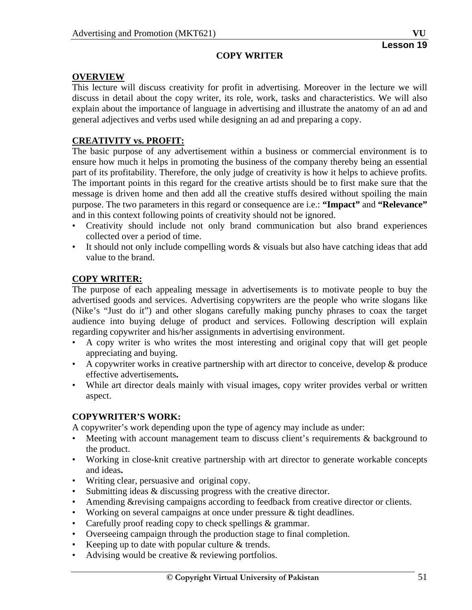#### **COPY WRITER**

# **OVERVIEW**

This lecture will discuss creativity for profit in advertising. Moreover in the lecture we will discuss in detail about the copy writer, its role, work, tasks and characteristics. We will also explain about the importance of language in advertising and illustrate the anatomy of an ad and general adjectives and verbs used while designing an ad and preparing a copy.

### **CREATIVITY vs. PROFIT:**

The basic purpose of any advertisement within a business or commercial environment is to ensure how much it helps in promoting the business of the company thereby being an essential part of its profitability. Therefore, the only judge of creativity is how it helps to achieve profits. The important points in this regard for the creative artists should be to first make sure that the message is driven home and then add all the creative stuffs desired without spoiling the main purpose. The two parameters in this regard or consequence are i.e.: **"Impact"** and **"Relevance"**  and in this context following points of creativity should not be ignored.

- Creativity should include not only brand communication but also brand experiences collected over a period of time.
- It should not only include compelling words & visuals but also have catching ideas that add value to the brand.

#### **COPY WRITER:**

The purpose of each appealing message in advertisements is to motivate people to buy the advertised goods and services. Advertising copywriters are the people who write slogans like (Nike's "Just do it") and other slogans carefully making punchy phrases to coax the target audience into buying deluge of product and services. Following description will explain regarding copywriter and his/her assignments in advertising environment.

- A copy writer is who writes the most interesting and original copy that will get people appreciating and buying.
- A copywriter works in creative partnership with art director to conceive, develop & produce effective advertisements**.**
- While art director deals mainly with visual images, copy writer provides verbal or written aspect.

#### **COPYWRITER'S WORK:**

A copywriter's work depending upon the type of agency may include as under:

- Meeting with account management team to discuss client's requirements & background to the product.
- Working in close-knit creative partnership with art director to generate workable concepts and ideas**.**
- Writing clear, persuasive and original copy.
- Submitting ideas & discussing progress with the creative director.
- Amending &revising campaigns according to feedback from creative director or clients.
- Working on several campaigns at once under pressure & tight deadlines.
- Carefully proof reading copy to check spellings & grammar.
- Overseeing campaign through the production stage to final completion.
- Keeping up to date with popular culture & trends.
- Advising would be creative & reviewing portfolios.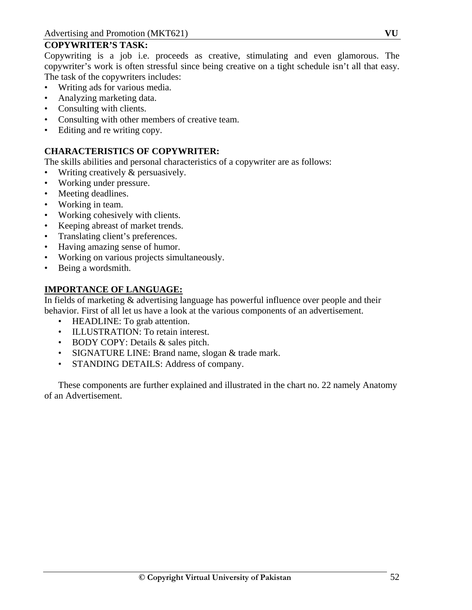# **COPYWRITER'S TASK:**

Copywriting is a job i.e. proceeds as creative, stimulating and even glamorous. The copywriter's work is often stressful since being creative on a tight schedule isn't all that easy. The task of the copywriters includes:

- Writing ads for various media.
- Analyzing marketing data.
- Consulting with clients.
- Consulting with other members of creative team.
- Editing and re writing copy.

# **CHARACTERISTICS OF COPYWRITER:**

The skills abilities and personal characteristics of a copywriter are as follows:

- Writing creatively & persuasively.
- Working under pressure.
- Meeting deadlines.
- Working in team.
- Working cohesively with clients.
- Keeping abreast of market trends.
- Translating client's preferences.
- Having amazing sense of humor.
- Working on various projects simultaneously.
- Being a wordsmith.

# **IMPORTANCE OF LANGUAGE:**

In fields of marketing & advertising language has powerful influence over people and their behavior. First of all let us have a look at the various components of an advertisement.

- HEADLINE: To grab attention.
- ILLUSTRATION: To retain interest.
- BODY COPY: Details & sales pitch.
- SIGNATURE LINE: Brand name, slogan & trade mark.
- STANDING DETAILS: Address of company.

These components are further explained and illustrated in the chart no. 22 namely Anatomy of an Advertisement.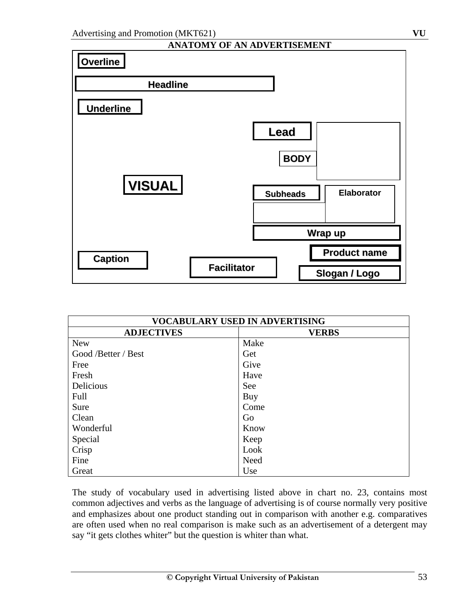



| VOCABULARY USED IN ADVERTISING |              |  |  |  |
|--------------------------------|--------------|--|--|--|
| <b>ADJECTIVES</b>              | <b>VERBS</b> |  |  |  |
| <b>New</b>                     | Make         |  |  |  |
| Good /Better / Best            | Get          |  |  |  |
| Free                           | Give         |  |  |  |
| Fresh                          | Have         |  |  |  |
| Delicious                      | See          |  |  |  |
| Full                           | Buy          |  |  |  |
| Sure                           | Come         |  |  |  |
| Clean                          | Go           |  |  |  |
| Wonderful                      | Know         |  |  |  |
| Special                        | Keep         |  |  |  |
| Crisp                          | Look         |  |  |  |
| Fine                           | Need         |  |  |  |
| Great                          | Use          |  |  |  |

The study of vocabulary used in advertising listed above in chart no. 23, contains most common adjectives and verbs as the language of advertising is of course normally very positive and emphasizes about one product standing out in comparison with another e.g. comparatives are often used when no real comparison is make such as an advertisement of a detergent may say "it gets clothes whiter" but the question is whiter than what.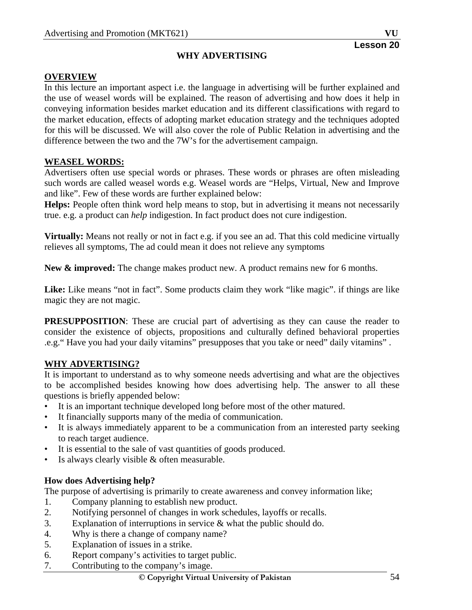#### **WHY ADVERTISING**

#### **OVERVIEW**

In this lecture an important aspect i.e. the language in advertising will be further explained and the use of weasel words will be explained. The reason of advertising and how does it help in conveying information besides market education and its different classifications with regard to the market education, effects of adopting market education strategy and the techniques adopted for this will be discussed. We will also cover the role of Public Relation in advertising and the difference between the two and the 7W's for the advertisement campaign.

#### **WEASEL WORDS:**

Advertisers often use special words or phrases. These words or phrases are often misleading such words are called weasel words e.g. Weasel words are "Helps, Virtual, New and Improve and like". Few of these words are further explained below:

**Helps:** People often think word help means to stop, but in advertising it means not necessarily true. e.g. a product can *help* indigestion. In fact product does not cure indigestion.

**Virtually:** Means not really or not in fact e.g. if you see an ad. That this cold medicine virtually relieves all symptoms, The ad could mean it does not relieve any symptoms

**New & improved:** The change makes product new. A product remains new for 6 months.

Like: Like means "not in fact". Some products claim they work "like magic", if things are like magic they are not magic.

**PRESUPPOSITION:** These are crucial part of advertising as they can cause the reader to consider the existence of objects, propositions and culturally defined behavioral properties .e.g." Have you had your daily vitamins" presupposes that you take or need" daily vitamins" .

#### **WHY ADVERTISING?**

It is important to understand as to why someone needs advertising and what are the objectives to be accomplished besides knowing how does advertising help. The answer to all these questions is briefly appended below:

- It is an important technique developed long before most of the other matured.
- It financially supports many of the media of communication.
- It is always immediately apparent to be a communication from an interested party seeking to reach target audience.
- It is essential to the sale of vast quantities of goods produced.
- Is always clearly visible & often measurable.

#### **How does Advertising help?**

The purpose of advertising is primarily to create awareness and convey information like;

- 1. Company planning to establish new product.
- 2. Notifying personnel of changes in work schedules, layoffs or recalls.
- 3. Explanation of interruptions in service & what the public should do.
- 4. Why is there a change of company name?
- 5. Explanation of issues in a strike.
- 6. Report company's activities to target public.
- 7. Contributing to the company's image.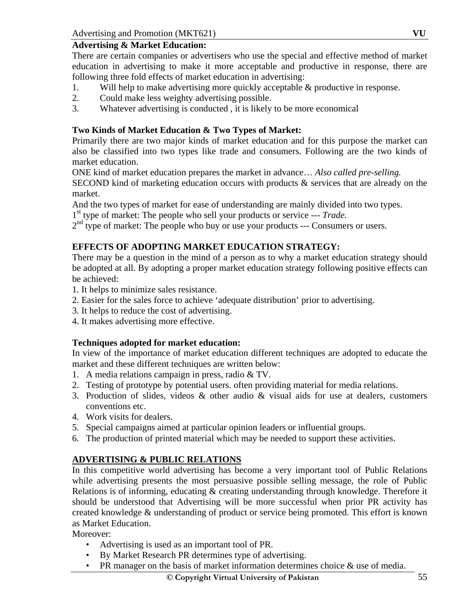# **Advertising & Market Education:**

There are certain companies or advertisers who use the special and effective method of market education in advertising to make it more acceptable and productive in response, there are following three fold effects of market education in advertising:

- 1. Will help to make advertising more quickly acceptable & productive in response.
- 2. Could make less weighty advertising possible.
- 3. Whatever advertising is conducted , it is likely to be more economical

# **Two Kinds of Market Education & Two Types of Market:**

Primarily there are two major kinds of market education and for this purpose the market can also be classified into two types like trade and consumers. Following are the two kinds of market education.

ONE kind of market education prepares the market in advance… *Also called pre-selling.* 

SECOND kind of marketing education occurs with products & services that are already on the market.

And the two types of market for ease of understanding are mainly divided into two types.

1st type of market: The people who sell your products or service --- *Trade.* 

 $2<sup>nd</sup>$  type of market: The people who buy or use your products --- Consumers or users.

# **EFFECTS OF ADOPTING MARKET EDUCATION STRATEGY:**

There may be a question in the mind of a person as to why a market education strategy should be adopted at all. By adopting a proper market education strategy following positive effects can be achieved:

- 1. It helps to minimize sales resistance.
- 2. Easier for the sales force to achieve 'adequate distribution' prior to advertising.
- 3. It helps to reduce the cost of advertising.
- 4. It makes advertising more effective.

# **Techniques adopted for market education:**

In view of the importance of market education different techniques are adopted to educate the market and these different techniques are written below:

- 1. A media relations campaign in press, radio & TV.
- 2. Testing of prototype by potential users. often providing material for media relations.
- 3. Production of slides, videos & other audio & visual aids for use at dealers, customers conventions etc.
- 4. Work visits for dealers.
- 5. Special campaigns aimed at particular opinion leaders or influential groups.
- 6. The production of printed material which may be needed to support these activities.

# **ADVERTISING & PUBLIC RELATIONS**

In this competitive world advertising has become a very important tool of Public Relations while advertising presents the most persuasive possible selling message, the role of Public Relations is of informing, educating & creating understanding through knowledge. Therefore it should be understood that Advertising will be more successful when prior PR activity has created knowledge & understanding of product or service being promoted. This effort is known as Market Education.

Moreover:

- Advertising is used as an important tool of PR.
- By Market Research PR determines type of advertising.
- PR manager on the basis of market information determines choice & use of media.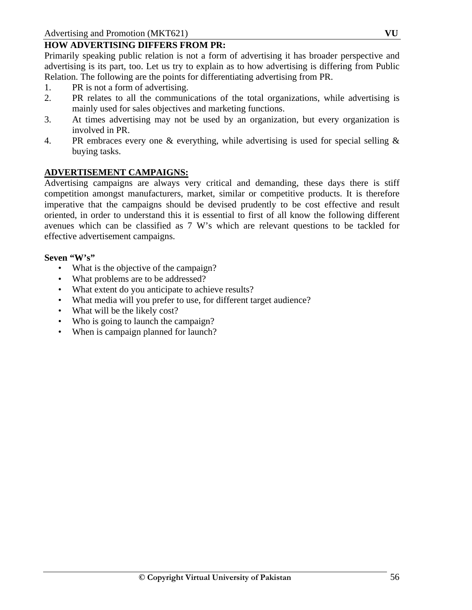# **HOW ADVERTISING DIFFERS FROM PR:**

Primarily speaking public relation is not a form of advertising it has broader perspective and advertising is its part, too. Let us try to explain as to how advertising is differing from Public Relation. The following are the points for differentiating advertising from PR.

- 1. PR is not a form of advertising.
- 2. PR relates to all the communications of the total organizations, while advertising is mainly used for sales objectives and marketing functions.
- 3. At times advertising may not be used by an organization, but every organization is involved in PR.
- 4. PR embraces every one & everything, while advertising is used for special selling & buying tasks.

#### **ADVERTISEMENT CAMPAIGNS:**

Advertising campaigns are always very critical and demanding, these days there is stiff competition amongst manufacturers, market, similar or competitive products. It is therefore imperative that the campaigns should be devised prudently to be cost effective and result oriented, in order to understand this it is essential to first of all know the following different avenues which can be classified as 7 W's which are relevant questions to be tackled for effective advertisement campaigns.

#### **Seven "W's"**

- What is the objective of the campaign?
- What problems are to be addressed?
- What extent do you anticipate to achieve results?
- What media will you prefer to use, for different target audience?
- What will be the likely cost?
- Who is going to launch the campaign?
- When is campaign planned for launch?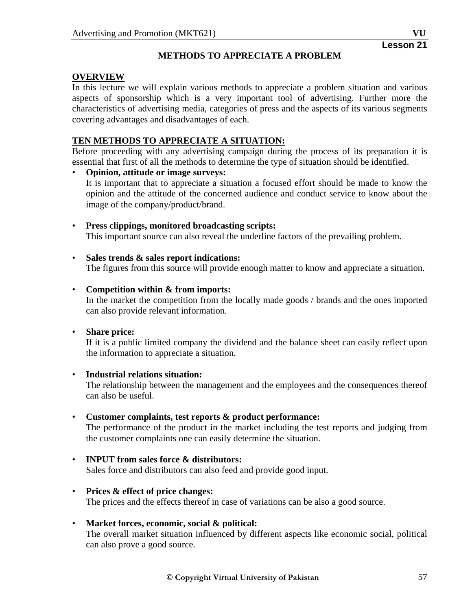#### **METHODS TO APPRECIATE A PROBLEM**

# **OVERVIEW**

In this lecture we will explain various methods to appreciate a problem situation and various aspects of sponsorship which is a very important tool of advertising. Further more the characteristics of advertising media, categories of press and the aspects of its various segments covering advantages and disadvantages of each.

#### **TEN METHODS TO APPRECIATE A SITUATION:**

Before proceeding with any advertising campaign during the process of its preparation it is essential that first of all the methods to determine the type of situation should be identified.

- **Opinion, attitude or image surveys:**  It is important that to appreciate a situation a focused effort should be made to know the opinion and the attitude of the concerned audience and conduct service to know about the image of the company/product/brand.
- **Press clippings, monitored broadcasting scripts:**  This important source can also reveal the underline factors of the prevailing problem.
- **Sales trends & sales report indications:**  The figures from this source will provide enough matter to know and appreciate a situation.

#### • **Competition within & from imports:**

In the market the competition from the locally made goods / brands and the ones imported can also provide relevant information.

#### • **Share price:**

If it is a public limited company the dividend and the balance sheet can easily reflect upon the information to appreciate a situation.

#### • **Industrial relations situation:**

The relationship between the management and the employees and the consequences thereof can also be useful.

• **Customer complaints, test reports & product performance:** 

The performance of the product in the market including the test reports and judging from the customer complaints one can easily determine the situation.

- **INPUT from sales force & distributors:**  Sales force and distributors can also feed and provide good input.
- **Prices & effect of price changes:**  The prices and the effects thereof in case of variations can be also a good source.
- **Market forces, economic, social & political:**

The overall market situation influenced by different aspects like economic social, political can also prove a good source.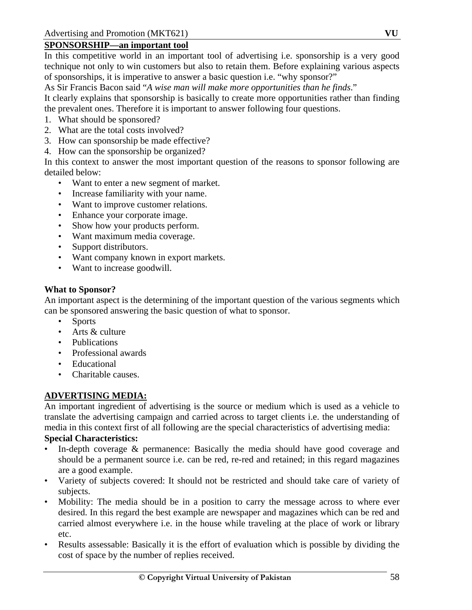# **SPONSORSHIP—an important tool**

In this competitive world in an important tool of advertising i.e. sponsorship is a very good technique not only to win customers but also to retain them. Before explaining various aspects of sponsorships, it is imperative to answer a basic question i.e. "why sponsor?"

As Sir Francis Bacon said "*A wise man will make more opportunities than he finds*."

It clearly explains that sponsorship is basically to create more opportunities rather than finding the prevalent ones. Therefore it is important to answer following four questions.

- 1. What should be sponsored?
- 2. What are the total costs involved?
- 3. How can sponsorship be made effective?
- 4. How can the sponsorship be organized?

In this context to answer the most important question of the reasons to sponsor following are detailed below:

- Want to enter a new segment of market.
- Increase familiarity with your name.
- Want to improve customer relations.
- Enhance your corporate image.
- Show how your products perform.
- Want maximum media coverage.
- Support distributors.
- Want company known in export markets.
- Want to increase goodwill.

#### **What to Sponsor?**

An important aspect is the determining of the important question of the various segments which can be sponsored answering the basic question of what to sponsor.

- Sports
- Arts & culture
- Publications
- Professional awards
- Educational
- Charitable causes.

#### **ADVERTISING MEDIA:**

An important ingredient of advertising is the source or medium which is used as a vehicle to translate the advertising campaign and carried across to target clients i.e. the understanding of media in this context first of all following are the special characteristics of advertising media:

#### **Special Characteristics:**

- In-depth coverage & permanence: Basically the media should have good coverage and should be a permanent source i.e. can be red, re-red and retained; in this regard magazines are a good example.
- Variety of subjects covered: It should not be restricted and should take care of variety of subjects.
- Mobility: The media should be in a position to carry the message across to where ever desired. In this regard the best example are newspaper and magazines which can be red and carried almost everywhere i.e. in the house while traveling at the place of work or library etc.
- Results assessable: Basically it is the effort of evaluation which is possible by dividing the cost of space by the number of replies received.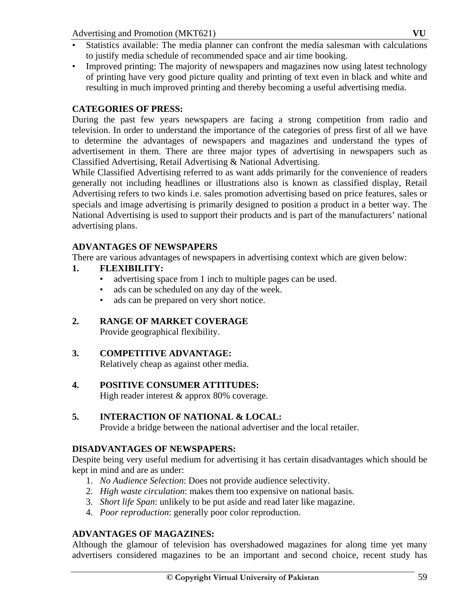Advertising and Promotion (MKT621) **VU** 

- Statistics available: The media planner can confront the media salesman with calculations to justify media schedule of recommended space and air time booking.
- Improved printing: The majority of newspapers and magazines now using latest technology of printing have very good picture quality and printing of text even in black and white and resulting in much improved printing and thereby becoming a useful advertising media.

# **CATEGORIES OF PRESS:**

During the past few years newspapers are facing a strong competition from radio and television. In order to understand the importance of the categories of press first of all we have to determine the advantages of newspapers and magazines and understand the types of advertisement in them. There are three major types of advertising in newspapers such as Classified Advertising, Retail Advertising & National Advertising.

While Classified Advertising referred to as want adds primarily for the convenience of readers generally not including headlines or illustrations also is known as classified display, Retail Advertising refers to two kinds i.e. sales promotion advertising based on price features, sales or specials and image advertising is primarily designed to position a product in a better way. The National Advertising is used to support their products and is part of the manufacturers' national advertising plans.

#### **ADVANTAGES OF NEWSPAPERS**

There are various advantages of newspapers in advertising context which are given below:

# **1. FLEXIBILITY:**

- advertising space from 1 inch to multiple pages can be used.
- ads can be scheduled on any day of the week.
- ads can be prepared on very short notice.

# **2. RANGE OF MARKET COVERAGE**

Provide geographical flexibility.

# **3. COMPETITIVE ADVANTAGE:**

Relatively cheap as against other media.

# **4. POSITIVE CONSUMER ATTITUDES:**

High reader interest & approx 80% coverage.

# **5. INTERACTION OF NATIONAL & LOCAL:**

Provide a bridge between the national advertiser and the local retailer.

# **DISADVANTAGES OF NEWSPAPERS:**

Despite being very useful medium for advertising it has certain disadvantages which should be kept in mind and are as under:

- 1. *No Audience Selection*: Does not provide audience selectivity.
- 2. *High waste circulation*: makes them too expensive on national basis.
- 3. *Short life Span*: unlikely to be put aside and read later like magazine.
- 4. *Poor reproduction*: generally poor color reproduction.

# **ADVANTAGES OF MAGAZINES:**

Although the glamour of television has overshadowed magazines for along time yet many advertisers considered magazines to be an important and second choice, recent study has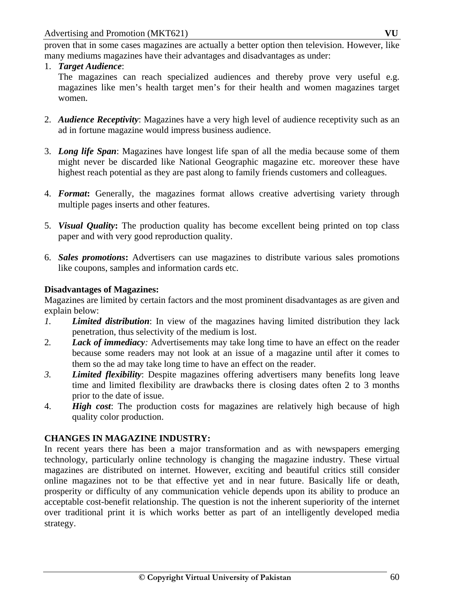proven that in some cases magazines are actually a better option then television. However, like many mediums magazines have their advantages and disadvantages as under:

# 1. *Target Audience*:

The magazines can reach specialized audiences and thereby prove very useful e.g. magazines like men's health target men's for their health and women magazines target women.

- 2. *Audience Receptivity*: Magazines have a very high level of audience receptivity such as an ad in fortune magazine would impress business audience.
- 3. *Long life Span*: Magazines have longest life span of all the media because some of them might never be discarded like National Geographic magazine etc. moreover these have highest reach potential as they are past along to family friends customers and colleagues.
- 4. *Format***:** Generally, the magazines format allows creative advertising variety through multiple pages inserts and other features.
- 5. *Visual Quality***:** The production quality has become excellent being printed on top class paper and with very good reproduction quality.
- 6. *Sales promotions***:** Advertisers can use magazines to distribute various sales promotions like coupons, samples and information cards etc.

# **Disadvantages of Magazines:**

Magazines are limited by certain factors and the most prominent disadvantages as are given and explain below:

- *1. Limited distribution*: In view of the magazines having limited distribution they lack penetration, thus selectivity of the medium is lost.
- 2*. Lack of immediacy:* Advertisements may take long time to have an effect on the reader because some readers may not look at an issue of a magazine until after it comes to them so the ad may take long time to have an effect on the reader.
- *3. Limited flexibility*: Despite magazines offering advertisers many benefits long leave time and limited flexibility are drawbacks there is closing dates often 2 to 3 months prior to the date of issue.
- 4. *High cost*: The production costs for magazines are relatively high because of high quality color production.

# **CHANGES IN MAGAZINE INDUSTRY:**

In recent years there has been a major transformation and as with newspapers emerging technology, particularly online technology is changing the magazine industry. These virtual magazines are distributed on internet. However, exciting and beautiful critics still consider online magazines not to be that effective yet and in near future. Basically life or death, prosperity or difficulty of any communication vehicle depends upon its ability to produce an acceptable cost-benefit relationship. The question is not the inherent superiority of the internet over traditional print it is which works better as part of an intelligently developed media strategy.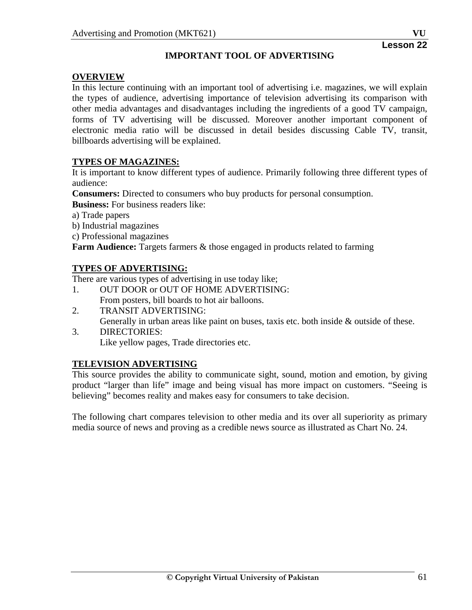# **IMPORTANT TOOL OF ADVERTISING**

# **OVERVIEW**

In this lecture continuing with an important tool of advertising i.e. magazines, we will explain the types of audience, advertising importance of television advertising its comparison with other media advantages and disadvantages including the ingredients of a good TV campaign, forms of TV advertising will be discussed. Moreover another important component of electronic media ratio will be discussed in detail besides discussing Cable TV, transit, billboards advertising will be explained.

# **TYPES OF MAGAZINES:**

It is important to know different types of audience. Primarily following three different types of audience:

**Consumers:** Directed to consumers who buy products for personal consumption. **Business:** For business readers like:

- a) Trade papers
- b) Industrial magazines
- c) Professional magazines

**Farm Audience:** Targets farmers & those engaged in products related to farming

#### **TYPES OF ADVERTISING:**

There are various types of advertising in use today like;

- 1. OUT DOOR or OUT OF HOME ADVERTISING:
	- From posters, bill boards to hot air balloons.
- 2. TRANSIT ADVERTISING: Generally in urban areas like paint on buses, taxis etc. both inside & outside of these.
- 3. DIRECTORIES: Like yellow pages, Trade directories etc.

#### **TELEVISION ADVERTISING**

This source provides the ability to communicate sight, sound, motion and emotion, by giving product "larger than life" image and being visual has more impact on customers. "Seeing is believing" becomes reality and makes easy for consumers to take decision.

The following chart compares television to other media and its over all superiority as primary media source of news and proving as a credible news source as illustrated as Chart No. 24.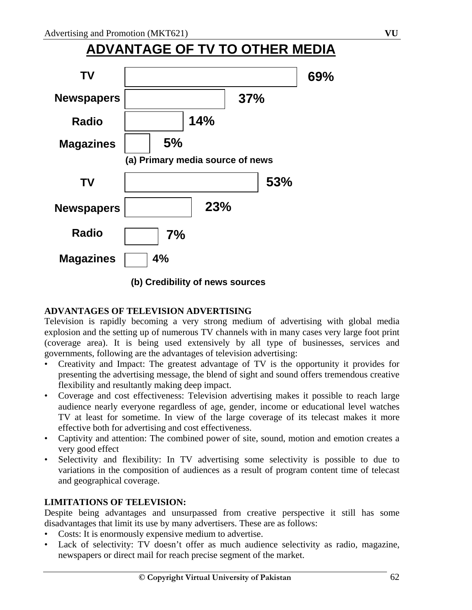# **ADVANTAGE OF TV TO OTHER MEDIA**



**(b) Credibility of news sources**

#### **ADVANTAGES OF TELEVISION ADVERTISING**

Television is rapidly becoming a very strong medium of advertising with global media explosion and the setting up of numerous TV channels with in many cases very large foot print (coverage area). It is being used extensively by all type of businesses, services and governments, following are the advantages of television advertising:

- Creativity and Impact: The greatest advantage of TV is the opportunity it provides for presenting the advertising message, the blend of sight and sound offers tremendous creative flexibility and resultantly making deep impact.
- Coverage and cost effectiveness: Television advertising makes it possible to reach large audience nearly everyone regardless of age, gender, income or educational level watches TV at least for sometime. In view of the large coverage of its telecast makes it more effective both for advertising and cost effectiveness.
- Captivity and attention: The combined power of site, sound, motion and emotion creates a very good effect
- Selectivity and flexibility: In TV advertising some selectivity is possible to due to variations in the composition of audiences as a result of program content time of telecast and geographical coverage.

# **LIMITATIONS OF TELEVISION:**

Despite being advantages and unsurpassed from creative perspective it still has some disadvantages that limit its use by many advertisers. These are as follows:

- Costs: It is enormously expensive medium to advertise.
- Lack of selectivity: TV doesn't offer as much audience selectivity as radio, magazine, newspapers or direct mail for reach precise segment of the market.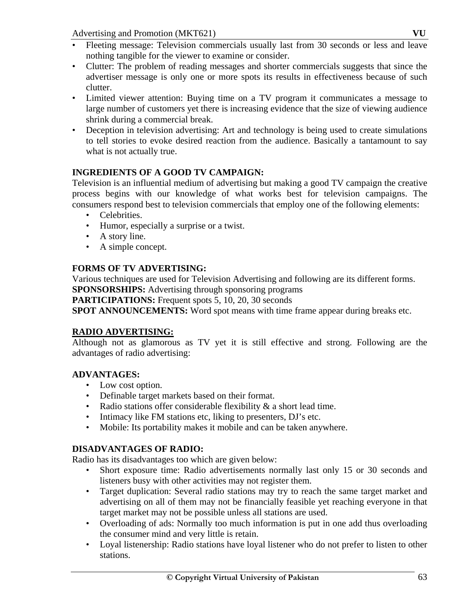Advertising and Promotion (MKT621) **VU** 

- Fleeting message: Television commercials usually last from 30 seconds or less and leave nothing tangible for the viewer to examine or consider.
- Clutter: The problem of reading messages and shorter commercials suggests that since the advertiser message is only one or more spots its results in effectiveness because of such clutter.
- Limited viewer attention: Buying time on a TV program it communicates a message to large number of customers yet there is increasing evidence that the size of viewing audience shrink during a commercial break.
- Deception in television advertising: Art and technology is being used to create simulations to tell stories to evoke desired reaction from the audience. Basically a tantamount to say what is not actually true.

# **INGREDIENTS OF A GOOD TV CAMPAIGN:**

Television is an influential medium of advertising but making a good TV campaign the creative process begins with our knowledge of what works best for television campaigns. The consumers respond best to television commercials that employ one of the following elements:

- Celebrities.
- Humor, especially a surprise or a twist.
- A story line.
- A simple concept.

# **FORMS OF TV ADVERTISING:**

Various techniques are used for Television Advertising and following are its different forms. **SPONSORSHIPS:** Advertising through sponsoring programs

**PARTICIPATIONS:** Frequent spots 5, 10, 20, 30 seconds

**SPOT ANNOUNCEMENTS:** Word spot means with time frame appear during breaks etc.

# **RADIO ADVERTISING:**

Although not as glamorous as TV yet it is still effective and strong. Following are the advantages of radio advertising:

# **ADVANTAGES:**

- Low cost option.
- Definable target markets based on their format.
- Radio stations offer considerable flexibility  $\&$  a short lead time.
- Intimacy like FM stations etc, liking to presenters, DJ's etc.
- Mobile: Its portability makes it mobile and can be taken anywhere.

# **DISADVANTAGES OF RADIO:**

Radio has its disadvantages too which are given below:

- Short exposure time: Radio advertisements normally last only 15 or 30 seconds and listeners busy with other activities may not register them.
- Target duplication: Several radio stations may try to reach the same target market and advertising on all of them may not be financially feasible yet reaching everyone in that target market may not be possible unless all stations are used.
- Overloading of ads: Normally too much information is put in one add thus overloading the consumer mind and very little is retain.
- Loyal listenership: Radio stations have loyal listener who do not prefer to listen to other stations.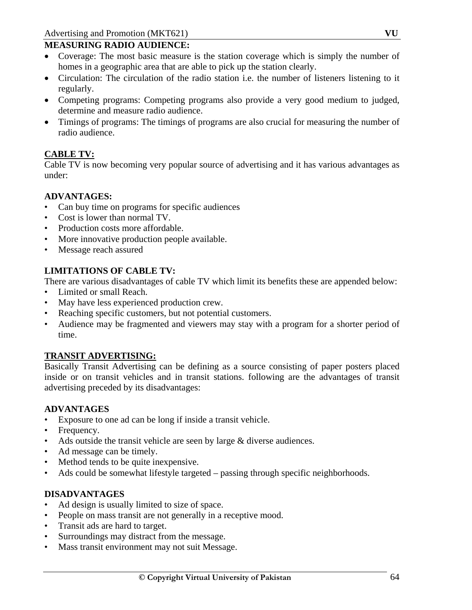# **MEASURING RADIO AUDIENCE:**

- Coverage: The most basic measure is the station coverage which is simply the number of homes in a geographic area that are able to pick up the station clearly.
- Circulation: The circulation of the radio station i.e. the number of listeners listening to it regularly.
- Competing programs: Competing programs also provide a very good medium to judged, determine and measure radio audience.
- Timings of programs: The timings of programs are also crucial for measuring the number of radio audience.

# **CABLE TV:**

Cable TV is now becoming very popular source of advertising and it has various advantages as under:

# **ADVANTAGES:**

- Can buy time on programs for specific audiences
- Cost is lower than normal TV.
- Production costs more affordable.
- More innovative production people available.
- Message reach assured

# **LIMITATIONS OF CABLE TV:**

There are various disadvantages of cable TV which limit its benefits these are appended below:

- Limited or small Reach.
- May have less experienced production crew.
- Reaching specific customers, but not potential customers.
- Audience may be fragmented and viewers may stay with a program for a shorter period of time.

# **TRANSIT ADVERTISING:**

Basically Transit Advertising can be defining as a source consisting of paper posters placed inside or on transit vehicles and in transit stations. following are the advantages of transit advertising preceded by its disadvantages:

# **ADVANTAGES**

- Exposure to one ad can be long if inside a transit vehicle.
- Frequency.
- Ads outside the transit vehicle are seen by large & diverse audiences.
- Ad message can be timely.
- Method tends to be quite inexpensive.
- Ads could be somewhat lifestyle targeted passing through specific neighborhoods.

# **DISADVANTAGES**

- Ad design is usually limited to size of space.
- People on mass transit are not generally in a receptive mood.
- Transit ads are hard to target.
- Surroundings may distract from the message.
- Mass transit environment may not suit Message.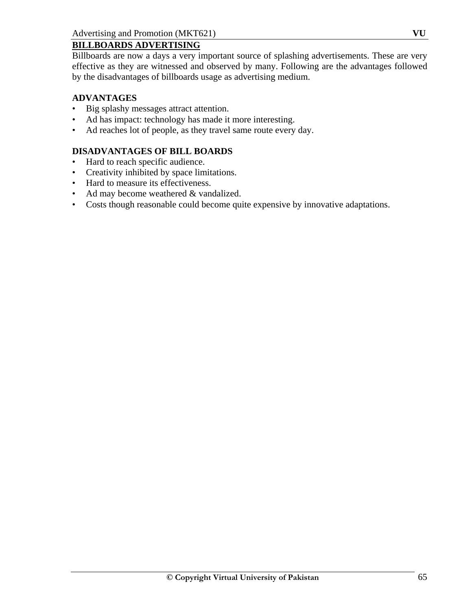# **BILLBOARDS ADVERTISING**

Billboards are now a days a very important source of splashing advertisements. These are very effective as they are witnessed and observed by many. Following are the advantages followed by the disadvantages of billboards usage as advertising medium.

# **ADVANTAGES**

- Big splashy messages attract attention.
- Ad has impact: technology has made it more interesting.
- Ad reaches lot of people, as they travel same route every day.

#### **DISADVANTAGES OF BILL BOARDS**

- Hard to reach specific audience.
- Creativity inhibited by space limitations.
- Hard to measure its effectiveness.
- Ad may become weathered & vandalized.
- Costs though reasonable could become quite expensive by innovative adaptations.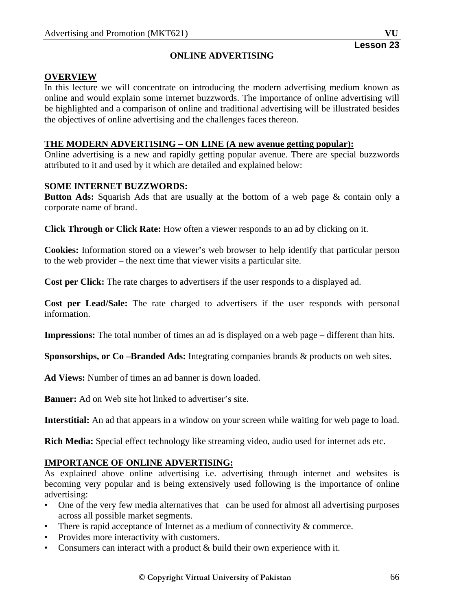#### **ONLINE ADVERTISING**

#### **OVERVIEW**

In this lecture we will concentrate on introducing the modern advertising medium known as online and would explain some internet buzzwords. The importance of online advertising will be highlighted and a comparison of online and traditional advertising will be illustrated besides the objectives of online advertising and the challenges faces thereon.

#### **THE MODERN ADVERTISING – ON LINE (A new avenue getting popular):**

Online advertising is a new and rapidly getting popular avenue. There are special buzzwords attributed to it and used by it which are detailed and explained below:

#### **SOME INTERNET BUZZWORDS:**

**Button Ads:** Squarish Ads that are usually at the bottom of a web page & contain only a corporate name of brand.

**Click Through or Click Rate:** How often a viewer responds to an ad by clicking on it.

**Cookies:** Information stored on a viewer's web browser to help identify that particular person to the web provider – the next time that viewer visits a particular site.

**Cost per Click:** The rate charges to advertisers if the user responds to a displayed ad.

**Cost per Lead/Sale:** The rate charged to advertisers if the user responds with personal information.

**Impressions:** The total number of times an ad is displayed on a web page **–** different than hits.

**Sponsorships, or Co –Branded Ads:** Integrating companies brands & products on web sites.

**Ad Views:** Number of times an ad banner is down loaded.

**Banner:** Ad on Web site hot linked to advertiser's site.

**Interstitial:** An ad that appears in a window on your screen while waiting for web page to load.

**Rich Media:** Special effect technology like streaming video, audio used for internet ads etc.

#### **IMPORTANCE OF ONLINE ADVERTISING:**

As explained above online advertising i.e. advertising through internet and websites is becoming very popular and is being extensively used following is the importance of online advertising:

- One of the very few media alternatives that can be used for almost all advertising purposes across all possible market segments.
- There is rapid acceptance of Internet as a medium of connectivity & commerce.
- Provides more interactivity with customers.
- Consumers can interact with a product & build their own experience with it.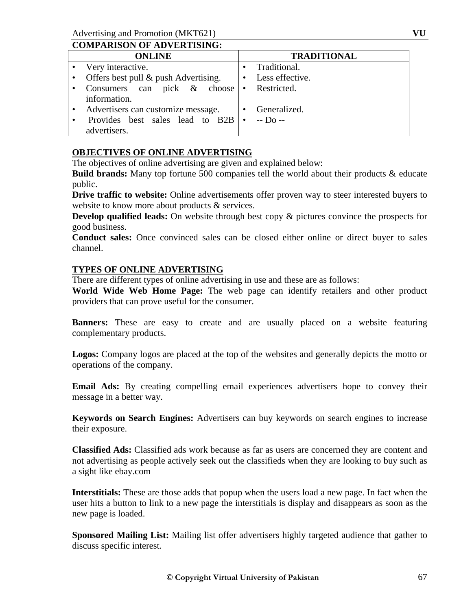|           | <b>COMPARISON OF ADVERTISING:</b>                |           |                    |  |  |
|-----------|--------------------------------------------------|-----------|--------------------|--|--|
|           | <b>ONLINE</b>                                    |           | <b>TRADITIONAL</b> |  |  |
|           | • Very interactive.                              |           | Traditional.       |  |  |
|           | • Offers best pull & push Advertising.           |           | Less effective.    |  |  |
|           | • Consumers can pick $\&$ choose<br>information. | $\bullet$ | Restricted.        |  |  |
| $\bullet$ | Advertisers can customize message.               |           | Generalized.       |  |  |
|           | Provides best sales lead to B2B<br>advertisers.  | ∣ •       | $-D0$ --           |  |  |

# **OBJECTIVES OF ONLINE ADVERTISING**

The objectives of online advertising are given and explained below:

**Build brands:** Many top fortune 500 companies tell the world about their products & educate public.

**Drive traffic to website:** Online advertisements offer proven way to steer interested buyers to website to know more about products & services.

**Develop qualified leads:** On website through best copy  $\&$  pictures convince the prospects for good business.

**Conduct sales:** Once convinced sales can be closed either online or direct buyer to sales channel.

# **TYPES OF ONLINE ADVERTISING**

There are different types of online advertising in use and these are as follows:

**World Wide Web Home Page:** The web page can identify retailers and other product providers that can prove useful for the consumer.

**Banners:** These are easy to create and are usually placed on a website featuring complementary products.

**Logos:** Company logos are placed at the top of the websites and generally depicts the motto or operations of the company.

**Email Ads:** By creating compelling email experiences advertisers hope to convey their message in a better way.

**Keywords on Search Engines:** Advertisers can buy keywords on search engines to increase their exposure.

**Classified Ads:** Classified ads work because as far as users are concerned they are content and not advertising as people actively seek out the classifieds when they are looking to buy such as a sight like ebay.com

**Interstitials:** These are those adds that popup when the users load a new page. In fact when the user hits a button to link to a new page the interstitials is display and disappears as soon as the new page is loaded.

**Sponsored Mailing List:** Mailing list offer advertisers highly targeted audience that gather to discuss specific interest.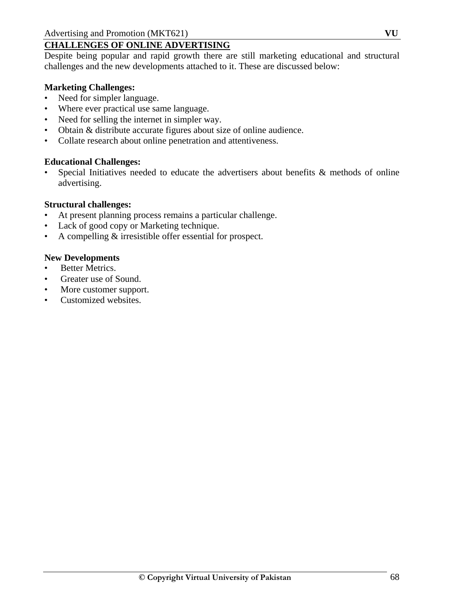# **CHALLENGES OF ONLINE ADVERTISING**

Despite being popular and rapid growth there are still marketing educational and structural challenges and the new developments attached to it. These are discussed below:

### **Marketing Challenges:**

- Need for simpler language.
- Where ever practical use same language.
- Need for selling the internet in simpler way.
- Obtain & distribute accurate figures about size of online audience.
- Collate research about online penetration and attentiveness.

# **Educational Challenges:**

• Special Initiatives needed to educate the advertisers about benefits & methods of online advertising.

# **Structural challenges:**

- At present planning process remains a particular challenge.
- Lack of good copy or Marketing technique.
- A compelling & irresistible offer essential for prospect.

# **New Developments**

- Better Metrics.
- Greater use of Sound.
- More customer support.
- Customized websites.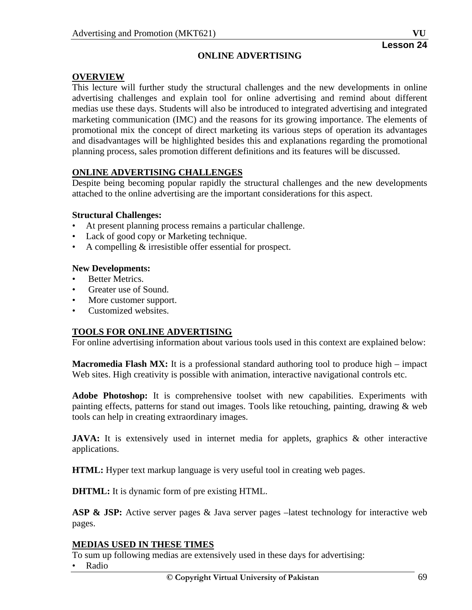# **OVERVIEW**

This lecture will further study the structural challenges and the new developments in online advertising challenges and explain tool for online advertising and remind about different medias use these days. Students will also be introduced to integrated advertising and integrated marketing communication (IMC) and the reasons for its growing importance. The elements of promotional mix the concept of direct marketing its various steps of operation its advantages and disadvantages will be highlighted besides this and explanations regarding the promotional planning process, sales promotion different definitions and its features will be discussed.

# **ONLINE ADVERTISING CHALLENGES**

Despite being becoming popular rapidly the structural challenges and the new developments attached to the online advertising are the important considerations for this aspect.

#### **Structural Challenges:**

- At present planning process remains a particular challenge.
- Lack of good copy or Marketing technique.
- A compelling & irresistible offer essential for prospect.

#### **New Developments:**

- **Better Metrics.**
- Greater use of Sound.
- More customer support.
- Customized websites.

# **TOOLS FOR ONLINE ADVERTISING**

For online advertising information about various tools used in this context are explained below:

**Macromedia Flash MX:** It is a professional standard authoring tool to produce high – impact Web sites. High creativity is possible with animation, interactive navigational controls etc.

**Adobe Photoshop:** It is comprehensive toolset with new capabilities. Experiments with painting effects, patterns for stand out images. Tools like retouching, painting, drawing & web tools can help in creating extraordinary images.

**JAVA:** It is extensively used in internet media for applets, graphics & other interactive applications.

**HTML:** Hyper text markup language is very useful tool in creating web pages.

**DHTML:** It is dynamic form of pre existing HTML.

**ASP & JSP:** Active server pages & Java server pages –latest technology for interactive web pages.

#### **MEDIAS USED IN THESE TIMES**

To sum up following medias are extensively used in these days for advertising:

• Radio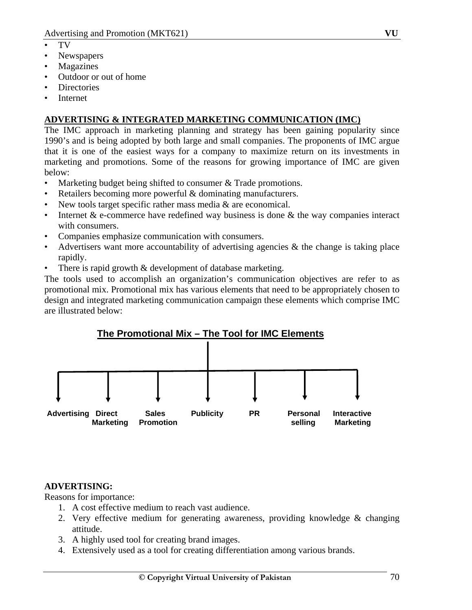- TV
- Newspapers
- Magazines
- Outdoor or out of home
- **Directories**
- **Internet**

# **ADVERTISING & INTEGRATED MARKETING COMMUNICATION (IMC)**

The IMC approach in marketing planning and strategy has been gaining popularity since 1990's and is being adopted by both large and small companies. The proponents of IMC argue that it is one of the easiest ways for a company to maximize return on its investments in marketing and promotions. Some of the reasons for growing importance of IMC are given below:

- Marketing budget being shifted to consumer & Trade promotions.
- Retailers becoming more powerful & dominating manufacturers.
- New tools target specific rather mass media & are economical.
- Internet  $&$  e-commerce have redefined way business is done  $&$  the way companies interact with consumers.
- Companies emphasize communication with consumers.
- Advertisers want more accountability of advertising agencies  $\&$  the change is taking place rapidly.
- There is rapid growth  $&$  development of database marketing.

The tools used to accomplish an organization's communication objectives are refer to as promotional mix. Promotional mix has various elements that need to be appropriately chosen to design and integrated marketing communication campaign these elements which comprise IMC are illustrated below:

# **The Promotional Mix – The Tool for IMC Elements**



#### **ADVERTISING:**

Reasons for importance:

- 1. A cost effective medium to reach vast audience.
- 2. Very effective medium for generating awareness, providing knowledge & changing attitude.
- 3. A highly used tool for creating brand images.
- 4. Extensively used as a tool for creating differentiation among various brands.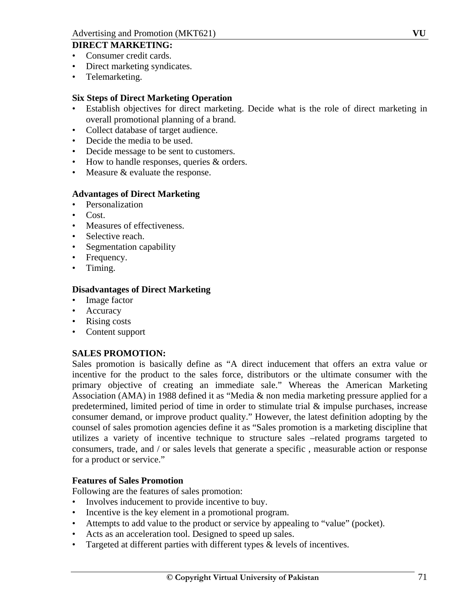# **DIRECT MARKETING:**

- Consumer credit cards.
- Direct marketing syndicates.
- Telemarketing.

# **Six Steps of Direct Marketing Operation**

- Establish objectives for direct marketing. Decide what is the role of direct marketing in overall promotional planning of a brand.
- Collect database of target audience.
- Decide the media to be used.
- Decide message to be sent to customers.
- How to handle responses, queries & orders.
- Measure & evaluate the response.

# **Advantages of Direct Marketing**

- Personalization
- Cost.
- Measures of effectiveness.
- Selective reach.
- Segmentation capability
- Frequency.
- Timing.

# **Disadvantages of Direct Marketing**

- Image factor
- Accuracy
- Rising costs
- Content support

# **SALES PROMOTION:**

Sales promotion is basically define as "A direct inducement that offers an extra value or incentive for the product to the sales force, distributors or the ultimate consumer with the primary objective of creating an immediate sale." Whereas the American Marketing Association (AMA) in 1988 defined it as "Media & non media marketing pressure applied for a predetermined, limited period of time in order to stimulate trial & impulse purchases, increase consumer demand, or improve product quality." However, the latest definition adopting by the counsel of sales promotion agencies define it as "Sales promotion is a marketing discipline that utilizes a variety of incentive technique to structure sales –related programs targeted to consumers, trade, and / or sales levels that generate a specific , measurable action or response for a product or service."

#### **Features of Sales Promotion**

Following are the features of sales promotion:

- Involves inducement to provide incentive to buy.
- Incentive is the key element in a promotional program.
- Attempts to add value to the product or service by appealing to "value" (pocket).
- Acts as an acceleration tool. Designed to speed up sales.
- Targeted at different parties with different types & levels of incentives.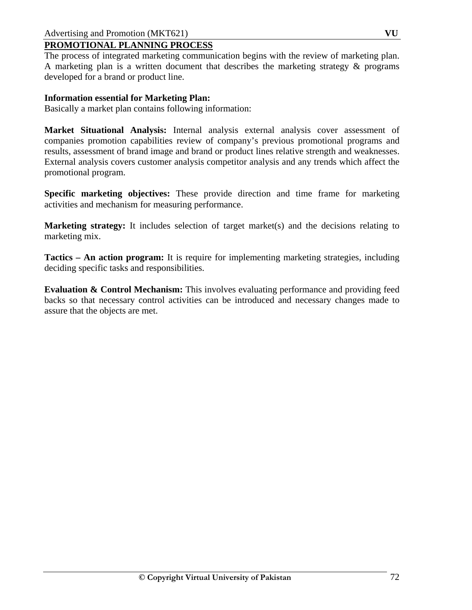#### **PROMOTIONAL PLANNING PROCESS**

The process of integrated marketing communication begins with the review of marketing plan. A marketing plan is a written document that describes the marketing strategy & programs developed for a brand or product line.

#### **Information essential for Marketing Plan:**

Basically a market plan contains following information:

**Market Situational Analysis:** Internal analysis external analysis cover assessment of companies promotion capabilities review of company's previous promotional programs and results, assessment of brand image and brand or product lines relative strength and weaknesses. External analysis covers customer analysis competitor analysis and any trends which affect the promotional program.

**Specific marketing objectives:** These provide direction and time frame for marketing activities and mechanism for measuring performance.

**Marketing strategy:** It includes selection of target market(s) and the decisions relating to marketing mix.

**Tactics – An action program:** It is require for implementing marketing strategies, including deciding specific tasks and responsibilities.

**Evaluation & Control Mechanism:** This involves evaluating performance and providing feed backs so that necessary control activities can be introduced and necessary changes made to assure that the objects are met.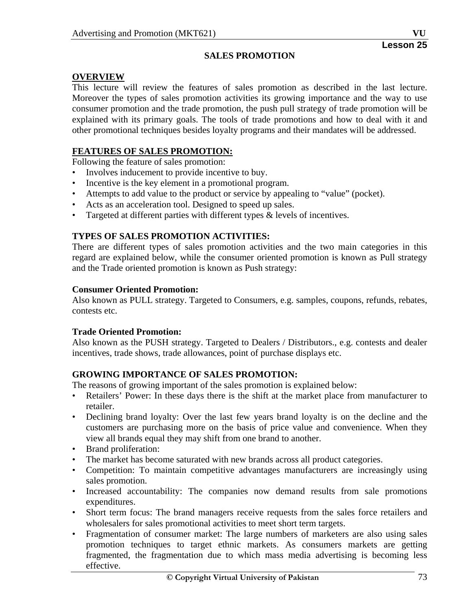#### **SALES PROMOTION**

### **OVERVIEW**

This lecture will review the features of sales promotion as described in the last lecture. Moreover the types of sales promotion activities its growing importance and the way to use consumer promotion and the trade promotion, the push pull strategy of trade promotion will be explained with its primary goals. The tools of trade promotions and how to deal with it and other promotional techniques besides loyalty programs and their mandates will be addressed.

#### **FEATURES OF SALES PROMOTION:**

Following the feature of sales promotion:

- Involves inducement to provide incentive to buy.
- Incentive is the key element in a promotional program.
- Attempts to add value to the product or service by appealing to "value" (pocket).
- Acts as an acceleration tool. Designed to speed up sales.
- Targeted at different parties with different types & levels of incentives.

#### **TYPES OF SALES PROMOTION ACTIVITIES:**

There are different types of sales promotion activities and the two main categories in this regard are explained below, while the consumer oriented promotion is known as Pull strategy and the Trade oriented promotion is known as Push strategy:

#### **Consumer Oriented Promotion:**

Also known as PULL strategy. Targeted to Consumers, e.g. samples, coupons, refunds, rebates, contests etc.

#### **Trade Oriented Promotion:**

Also known as the PUSH strategy. Targeted to Dealers / Distributors., e.g. contests and dealer incentives, trade shows, trade allowances, point of purchase displays etc.

#### **GROWING IMPORTANCE OF SALES PROMOTION:**

The reasons of growing important of the sales promotion is explained below:

- Retailers' Power: In these days there is the shift at the market place from manufacturer to retailer.
- Declining brand loyalty: Over the last few years brand loyalty is on the decline and the customers are purchasing more on the basis of price value and convenience. When they view all brands equal they may shift from one brand to another.
- Brand proliferation:
- The market has become saturated with new brands across all product categories.
- Competition: To maintain competitive advantages manufacturers are increasingly using sales promotion.
- Increased accountability: The companies now demand results from sale promotions expenditures.
- Short term focus: The brand managers receive requests from the sales force retailers and wholesalers for sales promotional activities to meet short term targets.
- Fragmentation of consumer market: The large numbers of marketers are also using sales promotion techniques to target ethnic markets. As consumers markets are getting fragmented, the fragmentation due to which mass media advertising is becoming less effective.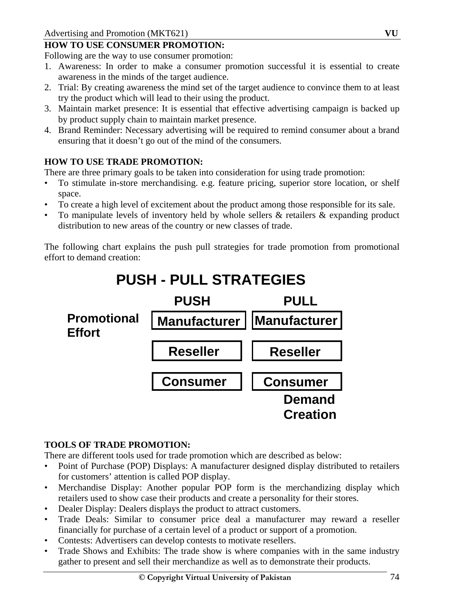# **HOW TO USE CONSUMER PROMOTION:**

Following are the way to use consumer promotion:

- 1. Awareness: In order to make a consumer promotion successful it is essential to create awareness in the minds of the target audience.
- 2. Trial: By creating awareness the mind set of the target audience to convince them to at least try the product which will lead to their using the product.
- 3. Maintain market presence: It is essential that effective advertising campaign is backed up by product supply chain to maintain market presence.
- 4. Brand Reminder: Necessary advertising will be required to remind consumer about a brand ensuring that it doesn't go out of the mind of the consumers.

### **HOW TO USE TRADE PROMOTION:**

There are three primary goals to be taken into consideration for using trade promotion:

- To stimulate in-store merchandising. e.g. feature pricing, superior store location, or shelf space.
- To create a high level of excitement about the product among those responsible for its sale.
- To manipulate levels of inventory held by whole sellers & retailers & expanding product distribution to new areas of the country or new classes of trade.

The following chart explains the push pull strategies for trade promotion from promotional effort to demand creation:



#### **TOOLS OF TRADE PROMOTION:**

There are different tools used for trade promotion which are described as below:

- Point of Purchase (POP) Displays: A manufacturer designed display distributed to retailers for customers' attention is called POP display.
- Merchandise Display: Another popular POP form is the merchandizing display which retailers used to show case their products and create a personality for their stores.
- Dealer Display: Dealers displays the product to attract customers.
- Trade Deals: Similar to consumer price deal a manufacturer may reward a reseller financially for purchase of a certain level of a product or support of a promotion.
- Contests: Advertisers can develop contests to motivate resellers.
- Trade Shows and Exhibits: The trade show is where companies with in the same industry gather to present and sell their merchandize as well as to demonstrate their products.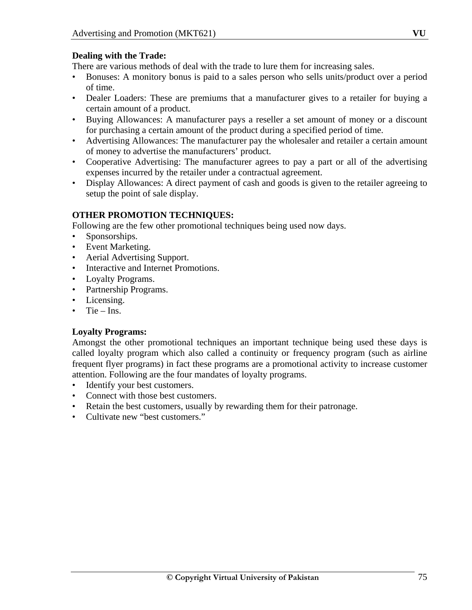#### **Dealing with the Trade:**

There are various methods of deal with the trade to lure them for increasing sales.

- Bonuses: A monitory bonus is paid to a sales person who sells units/product over a period of time.
- Dealer Loaders: These are premiums that a manufacturer gives to a retailer for buying a certain amount of a product.
- Buying Allowances: A manufacturer pays a reseller a set amount of money or a discount for purchasing a certain amount of the product during a specified period of time.
- Advertising Allowances: The manufacturer pay the wholesaler and retailer a certain amount of money to advertise the manufacturers' product.
- Cooperative Advertising: The manufacturer agrees to pay a part or all of the advertising expenses incurred by the retailer under a contractual agreement.
- Display Allowances: A direct payment of cash and goods is given to the retailer agreeing to setup the point of sale display.

#### **OTHER PROMOTION TECHNIQUES:**

Following are the few other promotional techniques being used now days.

- Sponsorships.
- Event Marketing.
- Aerial Advertising Support.
- Interactive and Internet Promotions.
- Loyalty Programs.
- Partnership Programs.
- Licensing.
- Tie Ins.

#### **Loyalty Programs:**

Amongst the other promotional techniques an important technique being used these days is called loyalty program which also called a continuity or frequency program (such as airline frequent flyer programs) in fact these programs are a promotional activity to increase customer attention. Following are the four mandates of loyalty programs.

- Identify your best customers.
- Connect with those best customers.
- Retain the best customers, usually by rewarding them for their patronage.
- Cultivate new "best customers."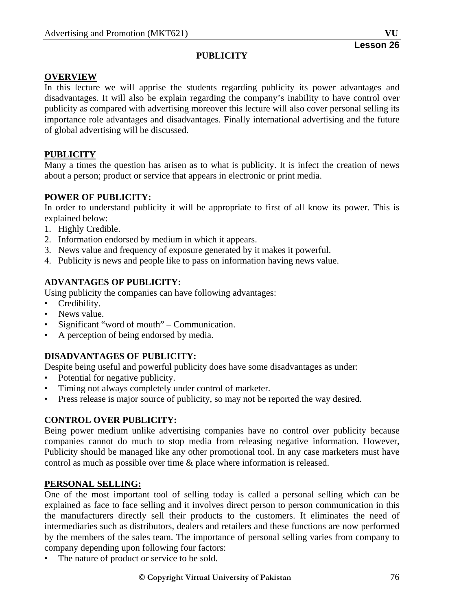### **PUBLICITY**

#### **OVERVIEW**

In this lecture we will apprise the students regarding publicity its power advantages and disadvantages. It will also be explain regarding the company's inability to have control over publicity as compared with advertising moreover this lecture will also cover personal selling its importance role advantages and disadvantages. Finally international advertising and the future of global advertising will be discussed.

### **PUBLICITY**

Many a times the question has arisen as to what is publicity. It is infect the creation of news about a person; product or service that appears in electronic or print media.

#### **POWER OF PUBLICITY:**

In order to understand publicity it will be appropriate to first of all know its power. This is explained below:

- 1. Highly Credible.
- 2. Information endorsed by medium in which it appears.
- 3. News value and frequency of exposure generated by it makes it powerful.
- 4. Publicity is news and people like to pass on information having news value.

### **ADVANTAGES OF PUBLICITY:**

Using publicity the companies can have following advantages:

- Credibility.
- News value.
- Significant "word of mouth" Communication.
- A perception of being endorsed by media.

# **DISADVANTAGES OF PUBLICITY:**

Despite being useful and powerful publicity does have some disadvantages as under:

- Potential for negative publicity.
- Timing not always completely under control of marketer.
- Press release is major source of publicity, so may not be reported the way desired.

#### **CONTROL OVER PUBLICITY:**

Being power medium unlike advertising companies have no control over publicity because companies cannot do much to stop media from releasing negative information. However, Publicity should be managed like any other promotional tool. In any case marketers must have control as much as possible over time & place where information is released.

#### **PERSONAL SELLING:**

One of the most important tool of selling today is called a personal selling which can be explained as face to face selling and it involves direct person to person communication in this the manufacturers directly sell their products to the customers. It eliminates the need of intermediaries such as distributors, dealers and retailers and these functions are now performed by the members of the sales team. The importance of personal selling varies from company to company depending upon following four factors:

• The nature of product or service to be sold.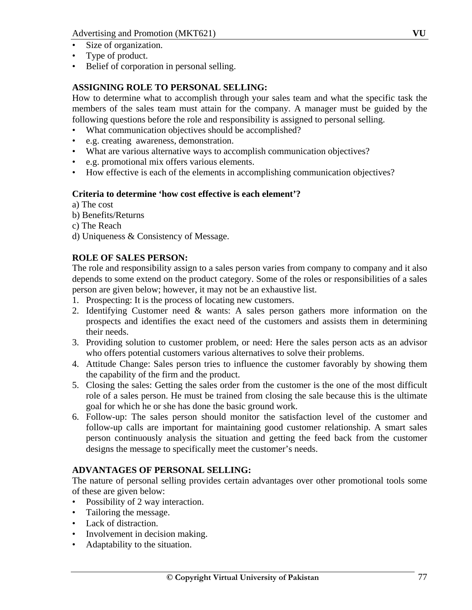- Size of organization.
- Type of product.
- Belief of corporation in personal selling.

# **ASSIGNING ROLE TO PERSONAL SELLING:**

How to determine what to accomplish through your sales team and what the specific task the members of the sales team must attain for the company. A manager must be guided by the following questions before the role and responsibility is assigned to personal selling.

- What communication objectives should be accomplished?
- e.g. creating awareness, demonstration.
- What are various alternative ways to accomplish communication objectives?
- e.g. promotional mix offers various elements.
- How effective is each of the elements in accomplishing communication objectives?

#### **Criteria to determine 'how cost effective is each element'?**

- a) The cost
- b) Benefits/Returns
- c) The Reach
- d) Uniqueness & Consistency of Message.

# **ROLE OF SALES PERSON:**

The role and responsibility assign to a sales person varies from company to company and it also depends to some extend on the product category. Some of the roles or responsibilities of a sales person are given below; however, it may not be an exhaustive list.

- 1. Prospecting: It is the process of locating new customers.
- 2. Identifying Customer need & wants: A sales person gathers more information on the prospects and identifies the exact need of the customers and assists them in determining their needs.
- 3. Providing solution to customer problem, or need: Here the sales person acts as an advisor who offers potential customers various alternatives to solve their problems.
- 4. Attitude Change: Sales person tries to influence the customer favorably by showing them the capability of the firm and the product.
- 5. Closing the sales: Getting the sales order from the customer is the one of the most difficult role of a sales person. He must be trained from closing the sale because this is the ultimate goal for which he or she has done the basic ground work.
- 6. Follow-up: The sales person should monitor the satisfaction level of the customer and follow-up calls are important for maintaining good customer relationship. A smart sales person continuously analysis the situation and getting the feed back from the customer designs the message to specifically meet the customer's needs.

# **ADVANTAGES OF PERSONAL SELLING:**

The nature of personal selling provides certain advantages over other promotional tools some of these are given below:

- Possibility of 2 way interaction.
- Tailoring the message.
- Lack of distraction.
- Involvement in decision making.
- Adaptability to the situation.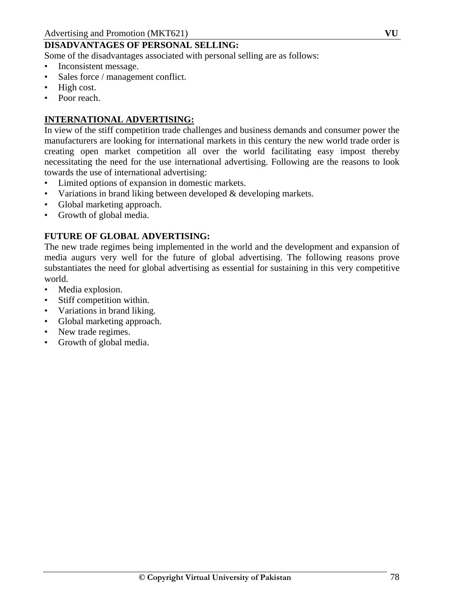# **DISADVANTAGES OF PERSONAL SELLING:**

Some of the disadvantages associated with personal selling are as follows:

- Inconsistent message.
- Sales force / management conflict.
- High cost.
- Poor reach.

### **INTERNATIONAL ADVERTISING:**

In view of the stiff competition trade challenges and business demands and consumer power the manufacturers are looking for international markets in this century the new world trade order is creating open market competition all over the world facilitating easy impost thereby necessitating the need for the use international advertising. Following are the reasons to look towards the use of international advertising:

- Limited options of expansion in domestic markets.
- Variations in brand liking between developed & developing markets.
- Global marketing approach.
- Growth of global media.

#### **FUTURE OF GLOBAL ADVERTISING:**

The new trade regimes being implemented in the world and the development and expansion of media augurs very well for the future of global advertising. The following reasons prove substantiates the need for global advertising as essential for sustaining in this very competitive world.

- Media explosion.
- Stiff competition within.
- Variations in brand liking.
- Global marketing approach.
- New trade regimes.
- Growth of global media.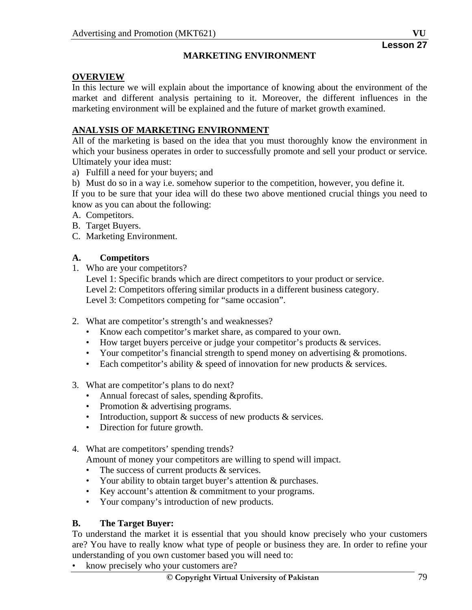# **OVERVIEW**

In this lecture we will explain about the importance of knowing about the environment of the market and different analysis pertaining to it. Moreover, the different influences in the marketing environment will be explained and the future of market growth examined.

# **ANALYSIS OF MARKETING ENVIRONMENT**

All of the marketing is based on the idea that you must thoroughly know the environment in which your business operates in order to successfully promote and sell your product or service. Ultimately your idea must:

- a) Fulfill a need for your buyers; and
- b) Must do so in a way i.e. somehow superior to the competition, however, you define it.

If you to be sure that your idea will do these two above mentioned crucial things you need to know as you can about the following:

- A. Competitors.
- B. Target Buyers.
- C. Marketing Environment.

# **A. Competitors**

1. Who are your competitors?

Level 1: Specific brands which are direct competitors to your product or service. Level 2: Competitors offering similar products in a different business category. Level 3: Competitors competing for "same occasion".

- 2. What are competitor's strength's and weaknesses?
	- Know each competitor's market share, as compared to your own.
	- How target buyers perceive or judge your competitor's products & services.
	- Your competitor's financial strength to spend money on advertising & promotions.
	- Each competitor's ability & speed of innovation for new products & services.
- 3. What are competitor's plans to do next?
	- Annual forecast of sales, spending &profits.
	- Promotion & advertising programs.
	- Introduction, support & success of new products & services.
	- Direction for future growth.
- 4. What are competitors' spending trends?

Amount of money your competitors are willing to spend will impact.

- The success of current products & services.
- Your ability to obtain target buyer's attention & purchases.
- Key account's attention  $&$  commitment to your programs.
- Your company's introduction of new products.

# **B. The Target Buyer:**

To understand the market it is essential that you should know precisely who your customers are? You have to really know what type of people or business they are. In order to refine your understanding of you own customer based you will need to:

know precisely who your customers are?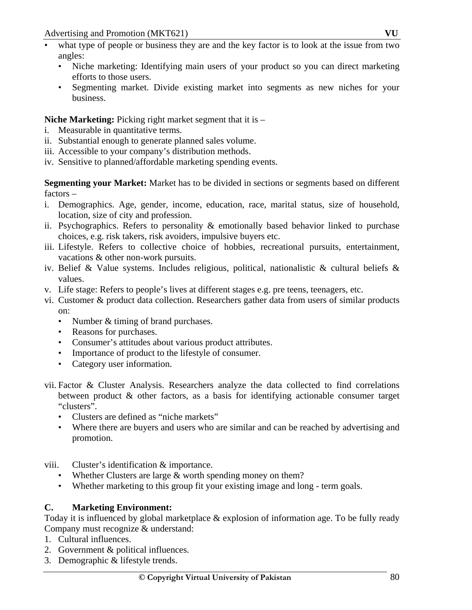- what type of people or business they are and the key factor is to look at the issue from two angles:
	- Niche marketing: Identifying main users of your product so you can direct marketing efforts to those users.
	- Segmenting market. Divide existing market into segments as new niches for your business.

# **Niche Marketing:** Picking right market segment that it is –

- i. Measurable in quantitative terms.
- ii. Substantial enough to generate planned sales volume.
- iii. Accessible to your company's distribution methods.
- iv. Sensitive to planned/affordable marketing spending events.

**Segmenting your Market:** Market has to be divided in sections or segments based on different factors –

- i. Demographics. Age, gender, income, education, race, marital status, size of household, location, size of city and profession.
- ii. Psychographics. Refers to personality  $\&$  emotionally based behavior linked to purchase choices, e.g. risk takers, risk avoiders, impulsive buyers etc.
- iii. Lifestyle. Refers to collective choice of hobbies, recreational pursuits, entertainment, vacations & other non-work pursuits.
- iv. Belief & Value systems. Includes religious, political, nationalistic & cultural beliefs & values.
- v. Life stage: Refers to people's lives at different stages e.g. pre teens, teenagers, etc.
- vi. Customer & product data collection. Researchers gather data from users of similar products on:
	- Number & timing of brand purchases.
	- Reasons for purchases.
	- Consumer's attitudes about various product attributes.
	- Importance of product to the lifestyle of consumer.
	- Category user information.
- vii. Factor & Cluster Analysis. Researchers analyze the data collected to find correlations between product & other factors, as a basis for identifying actionable consumer target "clusters".
	- Clusters are defined as "niche markets"
	- Where there are buyers and users who are similar and can be reached by advertising and promotion.
- viii. Cluster's identification & importance.
	- Whether Clusters are large & worth spending money on them?
	- Whether marketing to this group fit your existing image and long term goals.

# **C. Marketing Environment:**

Today it is influenced by global marketplace & explosion of information age. To be fully ready Company must recognize & understand:

- 1. Cultural influences.
- 2. Government & political influences.
- 3. Demographic & lifestyle trends.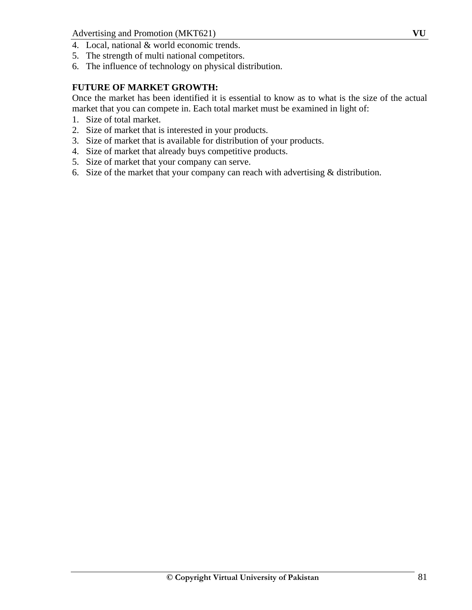- 4. Local, national & world economic trends.
- 5. The strength of multi national competitors.
- 6. The influence of technology on physical distribution.

### **FUTURE OF MARKET GROWTH:**

Once the market has been identified it is essential to know as to what is the size of the actual market that you can compete in. Each total market must be examined in light of:

- 1. Size of total market.
- 2. Size of market that is interested in your products.
- 3. Size of market that is available for distribution of your products.
- 4. Size of market that already buys competitive products.
- 5. Size of market that your company can serve.
- 6. Size of the market that your company can reach with advertising & distribution.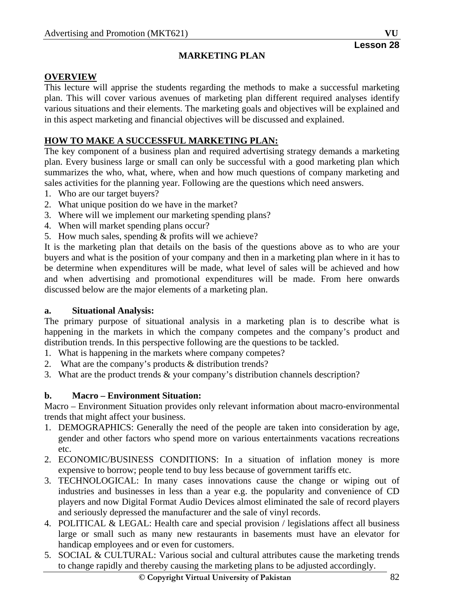#### **MARKETING PLAN**

#### **OVERVIEW**

This lecture will apprise the students regarding the methods to make a successful marketing plan. This will cover various avenues of marketing plan different required analyses identify various situations and their elements. The marketing goals and objectives will be explained and in this aspect marketing and financial objectives will be discussed and explained.

#### **HOW TO MAKE A SUCCESSFUL MARKETING PLAN:**

The key component of a business plan and required advertising strategy demands a marketing plan. Every business large or small can only be successful with a good marketing plan which summarizes the who, what, where, when and how much questions of company marketing and sales activities for the planning year. Following are the questions which need answers.

- 1. Who are our target buyers?
- 2. What unique position do we have in the market?
- 3. Where will we implement our marketing spending plans?
- 4. When will market spending plans occur?
- 5. How much sales, spending & profits will we achieve?

It is the marketing plan that details on the basis of the questions above as to who are your buyers and what is the position of your company and then in a marketing plan where in it has to be determine when expenditures will be made, what level of sales will be achieved and how and when advertising and promotional expenditures will be made. From here onwards discussed below are the major elements of a marketing plan.

#### **a. Situational Analysis:**

The primary purpose of situational analysis in a marketing plan is to describe what is happening in the markets in which the company competes and the company's product and distribution trends. In this perspective following are the questions to be tackled.

- 1. What is happening in the markets where company competes?
- 2. What are the company's products & distribution trends?
- 3. What are the product trends & your company's distribution channels description?

#### **b. Macro – Environment Situation:**

Macro – Environment Situation provides only relevant information about macro-environmental trends that might affect your business.

- 1. DEMOGRAPHICS: Generally the need of the people are taken into consideration by age, gender and other factors who spend more on various entertainments vacations recreations etc.
- 2. ECONOMIC/BUSINESS CONDITIONS: In a situation of inflation money is more expensive to borrow; people tend to buy less because of government tariffs etc.
- 3. TECHNOLOGICAL: In many cases innovations cause the change or wiping out of industries and businesses in less than a year e.g. the popularity and convenience of CD players and now Digital Format Audio Devices almost eliminated the sale of record players and seriously depressed the manufacturer and the sale of vinyl records.
- 4. POLITICAL & LEGAL: Health care and special provision / legislations affect all business large or small such as many new restaurants in basements must have an elevator for handicap employees and or even for customers.
- 5. SOCIAL & CULTURAL: Various social and cultural attributes cause the marketing trends to change rapidly and thereby causing the marketing plans to be adjusted accordingly.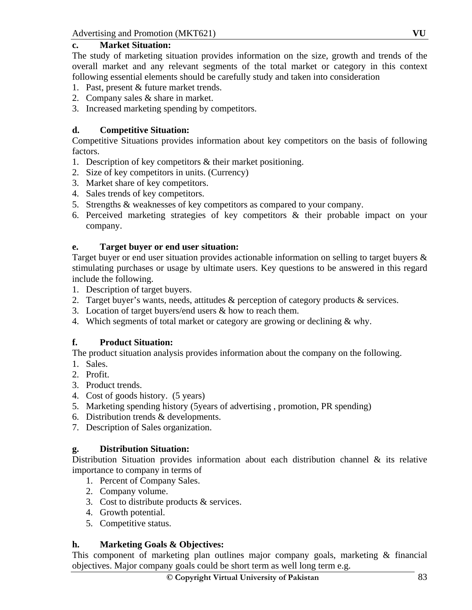### **c. Market Situation:**

The study of marketing situation provides information on the size, growth and trends of the overall market and any relevant segments of the total market or category in this context following essential elements should be carefully study and taken into consideration

- 1. Past, present & future market trends.
- 2. Company sales & share in market.
- 3. Increased marketing spending by competitors.

### **d. Competitive Situation:**

Competitive Situations provides information about key competitors on the basis of following factors.

- 1. Description of key competitors & their market positioning.
- 2. Size of key competitors in units. (Currency)
- 3. Market share of key competitors.
- 4. Sales trends of key competitors.
- 5. Strengths & weaknesses of key competitors as compared to your company.
- 6. Perceived marketing strategies of key competitors & their probable impact on your company.

### **e. Target buyer or end user situation:**

Target buyer or end user situation provides actionable information on selling to target buyers & stimulating purchases or usage by ultimate users. Key questions to be answered in this regard include the following.

- 1. Description of target buyers.
- 2. Target buyer's wants, needs, attitudes & perception of category products & services.
- 3. Location of target buyers/end users & how to reach them.
- 4. Which segments of total market or category are growing or declining & why.

# **f. Product Situation:**

The product situation analysis provides information about the company on the following.

- 1. Sales.
- 2. Profit.
- 3. Product trends.
- 4. Cost of goods history. (5 years)
- 5. Marketing spending history (5years of advertising , promotion, PR spending)
- 6. Distribution trends & developments.
- 7. Description of Sales organization.

# **g. Distribution Situation:**

Distribution Situation provides information about each distribution channel & its relative importance to company in terms of

- 1. Percent of Company Sales.
- 2. Company volume.
- 3. Cost to distribute products & services.
- 4. Growth potential.
- 5. Competitive status.

# **h. Marketing Goals & Objectives:**

This component of marketing plan outlines major company goals, marketing & financial objectives. Major company goals could be short term as well long term e.g.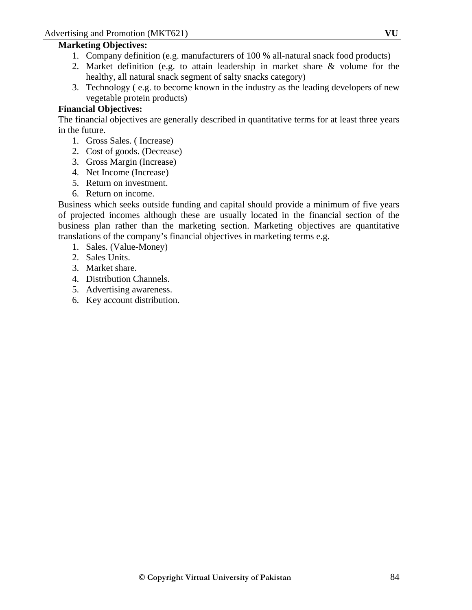#### **Marketing Objectives:**

- 1. Company definition (e.g. manufacturers of 100 % all-natural snack food products)
- 2. Market definition (e.g. to attain leadership in market share & volume for the healthy, all natural snack segment of salty snacks category)
- 3. Technology ( e.g. to become known in the industry as the leading developers of new vegetable protein products)

#### **Financial Objectives:**

The financial objectives are generally described in quantitative terms for at least three years in the future.

- 1. Gross Sales. ( Increase)
- 2. Cost of goods. (Decrease)
- 3. Gross Margin (Increase)
- 4. Net Income (Increase)
- 5. Return on investment.
- 6. Return on income.

Business which seeks outside funding and capital should provide a minimum of five years of projected incomes although these are usually located in the financial section of the business plan rather than the marketing section. Marketing objectives are quantitative translations of the company's financial objectives in marketing terms e.g.

- 1. Sales. (Value-Money)
- 2. Sales Units.
- 3. Market share.
- 4. Distribution Channels.
- 5. Advertising awareness.
- 6. Key account distribution.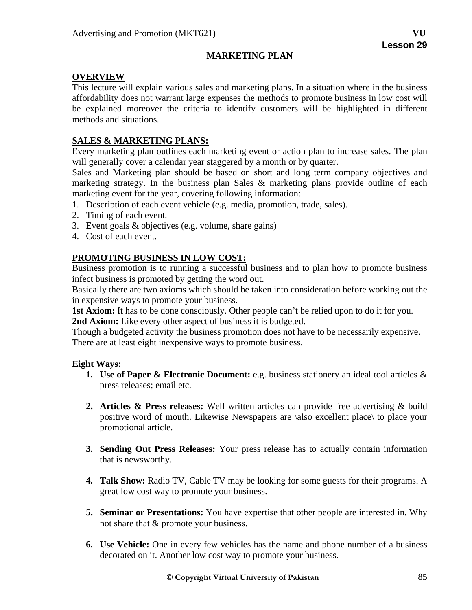#### **MARKETING PLAN**

# **OVERVIEW**

This lecture will explain various sales and marketing plans. In a situation where in the business affordability does not warrant large expenses the methods to promote business in low cost will be explained moreover the criteria to identify customers will be highlighted in different methods and situations.

#### **SALES & MARKETING PLANS:**

Every marketing plan outlines each marketing event or action plan to increase sales. The plan will generally cover a calendar year staggered by a month or by quarter.

Sales and Marketing plan should be based on short and long term company objectives and marketing strategy. In the business plan Sales & marketing plans provide outline of each marketing event for the year, covering following information:

- 1. Description of each event vehicle (e.g. media, promotion, trade, sales).
- 2. Timing of each event.
- 3. Event goals & objectives (e.g. volume, share gains)
- 4. Cost of each event.

### **PROMOTING BUSINESS IN LOW COST:**

Business promotion is to running a successful business and to plan how to promote business infect business is promoted by getting the word out.

Basically there are two axioms which should be taken into consideration before working out the in expensive ways to promote your business.

**1st Axiom:** It has to be done consciously. Other people can't be relied upon to do it for you. **2nd Axiom:** Like every other aspect of business it is budgeted.

Though a budgeted activity the business promotion does not have to be necessarily expensive. There are at least eight inexpensive ways to promote business.

#### **Eight Ways:**

- **1. Use of Paper & Electronic Document:** e.g. business stationery an ideal tool articles & press releases; email etc.
- **2. Articles & Press releases:** Well written articles can provide free advertising & build positive word of mouth. Likewise Newspapers are \also excellent place\ to place your promotional article.
- **3. Sending Out Press Releases:** Your press release has to actually contain information that is newsworthy.
- **4. Talk Show:** Radio TV, Cable TV may be looking for some guests for their programs. A great low cost way to promote your business.
- **5. Seminar or Presentations:** You have expertise that other people are interested in. Why not share that & promote your business.
- **6. Use Vehicle:** One in every few vehicles has the name and phone number of a business decorated on it. Another low cost way to promote your business.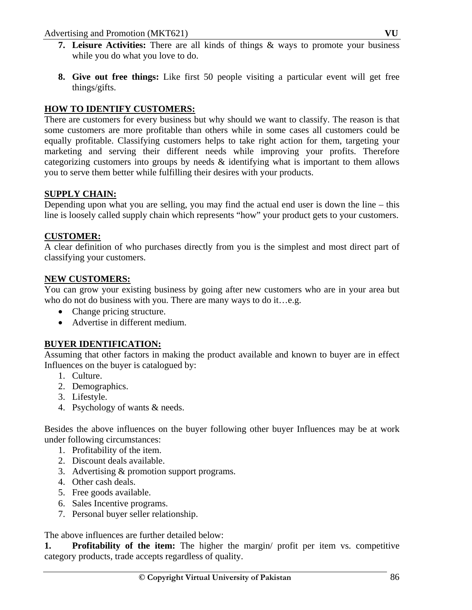- **7. Leisure Activities:** There are all kinds of things & ways to promote your business while you do what you love to do.
- **8. Give out free things:** Like first 50 people visiting a particular event will get free things/gifts.

# **HOW TO IDENTIFY CUSTOMERS:**

There are customers for every business but why should we want to classify. The reason is that some customers are more profitable than others while in some cases all customers could be equally profitable. Classifying customers helps to take right action for them, targeting your marketing and serving their different needs while improving your profits. Therefore categorizing customers into groups by needs & identifying what is important to them allows you to serve them better while fulfilling their desires with your products.

### **SUPPLY CHAIN:**

Depending upon what you are selling, you may find the actual end user is down the line  $-$  this line is loosely called supply chain which represents "how" your product gets to your customers.

### **CUSTOMER:**

A clear definition of who purchases directly from you is the simplest and most direct part of classifying your customers.

### **NEW CUSTOMERS:**

You can grow your existing business by going after new customers who are in your area but who do not do business with you. There are many ways to do it…e.g.

- Change pricing structure.
- Advertise in different medium.

# **BUYER IDENTIFICATION:**

Assuming that other factors in making the product available and known to buyer are in effect Influences on the buyer is catalogued by:

- 1. Culture.
- 2. Demographics.
- 3. Lifestyle.
- 4. Psychology of wants & needs.

Besides the above influences on the buyer following other buyer Influences may be at work under following circumstances:

- 1. Profitability of the item.
- 2. Discount deals available.
- 3. Advertising & promotion support programs.
- 4. Other cash deals.
- 5. Free goods available.
- 6. Sales Incentive programs.
- 7. Personal buyer seller relationship.

The above influences are further detailed below:

**1.** Profitability of the item: The higher the margin/ profit per item vs. competitive category products, trade accepts regardless of quality.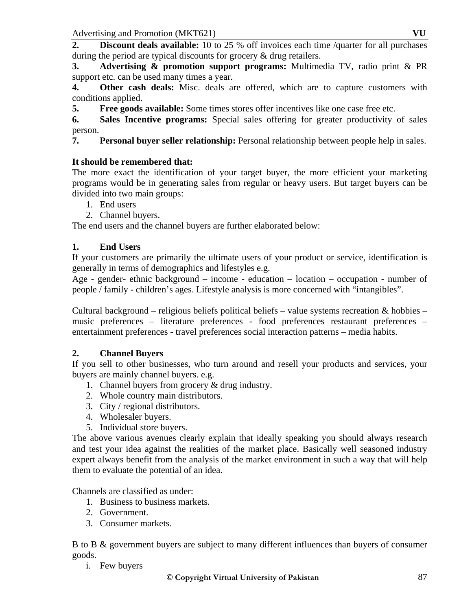Advertising and Promotion (MKT621) **VU** 

**2. Discount deals available:** 10 to 25 % off invoices each time /quarter for all purchases during the period are typical discounts for grocery & drug retailers.

**3. Advertising & promotion support programs:** Multimedia TV, radio print & PR support etc. can be used many times a year.

**4. Other cash deals:** Misc. deals are offered, which are to capture customers with conditions applied.

**5. Free goods available:** Some times stores offer incentives like one case free etc.

**6. Sales Incentive programs:** Special sales offering for greater productivity of sales person.

**7. Personal buyer seller relationship:** Personal relationship between people help in sales.

#### **It should be remembered that:**

The more exact the identification of your target buyer, the more efficient your marketing programs would be in generating sales from regular or heavy users. But target buyers can be divided into two main groups:

- 1. End users
- 2. Channel buyers.

The end users and the channel buyers are further elaborated below:

### **1. End Users**

If your customers are primarily the ultimate users of your product or service, identification is generally in terms of demographics and lifestyles e.g.

Age - gender- ethnic background – income - education – location – occupation - number of people / family - children's ages. Lifestyle analysis is more concerned with "intangibles".

Cultural background – religious beliefs political beliefs – value systems recreation  $\&$  hobbies – music preferences – literature preferences - food preferences restaurant preferences – entertainment preferences - travel preferences social interaction patterns – media habits.

# **2. Channel Buyers**

If you sell to other businesses, who turn around and resell your products and services, your buyers are mainly channel buyers. e.g.

- 1. Channel buyers from grocery & drug industry.
- 2. Whole country main distributors.
- 3. City / regional distributors.
- 4. Wholesaler buyers.
- 5. Individual store buyers.

The above various avenues clearly explain that ideally speaking you should always research and test your idea against the realities of the market place. Basically well seasoned industry expert always benefit from the analysis of the market environment in such a way that will help them to evaluate the potential of an idea.

Channels are classified as under:

- 1. Business to business markets.
- 2. Government.
- 3. Consumer markets.

B to B & government buyers are subject to many different influences than buyers of consumer goods.

i. Few buyers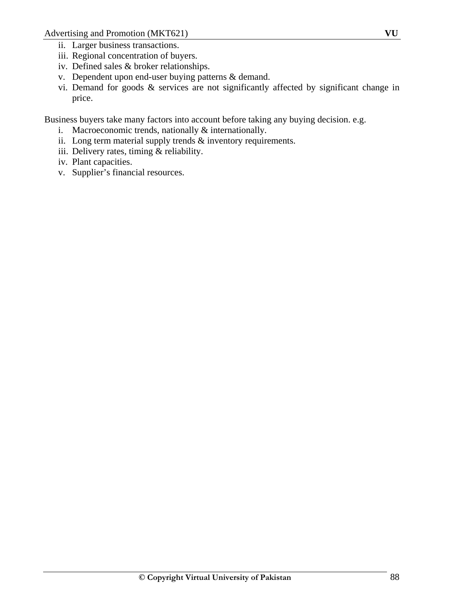Advertising and Promotion (MKT621) **VU** 

- ii. Larger business transactions.
- iii. Regional concentration of buyers.
- iv. Defined sales & broker relationships.
- v. Dependent upon end-user buying patterns & demand.
- vi. Demand for goods & services are not significantly affected by significant change in price.

Business buyers take many factors into account before taking any buying decision. e.g.

- i. Macroeconomic trends, nationally & internationally.
- ii. Long term material supply trends & inventory requirements.
- iii. Delivery rates, timing & reliability.
- iv. Plant capacities.
- v. Supplier's financial resources.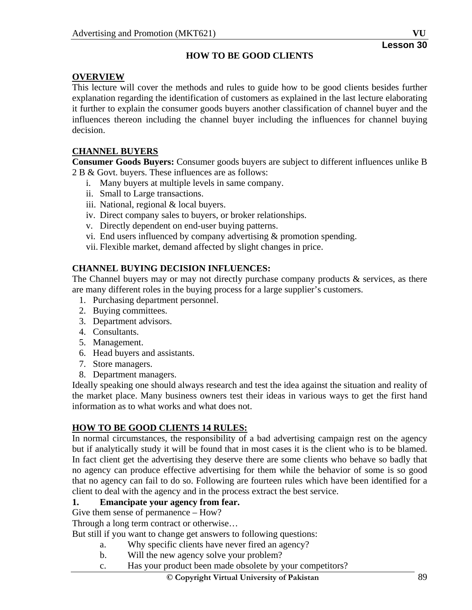### **HOW TO BE GOOD CLIENTS**

# **OVERVIEW**

This lecture will cover the methods and rules to guide how to be good clients besides further explanation regarding the identification of customers as explained in the last lecture elaborating it further to explain the consumer goods buyers another classification of channel buyer and the influences thereon including the channel buyer including the influences for channel buying decision.

### **CHANNEL BUYERS**

**Consumer Goods Buyers:** Consumer goods buyers are subject to different influences unlike B 2 B & Govt. buyers. These influences are as follows:

- i. Many buyers at multiple levels in same company.
- ii. Small to Large transactions.
- iii. National, regional & local buyers.
- iv. Direct company sales to buyers, or broker relationships.
- v. Directly dependent on end-user buying patterns.
- vi. End users influenced by company advertising & promotion spending.
- vii. Flexible market, demand affected by slight changes in price.

### **CHANNEL BUYING DECISION INFLUENCES:**

The Channel buyers may or may not directly purchase company products & services, as there are many different roles in the buying process for a large supplier's customers.

- 1. Purchasing department personnel.
- 2. Buying committees.
- 3. Department advisors.
- 4. Consultants.
- 5. Management.
- 6. Head buyers and assistants.
- 7. Store managers.
- 8. Department managers.

Ideally speaking one should always research and test the idea against the situation and reality of the market place. Many business owners test their ideas in various ways to get the first hand information as to what works and what does not.

# **HOW TO BE GOOD CLIENTS 14 RULES:**

In normal circumstances, the responsibility of a bad advertising campaign rest on the agency but if analytically study it will be found that in most cases it is the client who is to be blamed. In fact client get the advertising they deserve there are some clients who behave so badly that no agency can produce effective advertising for them while the behavior of some is so good that no agency can fail to do so. Following are fourteen rules which have been identified for a client to deal with the agency and in the process extract the best service.

#### **1. Emancipate your agency from fear.**

Give them sense of permanence – How?

Through a long term contract or otherwise…

But still if you want to change get answers to following questions:

- a. Why specific clients have never fired an agency?
- b. Will the new agency solve your problem?
- c. Has your product been made obsolete by your competitors?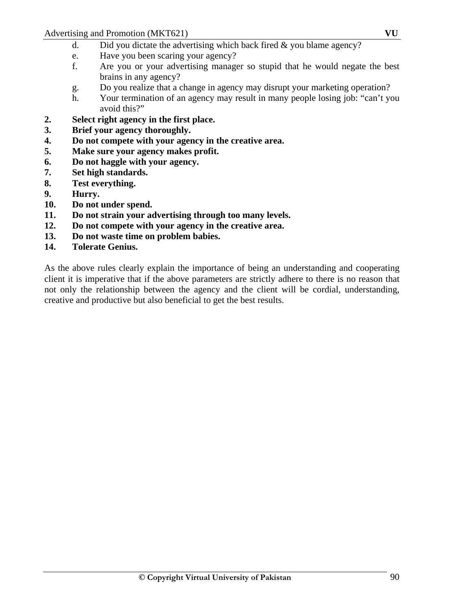- d. Did you dictate the advertising which back fired & you blame agency?
- e. Have you been scaring your agency?
- f. Are you or your advertising manager so stupid that he would negate the best brains in any agency?
- g. Do you realize that a change in agency may disrupt your marketing operation?
- h. Your termination of an agency may result in many people losing job: "can't you avoid this?"
- **2. Select right agency in the first place.**
- **3. Brief your agency thoroughly.**
- **4. Do not compete with your agency in the creative area.**
- **5. Make sure your agency makes profit.**
- **6. Do not haggle with your agency.**
- **7. Set high standards.**
- **8. Test everything.**
- **9. Hurry.**
- **10. Do not under spend.**
- **11. Do not strain your advertising through too many levels.**
- **12. Do not compete with your agency in the creative area.**
- **13. Do not waste time on problem babies.**
- **14. Tolerate Genius.**

As the above rules clearly explain the importance of being an understanding and cooperating client it is imperative that if the above parameters are strictly adhere to there is no reason that not only the relationship between the agency and the client will be cordial, understanding, creative and productive but also beneficial to get the best results.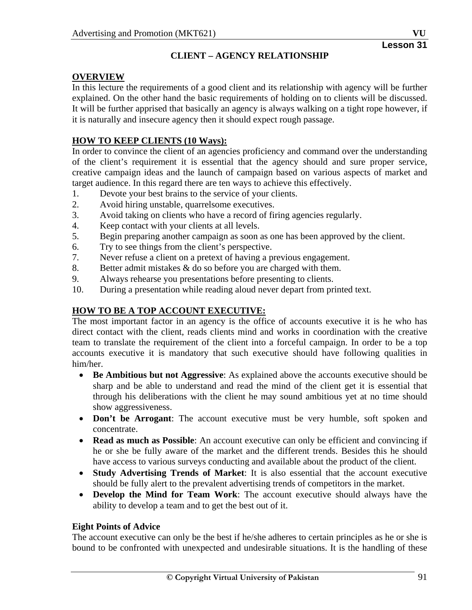### **CLIENT – AGENCY RELATIONSHIP**

# **OVERVIEW**

In this lecture the requirements of a good client and its relationship with agency will be further explained. On the other hand the basic requirements of holding on to clients will be discussed. It will be further apprised that basically an agency is always walking on a tight rope however, if it is naturally and insecure agency then it should expect rough passage.

# **HOW TO KEEP CLIENTS (10 Ways):**

In order to convince the client of an agencies proficiency and command over the understanding of the client's requirement it is essential that the agency should and sure proper service, creative campaign ideas and the launch of campaign based on various aspects of market and target audience. In this regard there are ten ways to achieve this effectively.

- 1. Devote your best brains to the service of your clients.
- 2. Avoid hiring unstable, quarrelsome executives.
- 3. Avoid taking on clients who have a record of firing agencies regularly.
- 4. Keep contact with your clients at all levels.
- 5. Begin preparing another campaign as soon as one has been approved by the client.
- 6. Try to see things from the client's perspective.
- 7. Never refuse a client on a pretext of having a previous engagement.
- 8. Better admit mistakes & do so before you are charged with them.
- 9. Always rehearse you presentations before presenting to clients.
- 10. During a presentation while reading aloud never depart from printed text.

# **HOW TO BE A TOP ACCOUNT EXECUTIVE:**

The most important factor in an agency is the office of accounts executive it is he who has direct contact with the client, reads clients mind and works in coordination with the creative team to translate the requirement of the client into a forceful campaign. In order to be a top accounts executive it is mandatory that such executive should have following qualities in him/her.

- **Be Ambitious but not Aggressive**: As explained above the accounts executive should be sharp and be able to understand and read the mind of the client get it is essential that through his deliberations with the client he may sound ambitious yet at no time should show aggressiveness.
- **Don't be Arrogant**: The account executive must be very humble, soft spoken and concentrate.
- **Read as much as Possible**: An account executive can only be efficient and convincing if he or she be fully aware of the market and the different trends. Besides this he should have access to various surveys conducting and available about the product of the client.
- **Study Advertising Trends of Market**: It is also essential that the account executive should be fully alert to the prevalent advertising trends of competitors in the market.
- **Develop the Mind for Team Work**: The account executive should always have the ability to develop a team and to get the best out of it.

# **Eight Points of Advice**

The account executive can only be the best if he/she adheres to certain principles as he or she is bound to be confronted with unexpected and undesirable situations. It is the handling of these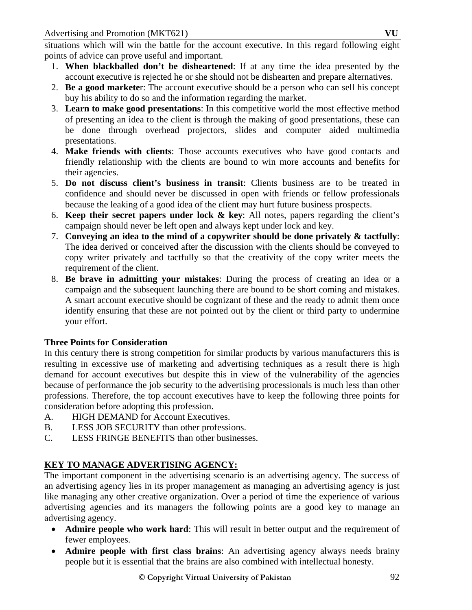situations which will win the battle for the account executive. In this regard following eight points of advice can prove useful and important.

- 1. **When blackballed don't be disheartened**: If at any time the idea presented by the account executive is rejected he or she should not be dishearten and prepare alternatives.
- 2. **Be a good markete**r: The account executive should be a person who can sell his concept buy his ability to do so and the information regarding the market.
- 3. **Learn to make good presentations**: In this competitive world the most effective method of presenting an idea to the client is through the making of good presentations, these can be done through overhead projectors, slides and computer aided multimedia presentations.
- 4. **Make friends with clients**: Those accounts executives who have good contacts and friendly relationship with the clients are bound to win more accounts and benefits for their agencies.
- 5. **Do not discuss client's business in transit**: Clients business are to be treated in confidence and should never be discussed in open with friends or fellow professionals because the leaking of a good idea of the client may hurt future business prospects.
- 6. **Keep their secret papers under lock & key**: All notes, papers regarding the client's campaign should never be left open and always kept under lock and key.
- 7. **Conveying an idea to the mind of a copywriter should be done privately & tactfully**: The idea derived or conceived after the discussion with the clients should be conveyed to copy writer privately and tactfully so that the creativity of the copy writer meets the requirement of the client.
- 8. **Be brave in admitting your mistakes**: During the process of creating an idea or a campaign and the subsequent launching there are bound to be short coming and mistakes. A smart account executive should be cognizant of these and the ready to admit them once identify ensuring that these are not pointed out by the client or third party to undermine your effort.

# **Three Points for Consideration**

In this century there is strong competition for similar products by various manufacturers this is resulting in excessive use of marketing and advertising techniques as a result there is high demand for account executives but despite this in view of the vulnerability of the agencies because of performance the job security to the advertising processionals is much less than other professions. Therefore, the top account executives have to keep the following three points for consideration before adopting this profession.

- A. HIGH DEMAND for Account Executives.
- B. LESS JOB SECURITY than other professions.
- C. LESS FRINGE BENEFITS than other businesses.

# **KEY TO MANAGE ADVERTISING AGENCY:**

The important component in the advertising scenario is an advertising agency. The success of an advertising agency lies in its proper management as managing an advertising agency is just like managing any other creative organization. Over a period of time the experience of various advertising agencies and its managers the following points are a good key to manage an advertising agency.

- **Admire people who work hard**: This will result in better output and the requirement of fewer employees.
- **Admire people with first class brains**: An advertising agency always needs brainy people but it is essential that the brains are also combined with intellectual honesty.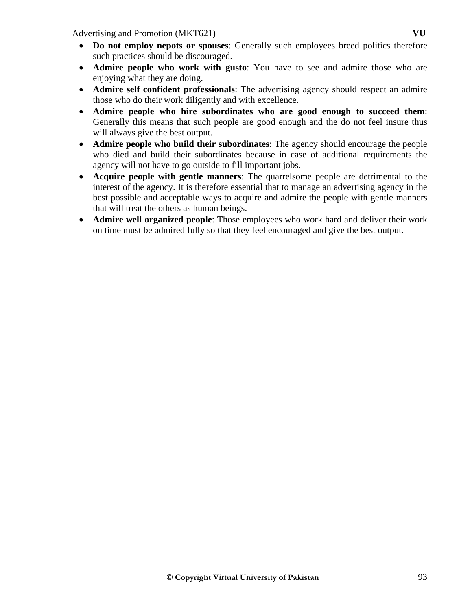- **Do not employ nepots or spouses**: Generally such employees breed politics therefore such practices should be discouraged.
- **Admire people who work with gusto**: You have to see and admire those who are enjoying what they are doing.
- **Admire self confident professionals**: The advertising agency should respect an admire those who do their work diligently and with excellence.
- **Admire people who hire subordinates who are good enough to succeed them**: Generally this means that such people are good enough and the do not feel insure thus will always give the best output.
- **Admire people who build their subordinates**: The agency should encourage the people who died and build their subordinates because in case of additional requirements the agency will not have to go outside to fill important jobs.
- **Acquire people with gentle manners**: The quarrelsome people are detrimental to the interest of the agency. It is therefore essential that to manage an advertising agency in the best possible and acceptable ways to acquire and admire the people with gentle manners that will treat the others as human beings.
- **Admire well organized people**: Those employees who work hard and deliver their work on time must be admired fully so that they feel encouraged and give the best output.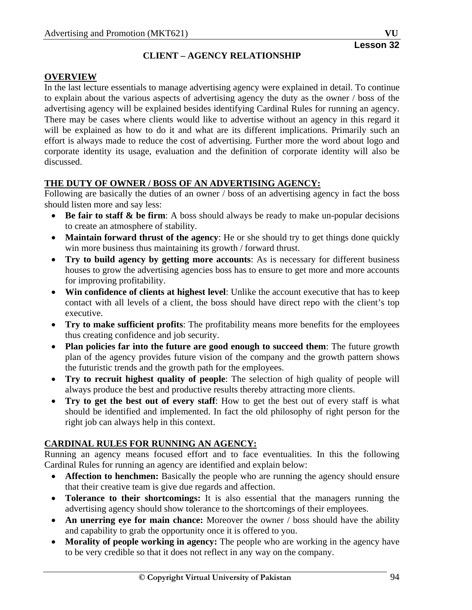#### **CLIENT – AGENCY RELATIONSHIP**

#### **OVERVIEW**

In the last lecture essentials to manage advertising agency were explained in detail. To continue to explain about the various aspects of advertising agency the duty as the owner / boss of the advertising agency will be explained besides identifying Cardinal Rules for running an agency. There may be cases where clients would like to advertise without an agency in this regard it will be explained as how to do it and what are its different implications. Primarily such an effort is always made to reduce the cost of advertising. Further more the word about logo and corporate identity its usage, evaluation and the definition of corporate identity will also be discussed.

#### **THE DUTY OF OWNER / BOSS OF AN ADVERTISING AGENCY:**

Following are basically the duties of an owner / boss of an advertising agency in fact the boss should listen more and say less:

- **Be fair to staff & be firm**: A boss should always be ready to make un-popular decisions to create an atmosphere of stability.
- **Maintain forward thrust of the agency**: He or she should try to get things done quickly win more business thus maintaining its growth / forward thrust.
- **Try to build agency by getting more accounts**: As is necessary for different business houses to grow the advertising agencies boss has to ensure to get more and more accounts for improving profitability.
- **Win confidence of clients at highest level**: Unlike the account executive that has to keep contact with all levels of a client, the boss should have direct repo with the client's top executive.
- **Try to make sufficient profits**: The profitability means more benefits for the employees thus creating confidence and job security.
- **Plan policies far into the future are good enough to succeed them**: The future growth plan of the agency provides future vision of the company and the growth pattern shows the futuristic trends and the growth path for the employees.
- **Try to recruit highest quality of people**: The selection of high quality of people will always produce the best and productive results thereby attracting more clients.
- **Try to get the best out of every staff**: How to get the best out of every staff is what should be identified and implemented. In fact the old philosophy of right person for the right job can always help in this context.

#### **CARDINAL RULES FOR RUNNING AN AGENCY:**

Running an agency means focused effort and to face eventualities. In this the following Cardinal Rules for running an agency are identified and explain below:

- **Affection to henchmen:** Basically the people who are running the agency should ensure that their creative team is give due regards and affection.
- **Tolerance to their shortcomings:** It is also essential that the managers running the advertising agency should show tolerance to the shortcomings of their employees.
- An unerring eve for main chance: Moreover the owner / boss should have the ability and capability to grab the opportunity once it is offered to you.
- **Morality of people working in agency:** The people who are working in the agency have to be very credible so that it does not reflect in any way on the company.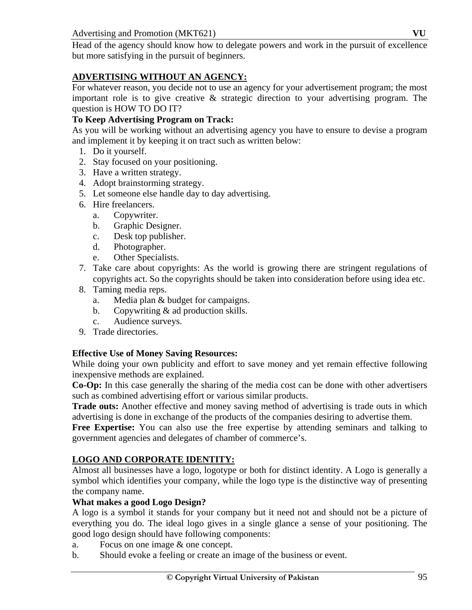Head of the agency should know how to delegate powers and work in the pursuit of excellence but more satisfying in the pursuit of beginners.

# **ADVERTISING WITHOUT AN AGENCY:**

For whatever reason, you decide not to use an agency for your advertisement program; the most important role is to give creative & strategic direction to your advertising program. The question is HOW TO DO IT?

### **To Keep Advertising Program on Track:**

As you will be working without an advertising agency you have to ensure to devise a program and implement it by keeping it on tract such as written below:

- 1. Do it yourself.
- 2. Stay focused on your positioning.
- 3. Have a written strategy.
- 4. Adopt brainstorming strategy.
- 5. Let someone else handle day to day advertising.
- 6. Hire freelancers.
	- a. Copywriter.
	- b. Graphic Designer.
	- c. Desk top publisher.
	- d. Photographer.
	- e. Other Specialists.
- 7. Take care about copyrights: As the world is growing there are stringent regulations of copyrights act. So the copyrights should be taken into consideration before using idea etc.
- 8. Taming media reps.
	- a. Media plan & budget for campaigns.
	- b. Copywriting  $\&$  ad production skills.
	- c. Audience surveys.
- 9. Trade directories.

# **Effective Use of Money Saving Resources:**

While doing your own publicity and effort to save money and yet remain effective following inexpensive methods are explained.

**Co-Op:** In this case generally the sharing of the media cost can be done with other advertisers such as combined advertising effort or various similar products.

**Trade outs:** Another effective and money saving method of advertising is trade outs in which advertising is done in exchange of the products of the companies desiring to advertise them.

**Free Expertise:** You can also use the free expertise by attending seminars and talking to government agencies and delegates of chamber of commerce's.

# **LOGO AND CORPORATE IDENTITY:**

Almost all businesses have a logo, logotype or both for distinct identity. A Logo is generally a symbol which identifies your company, while the logo type is the distinctive way of presenting the company name.

#### **What makes a good Logo Design?**

A logo is a symbol it stands for your company but it need not and should not be a picture of everything you do. The ideal logo gives in a single glance a sense of your positioning. The good logo design should have following components:

- a. Focus on one image & one concept.
- b. Should evoke a feeling or create an image of the business or event.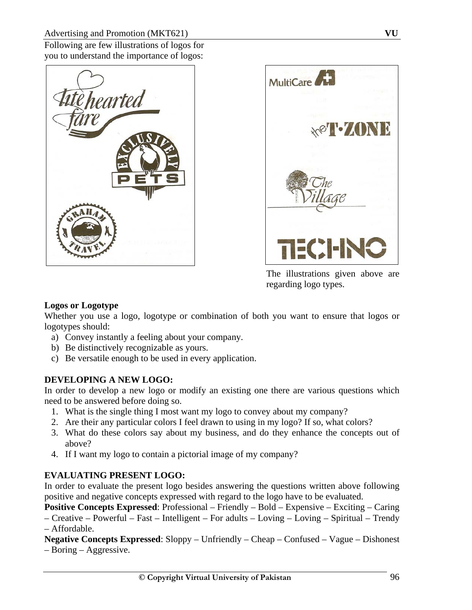



The illustrations given above are regarding logo types.

# **Logos or Logotype**

Whether you use a logo, logotype or combination of both you want to ensure that logos or logotypes should:

- a) Convey instantly a feeling about your company.
- b) Be distinctively recognizable as yours.
- c) Be versatile enough to be used in every application.

# **DEVELOPING A NEW LOGO:**

In order to develop a new logo or modify an existing one there are various questions which need to be answered before doing so.

- 1. What is the single thing I most want my logo to convey about my company?
- 2. Are their any particular colors I feel drawn to using in my logo? If so, what colors?
- 3. What do these colors say about my business, and do they enhance the concepts out of above?
- 4. If I want my logo to contain a pictorial image of my company?

# **EVALUATING PRESENT LOGO:**

In order to evaluate the present logo besides answering the questions written above following positive and negative concepts expressed with regard to the logo have to be evaluated.

**Positive Concepts Expressed**: Professional – Friendly – Bold – Expensive – Exciting – Caring – Creative – Powerful – Fast – Intelligent – For adults – Loving – Loving – Spiritual – Trendy – Affordable.

**Negative Concepts Expressed**: Sloppy – Unfriendly – Cheap – Confused – Vague – Dishonest – Boring – Aggressive.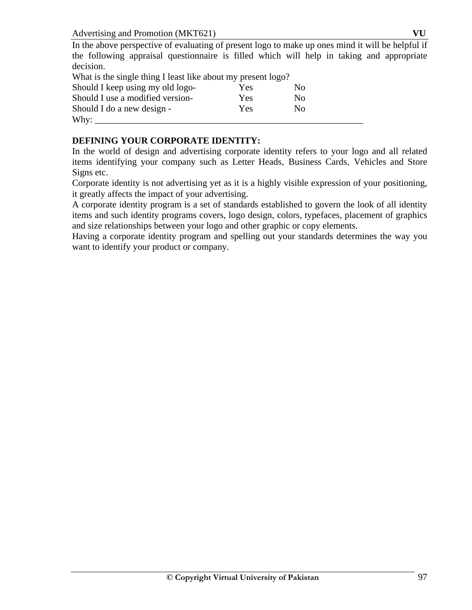In the above perspective of evaluating of present logo to make up ones mind it will be helpful if the following appraisal questionnaire is filled which will help in taking and appropriate decision.

| What is the single thing I least like about my present logo? |     |                |
|--------------------------------------------------------------|-----|----------------|
| Should I keep using my old logo-                             | Yes | Nο             |
| Should I use a modified version-                             | Yes | N <sub>0</sub> |
| Should I do a new design -                                   | Yes | No             |
| Why:                                                         |     |                |

#### **DEFINING YOUR CORPORATE IDENTITY:**

In the world of design and advertising corporate identity refers to your logo and all related items identifying your company such as Letter Heads, Business Cards, Vehicles and Store Signs etc.

Corporate identity is not advertising yet as it is a highly visible expression of your positioning, it greatly affects the impact of your advertising.

A corporate identity program is a set of standards established to govern the look of all identity items and such identity programs covers, logo design, colors, typefaces, placement of graphics and size relationships between your logo and other graphic or copy elements.

Having a corporate identity program and spelling out your standards determines the way you want to identify your product or company.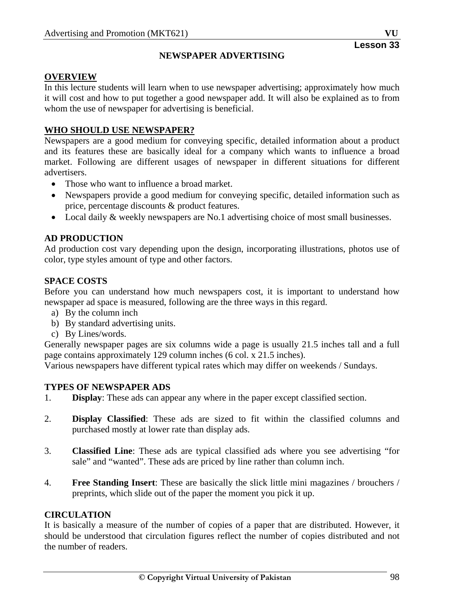#### **NEWSPAPER ADVERTISING**

#### **OVERVIEW**

In this lecture students will learn when to use newspaper advertising; approximately how much it will cost and how to put together a good newspaper add. It will also be explained as to from whom the use of newspaper for advertising is beneficial.

#### **WHO SHOULD USE NEWSPAPER?**

Newspapers are a good medium for conveying specific, detailed information about a product and its features these are basically ideal for a company which wants to influence a broad market. Following are different usages of newspaper in different situations for different advertisers.

- Those who want to influence a broad market.
- Newspapers provide a good medium for conveying specific, detailed information such as price, percentage discounts & product features.
- Local daily & weekly newspapers are No.1 advertising choice of most small businesses.

#### **AD PRODUCTION**

Ad production cost vary depending upon the design, incorporating illustrations, photos use of color, type styles amount of type and other factors.

#### **SPACE COSTS**

Before you can understand how much newspapers cost, it is important to understand how newspaper ad space is measured, following are the three ways in this regard.

- a) By the column inch
- b) By standard advertising units.
- c) By Lines/words.

Generally newspaper pages are six columns wide a page is usually 21.5 inches tall and a full page contains approximately 129 column inches (6 col. x 21.5 inches).

Various newspapers have different typical rates which may differ on weekends / Sundays.

#### **TYPES OF NEWSPAPER ADS**

- 1. **Display**: These ads can appear any where in the paper except classified section.
- 2. **Display Classified**: These ads are sized to fit within the classified columns and purchased mostly at lower rate than display ads.
- 3. **Classified Line**: These ads are typical classified ads where you see advertising "for sale" and "wanted". These ads are priced by line rather than column inch.
- 4. **Free Standing Insert**: These are basically the slick little mini magazines / brouchers / preprints, which slide out of the paper the moment you pick it up.

#### **CIRCULATION**

It is basically a measure of the number of copies of a paper that are distributed. However, it should be understood that circulation figures reflect the number of copies distributed and not the number of readers.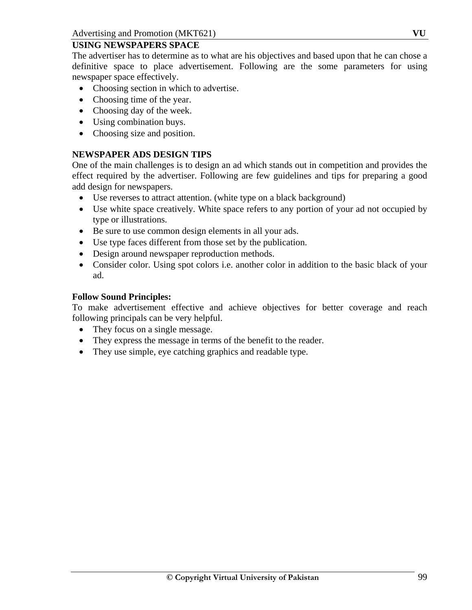# **USING NEWSPAPERS SPACE**

The advertiser has to determine as to what are his objectives and based upon that he can chose a definitive space to place advertisement. Following are the some parameters for using newspaper space effectively.

- Choosing section in which to advertise.
- Choosing time of the year.
- Choosing day of the week.
- Using combination buys.
- Choosing size and position.

### **NEWSPAPER ADS DESIGN TIPS**

One of the main challenges is to design an ad which stands out in competition and provides the effect required by the advertiser. Following are few guidelines and tips for preparing a good add design for newspapers.

- Use reverses to attract attention. (white type on a black background)
- Use white space creatively. White space refers to any portion of your ad not occupied by type or illustrations.
- Be sure to use common design elements in all your ads.
- Use type faces different from those set by the publication.
- Design around newspaper reproduction methods.
- Consider color. Using spot colors i.e. another color in addition to the basic black of your ad.

### **Follow Sound Principles:**

To make advertisement effective and achieve objectives for better coverage and reach following principals can be very helpful.

- They focus on a single message.
- They express the message in terms of the benefit to the reader.
- They use simple, eye catching graphics and readable type.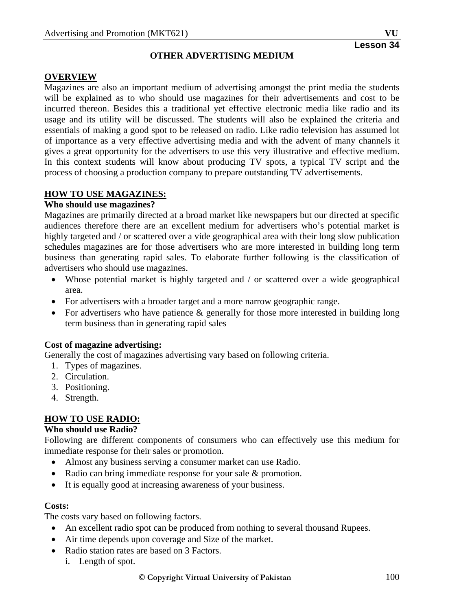#### **OVERVIEW**

Magazines are also an important medium of advertising amongst the print media the students will be explained as to who should use magazines for their advertisements and cost to be incurred thereon. Besides this a traditional yet effective electronic media like radio and its usage and its utility will be discussed. The students will also be explained the criteria and essentials of making a good spot to be released on radio. Like radio television has assumed lot of importance as a very effective advertising media and with the advent of many channels it gives a great opportunity for the advertisers to use this very illustrative and effective medium. In this context students will know about producing TV spots, a typical TV script and the process of choosing a production company to prepare outstanding TV advertisements.

#### **HOW TO USE MAGAZINES:**

#### **Who should use magazines?**

Magazines are primarily directed at a broad market like newspapers but our directed at specific audiences therefore there are an excellent medium for advertisers who's potential market is highly targeted and / or scattered over a vide geographical area with their long slow publication schedules magazines are for those advertisers who are more interested in building long term business than generating rapid sales. To elaborate further following is the classification of advertisers who should use magazines.

- Whose potential market is highly targeted and / or scattered over a wide geographical area.
- For advertisers with a broader target and a more narrow geographic range.
- For advertisers who have patience  $\&$  generally for those more interested in building long term business than in generating rapid sales

#### **Cost of magazine advertising:**

Generally the cost of magazines advertising vary based on following criteria.

- 1. Types of magazines.
- 2. Circulation.
- 3. Positioning.
- 4. Strength.

#### **HOW TO USE RADIO:**

#### **Who should use Radio?**

Following are different components of consumers who can effectively use this medium for immediate response for their sales or promotion.

- Almost any business serving a consumer market can use Radio.
- Radio can bring immediate response for your sale & promotion.
- It is equally good at increasing awareness of your business.

#### **Costs:**

The costs vary based on following factors.

- An excellent radio spot can be produced from nothing to several thousand Rupees.
- Air time depends upon coverage and Size of the market.
- Radio station rates are based on 3 Factors.
	- i. Length of spot.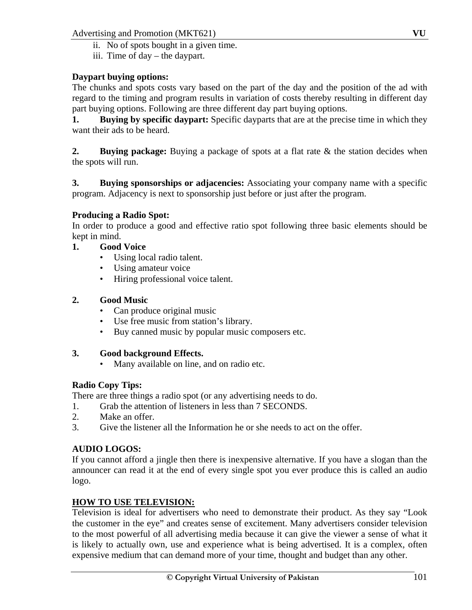- ii. No of spots bought in a given time.
- iii. Time of day the daypart.

# **Daypart buying options:**

The chunks and spots costs vary based on the part of the day and the position of the ad with regard to the timing and program results in variation of costs thereby resulting in different day part buying options. Following are three different day part buying options.

**1. Buying by specific daypart:** Specific dayparts that are at the precise time in which they want their ads to be heard.

**2.** Buying package: Buying a package of spots at a flat rate & the station decides when the spots will run.

**3. Buying sponsorships or adjacencies:** Associating your company name with a specific program. Adjacency is next to sponsorship just before or just after the program.

# **Producing a Radio Spot:**

In order to produce a good and effective ratio spot following three basic elements should be kept in mind.

- **1. Good Voice** 
	- Using local radio talent.
	- Using amateur voice
	- Hiring professional voice talent.

# **2. Good Music**

- Can produce original music
- Use free music from station's library.
- Buy canned music by popular music composers etc.

# **3. Good background Effects.**

Many available on line, and on radio etc.

# **Radio Copy Tips:**

There are three things a radio spot (or any advertising needs to do.

- 1. Grab the attention of listeners in less than 7 SECONDS.
- 2. Make an offer.
- 3. Give the listener all the Information he or she needs to act on the offer.

# **AUDIO LOGOS:**

If you cannot afford a jingle then there is inexpensive alternative. If you have a slogan than the announcer can read it at the end of every single spot you ever produce this is called an audio logo.

# **HOW TO USE TELEVISION:**

Television is ideal for advertisers who need to demonstrate their product. As they say "Look the customer in the eye" and creates sense of excitement. Many advertisers consider television to the most powerful of all advertising media because it can give the viewer a sense of what it is likely to actually own, use and experience what is being advertised. It is a complex, often expensive medium that can demand more of your time, thought and budget than any other.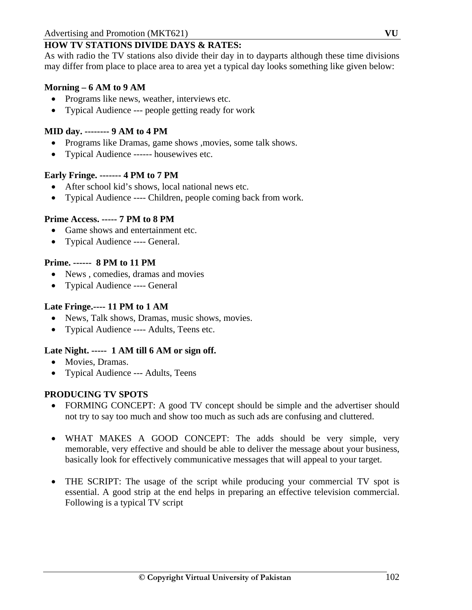# **HOW TV STATIONS DIVIDE DAYS & RATES:**

As with radio the TV stations also divide their day in to dayparts although these time divisions may differ from place to place area to area yet a typical day looks something like given below:

#### **Morning – 6 AM to 9 AM**

- Programs like news, weather, interviews etc.
- Typical Audience --- people getting ready for work

### **MID day. -------- 9 AM to 4 PM**

- Programs like Dramas, game shows , movies, some talk shows.
- Typical Audience ------ housewives etc.

### **Early Fringe. ------- 4 PM to 7 PM**

- After school kid's shows, local national news etc.
- Typical Audience ---- Children, people coming back from work.

### **Prime Access. ----- 7 PM to 8 PM**

- Game shows and entertainment etc.
- Typical Audience ---- General.

# **Prime. ------ 8 PM to 11 PM**

- News, comedies, dramas and movies
- Typical Audience ---- General

### **Late Fringe.---- 11 PM to 1 AM**

- News, Talk shows, Dramas, music shows, movies.
- Typical Audience ---- Adults, Teens etc.

#### **Late Night. ----- 1 AM till 6 AM or sign off.**

- Movies, Dramas.
- Typical Audience --- Adults, Teens

# **PRODUCING TV SPOTS**

- FORMING CONCEPT: A good TV concept should be simple and the advertiser should not try to say too much and show too much as such ads are confusing and cluttered.
- WHAT MAKES A GOOD CONCEPT: The adds should be very simple, very memorable, very effective and should be able to deliver the message about your business, basically look for effectively communicative messages that will appeal to your target.
- THE SCRIPT: The usage of the script while producing your commercial TV spot is essential. A good strip at the end helps in preparing an effective television commercial. Following is a typical TV script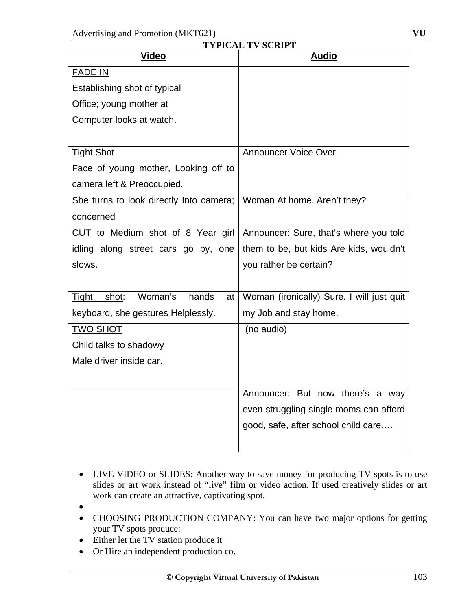| <b>TYPICAL TV SCRIPT</b>                |                                           |  |  |
|-----------------------------------------|-------------------------------------------|--|--|
| <u>Video</u>                            | <b>Audio</b>                              |  |  |
| <b>FADE IN</b>                          |                                           |  |  |
| Establishing shot of typical            |                                           |  |  |
| Office; young mother at                 |                                           |  |  |
| Computer looks at watch.                |                                           |  |  |
|                                         |                                           |  |  |
| <b>Tight Shot</b>                       | <b>Announcer Voice Over</b>               |  |  |
| Face of young mother, Looking off to    |                                           |  |  |
| camera left & Preoccupied.              |                                           |  |  |
| She turns to look directly Into camera; | Woman At home. Aren't they?               |  |  |
| concerned                               |                                           |  |  |
| CUT to Medium shot of 8 Year girl       | Announcer: Sure, that's where you told    |  |  |
| idling along street cars go by, one     | them to be, but kids Are kids, wouldn't   |  |  |
| slows.                                  | you rather be certain?                    |  |  |
|                                         |                                           |  |  |
| Woman's<br>hands<br>Tight shot:<br>at   | Woman (ironically) Sure. I will just quit |  |  |
| keyboard, she gestures Helplessly.      | my Job and stay home.                     |  |  |
| <b>TWO SHOT</b>                         | (no audio)                                |  |  |
| Child talks to shadowy                  |                                           |  |  |
| Male driver inside car.                 |                                           |  |  |
|                                         |                                           |  |  |
|                                         | Announcer: But now there's a way          |  |  |
|                                         | even struggling single moms can afford    |  |  |
|                                         | good, safe, after school child care       |  |  |
|                                         |                                           |  |  |

- LIVE VIDEO or SLIDES: Another way to save money for producing TV spots is to use slides or art work instead of "live" film or video action. If used creatively slides or art work can create an attractive, captivating spot.
- •
- CHOOSING PRODUCTION COMPANY: You can have two major options for getting your TV spots produce:
- Either let the TV station produce it
- Or Hire an independent production co.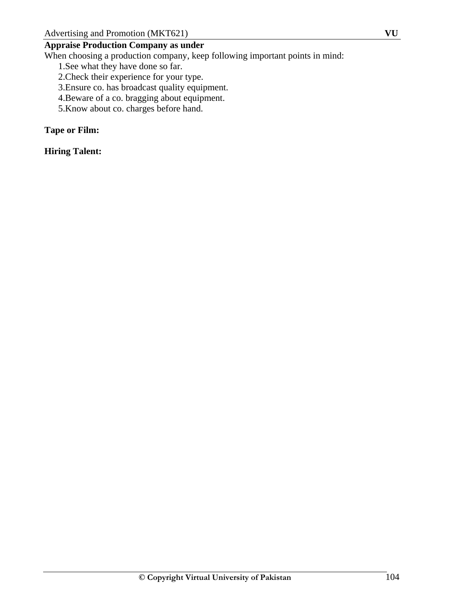# **Appraise Production Company as under**

When choosing a production company, keep following important points in mind:

1.See what they have done so far.

- 2.Check their experience for your type.
- 3.Ensure co. has broadcast quality equipment.
- 4.Beware of a co. bragging about equipment.
- 5.Know about co. charges before hand.

# **Tape or Film:**

**Hiring Talent:**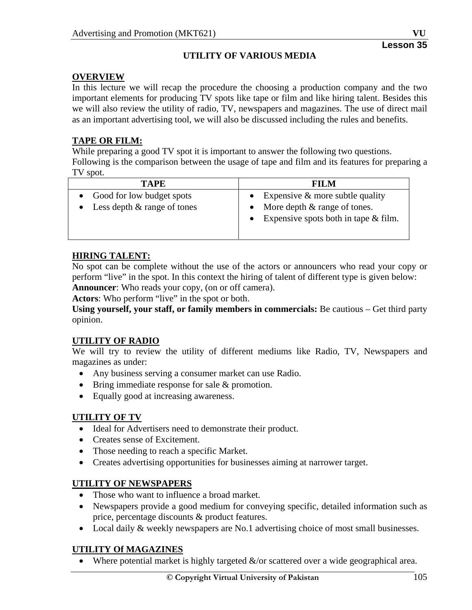# **OVERVIEW**

In this lecture we will recap the procedure the choosing a production company and the two important elements for producing TV spots like tape or film and like hiring talent. Besides this we will also review the utility of radio, TV, newspapers and magazines. The use of direct mail as an important advertising tool, we will also be discussed including the rules and benefits.

# **TAPE OR FILM:**

While preparing a good TV spot it is important to answer the following two questions. Following is the comparison between the usage of tape and film and its features for preparing a TV spot.

| <b>TAPE</b>                                                | FILM                                                                                                                 |
|------------------------------------------------------------|----------------------------------------------------------------------------------------------------------------------|
| • Good for low budget spots<br>Less depth & range of tones | • Expensive $\&$ more subtle quality<br>• More depth $&$ range of tones.<br>• Expensive spots both in tape $&$ film. |

# **HIRING TALENT:**

No spot can be complete without the use of the actors or announcers who read your copy or perform "live" in the spot. In this context the hiring of talent of different type is given below: **Announcer**: Who reads your copy, (on or off camera).

**Actors**: Who perform "live" in the spot or both.

**Using yourself, your staff, or family members in commercials:** Be cautious – Get third party opinion.

# **UTILITY OF RADIO**

We will try to review the utility of different mediums like Radio, TV, Newspapers and magazines as under:

- Any business serving a consumer market can use Radio.
- Bring immediate response for sale & promotion.
- Equally good at increasing awareness.

# **UTILITY OF TV**

- Ideal for Advertisers need to demonstrate their product.
- Creates sense of Excitement.
- Those needing to reach a specific Market.
- Creates advertising opportunities for businesses aiming at narrower target.

# **UTILITY OF NEWSPAPERS**

- Those who want to influence a broad market.
- Newspapers provide a good medium for conveying specific, detailed information such as price, percentage discounts & product features.
- Local daily & weekly newspapers are No.1 advertising choice of most small businesses.

# **UTILITY Of MAGAZINES**

• Where potential market is highly targeted  $&\text{/}$  or scattered over a wide geographical area.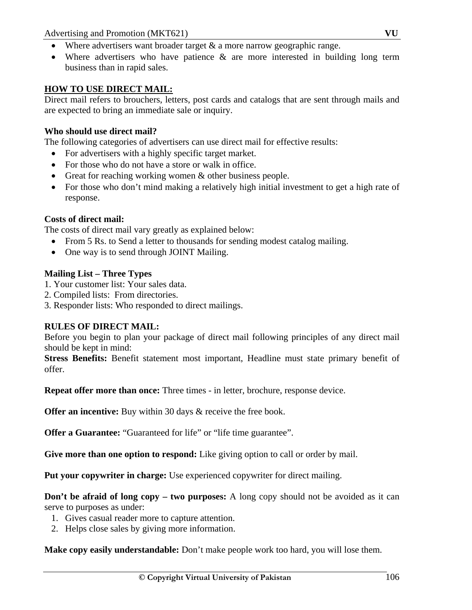- Where advertisers want broader target  $\&$  a more narrow geographic range.
- Where advertisers who have patience & are more interested in building long term business than in rapid sales.

# **HOW TO USE DIRECT MAIL:**

Direct mail refers to brouchers, letters, post cards and catalogs that are sent through mails and are expected to bring an immediate sale or inquiry.

# **Who should use direct mail?**

The following categories of advertisers can use direct mail for effective results:

- For advertisers with a highly specific target market.
- For those who do not have a store or walk in office.
- Great for reaching working women  $&$  other business people.
- For those who don't mind making a relatively high initial investment to get a high rate of response.

# **Costs of direct mail:**

The costs of direct mail vary greatly as explained below:

- From 5 Rs. to Send a letter to thousands for sending modest catalog mailing.
- One way is to send through JOINT Mailing.

# **Mailing List – Three Types**

- 1. Your customer list: Your sales data.
- 2. Compiled lists: From directories.
- 3. Responder lists: Who responded to direct mailings.

# **RULES OF DIRECT MAIL:**

Before you begin to plan your package of direct mail following principles of any direct mail should be kept in mind:

**Stress Benefits:** Benefit statement most important, Headline must state primary benefit of offer.

**Repeat offer more than once:** Three times - in letter, brochure, response device.

**Offer an incentive:** Buy within 30 days & receive the free book.

**Offer a Guarantee:** "Guaranteed for life" or "life time guarantee".

**Give more than one option to respond:** Like giving option to call or order by mail.

**Put your copywriter in charge:** Use experienced copywriter for direct mailing.

**Don't be afraid of long copy – two purposes:** A long copy should not be avoided as it can serve to purposes as under:

- 1. Gives casual reader more to capture attention.
- 2. Helps close sales by giving more information.

**Make copy easily understandable:** Don't make people work too hard, you will lose them.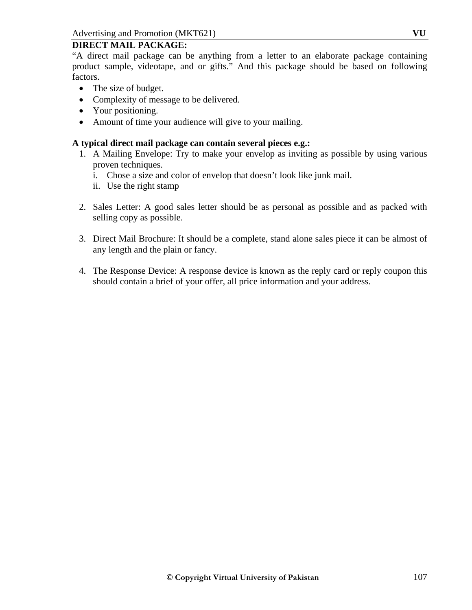### **DIRECT MAIL PACKAGE:**

"A direct mail package can be anything from a letter to an elaborate package containing product sample, videotape, and or gifts." And this package should be based on following factors.

- The size of budget.
- Complexity of message to be delivered.
- Your positioning.
- Amount of time your audience will give to your mailing.

#### **A typical direct mail package can contain several pieces e.g.:**

- 1. A Mailing Envelope: Try to make your envelop as inviting as possible by using various proven techniques.
	- i. Chose a size and color of envelop that doesn't look like junk mail.
	- ii. Use the right stamp
- 2. Sales Letter: A good sales letter should be as personal as possible and as packed with selling copy as possible.
- 3. Direct Mail Brochure: It should be a complete, stand alone sales piece it can be almost of any length and the plain or fancy.
- 4. The Response Device: A response device is known as the reply card or reply coupon this should contain a brief of your offer, all price information and your address.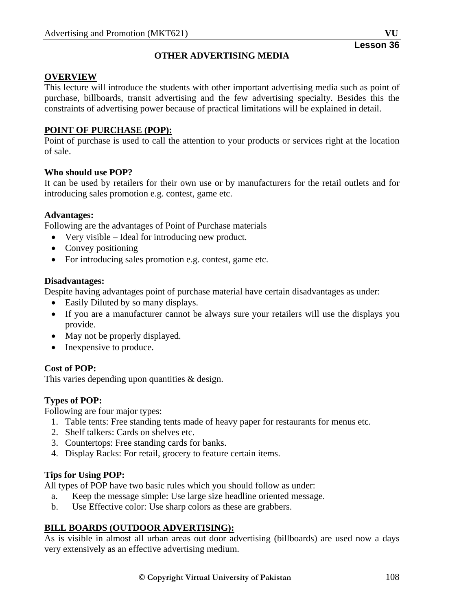#### **OTHER ADVERTISING MEDIA**

#### **OVERVIEW**

This lecture will introduce the students with other important advertising media such as point of purchase, billboards, transit advertising and the few advertising specialty. Besides this the constraints of advertising power because of practical limitations will be explained in detail.

#### **POINT OF PURCHASE (POP):**

Point of purchase is used to call the attention to your products or services right at the location of sale.

#### **Who should use POP?**

It can be used by retailers for their own use or by manufacturers for the retail outlets and for introducing sales promotion e.g. contest, game etc.

#### **Advantages:**

Following are the advantages of Point of Purchase materials

- Very visible Ideal for introducing new product.
- Convey positioning
- For introducing sales promotion e.g. contest, game etc.

#### **Disadvantages:**

Despite having advantages point of purchase material have certain disadvantages as under:

- Easily Diluted by so many displays.
- If you are a manufacturer cannot be always sure your retailers will use the displays you provide.
- May not be properly displayed.
- Inexpensive to produce.

#### **Cost of POP:**

This varies depending upon quantities & design.

#### **Types of POP:**

Following are four major types:

- 1. Table tents: Free standing tents made of heavy paper for restaurants for menus etc.
- 2. Shelf talkers: Cards on shelves etc.
- 3. Countertops: Free standing cards for banks.
- 4. Display Racks: For retail, grocery to feature certain items.

#### **Tips for Using POP:**

All types of POP have two basic rules which you should follow as under:

- a. Keep the message simple: Use large size headline oriented message.
- b. Use Effective color: Use sharp colors as these are grabbers.

#### **BILL BOARDS (OUTDOOR ADVERTISING):**

As is visible in almost all urban areas out door advertising (billboards) are used now a days very extensively as an effective advertising medium.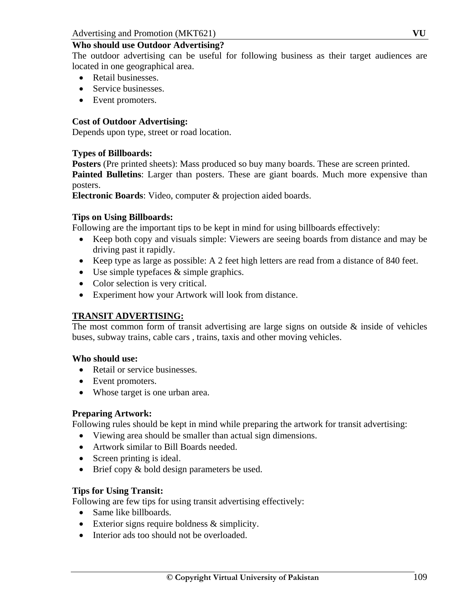# **Who should use Outdoor Advertising?**

The outdoor advertising can be useful for following business as their target audiences are located in one geographical area.

- Retail businesses.
- Service businesses.
- Event promoters.

# **Cost of Outdoor Advertising:**

Depends upon type, street or road location.

### **Types of Billboards:**

**Posters** (Pre printed sheets): Mass produced so buy many boards. These are screen printed. **Painted Bulletins**: Larger than posters. These are giant boards. Much more expensive than posters.

**Electronic Boards**: Video, computer & projection aided boards.

### **Tips on Using Billboards:**

Following are the important tips to be kept in mind for using billboards effectively:

- Keep both copy and visuals simple: Viewers are seeing boards from distance and may be driving past it rapidly.
- Keep type as large as possible: A 2 feet high letters are read from a distance of 840 feet.
- Use simple typefaces & simple graphics.
- Color selection is very critical.
- Experiment how your Artwork will look from distance.

# **TRANSIT ADVERTISING:**

The most common form of transit advertising are large signs on outside & inside of vehicles buses, subway trains, cable cars , trains, taxis and other moving vehicles.

# **Who should use:**

- Retail or service businesses.
- Event promoters.
- Whose target is one urban area.

# **Preparing Artwork:**

Following rules should be kept in mind while preparing the artwork for transit advertising:

- Viewing area should be smaller than actual sign dimensions.
- Artwork similar to Bill Boards needed.
- Screen printing is ideal.
- Brief copy & bold design parameters be used.

# **Tips for Using Transit:**

Following are few tips for using transit advertising effectively:

- Same like billboards.
- Exterior signs require boldness & simplicity.
- Interior ads too should not be overloaded.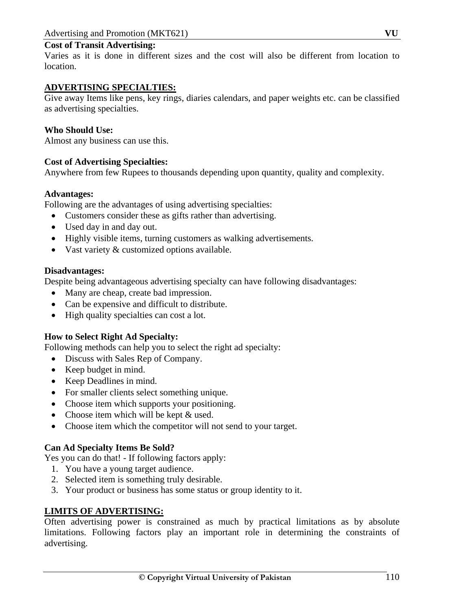# **Cost of Transit Advertising:**

Varies as it is done in different sizes and the cost will also be different from location to location.

### **ADVERTISING SPECIALTIES:**

Give away Items like pens, key rings, diaries calendars, and paper weights etc. can be classified as advertising specialties.

### **Who Should Use:**

Almost any business can use this.

### **Cost of Advertising Specialties:**

Anywhere from few Rupees to thousands depending upon quantity, quality and complexity.

### **Advantages:**

Following are the advantages of using advertising specialties:

- Customers consider these as gifts rather than advertising.
- Used day in and day out.
- Highly visible items, turning customers as walking advertisements.
- Vast variety & customized options available.

### **Disadvantages:**

Despite being advantageous advertising specialty can have following disadvantages:

- Many are cheap, create bad impression.
- Can be expensive and difficult to distribute.
- High quality specialties can cost a lot.

# **How to Select Right Ad Specialty:**

Following methods can help you to select the right ad specialty:

- Discuss with Sales Rep of Company.
- Keep budget in mind.
- Keep Deadlines in mind.
- For smaller clients select something unique.
- Choose item which supports your positioning.
- Choose item which will be kept & used.
- Choose item which the competitor will not send to your target.

# **Can Ad Specialty Items Be Sold?**

Yes you can do that! - If following factors apply:

- 1. You have a young target audience.
- 2. Selected item is something truly desirable.
- 3. Your product or business has some status or group identity to it.

# **LIMITS OF ADVERTISING:**

Often advertising power is constrained as much by practical limitations as by absolute limitations. Following factors play an important role in determining the constraints of advertising.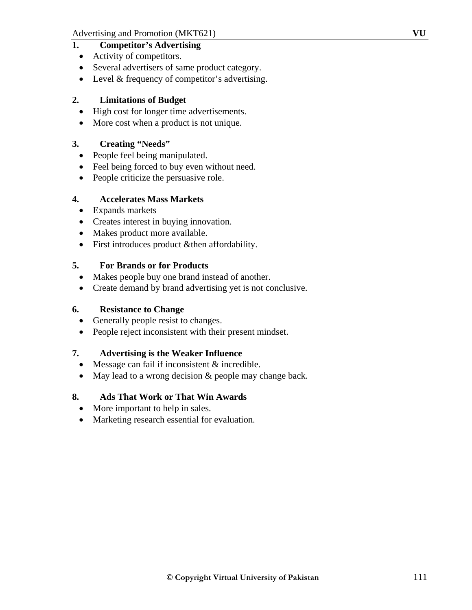# **1. Competitor's Advertising**

- Activity of competitors.
- Several advertisers of same product category.
- Level & frequency of competitor's advertising.

# **2. Limitations of Budget**

- High cost for longer time advertisements.
- More cost when a product is not unique.

# **3. Creating "Needs"**

- People feel being manipulated.
- Feel being forced to buy even without need.
- People criticize the persuasive role.

# **4. Accelerates Mass Markets**

- Expands markets
- Creates interest in buying innovation.
- Makes product more available.
- First introduces product &then affordability.

# **5. For Brands or for Products**

- Makes people buy one brand instead of another.
- Create demand by brand advertising yet is not conclusive.

# **6. Resistance to Change**

- Generally people resist to changes.
- People reject inconsistent with their present mindset.

# **7. Advertising is the Weaker Influence**

- Message can fail if inconsistent  $&$  incredible.
- May lead to a wrong decision & people may change back.

# **8. Ads That Work or That Win Awards**

- More important to help in sales.
- Marketing research essential for evaluation.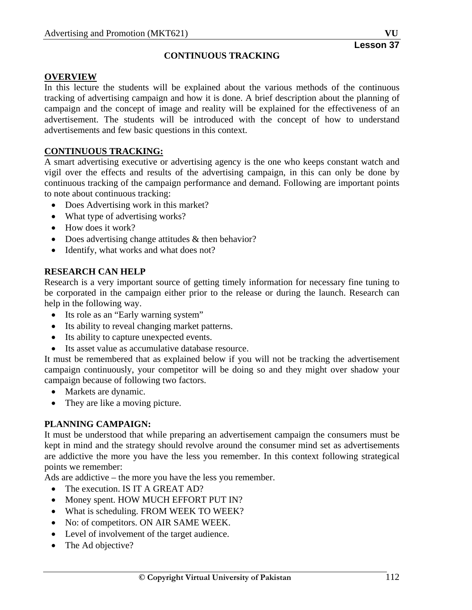### **CONTINUOUS TRACKING**

### **OVERVIEW**

In this lecture the students will be explained about the various methods of the continuous tracking of advertising campaign and how it is done. A brief description about the planning of campaign and the concept of image and reality will be explained for the effectiveness of an advertisement. The students will be introduced with the concept of how to understand advertisements and few basic questions in this context.

### **CONTINUOUS TRACKING:**

A smart advertising executive or advertising agency is the one who keeps constant watch and vigil over the effects and results of the advertising campaign, in this can only be done by continuous tracking of the campaign performance and demand. Following are important points to note about continuous tracking:

- Does Advertising work in this market?
- What type of advertising works?
- How does it work?
- Does advertising change attitudes & then behavior?
- Identify, what works and what does not?

### **RESEARCH CAN HELP**

Research is a very important source of getting timely information for necessary fine tuning to be corporated in the campaign either prior to the release or during the launch. Research can help in the following way.

- Its role as an "Early warning system"
- Its ability to reveal changing market patterns.
- Its ability to capture unexpected events.
- Its asset value as accumulative database resource.

It must be remembered that as explained below if you will not be tracking the advertisement campaign continuously, your competitor will be doing so and they might over shadow your campaign because of following two factors.

- Markets are dynamic.
- They are like a moving picture.

### **PLANNING CAMPAIGN:**

It must be understood that while preparing an advertisement campaign the consumers must be kept in mind and the strategy should revolve around the consumer mind set as advertisements are addictive the more you have the less you remember. In this context following strategical points we remember:

Ads are addictive – the more you have the less you remember.

- The execution. IS IT A GREAT AD?
- Money spent. HOW MUCH EFFORT PUT IN?
- What is scheduling. FROM WEEK TO WEEK?
- No: of competitors. ON AIR SAME WEEK.
- Level of involvement of the target audience.
- The Ad objective?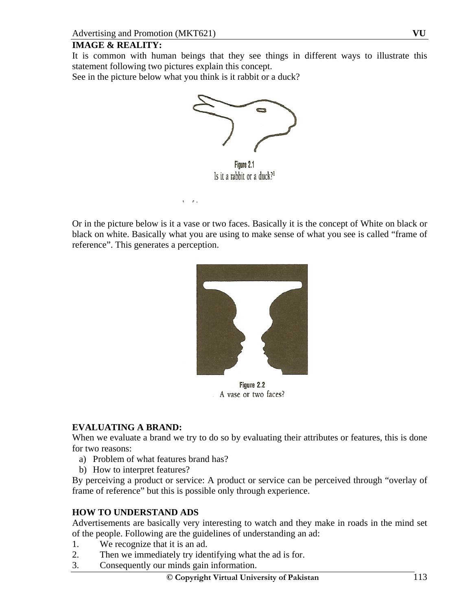# **IMAGE & REALITY:**

It is common with human beings that they see things in different ways to illustrate this statement following two pictures explain this concept.

See in the picture below what you think is it rabbit or a duck?

 $\mathbf{r}$ .



Or in the picture below is it a vase or two faces. Basically it is the concept of White on black or black on white. Basically what you are using to make sense of what you see is called "frame of reference". This generates a perception.



Figure 2.2 A vase or two faces?

# **EVALUATING A BRAND:**

When we evaluate a brand we try to do so by evaluating their attributes or features, this is done for two reasons:

- a) Problem of what features brand has?
- b) How to interpret features?

By perceiving a product or service: A product or service can be perceived through "overlay of frame of reference" but this is possible only through experience.

# **HOW TO UNDERSTAND ADS**

Advertisements are basically very interesting to watch and they make in roads in the mind set of the people. Following are the guidelines of understanding an ad:

- 1. We recognize that it is an ad.
- 2. Then we immediately try identifying what the ad is for.
- 3. Consequently our minds gain information.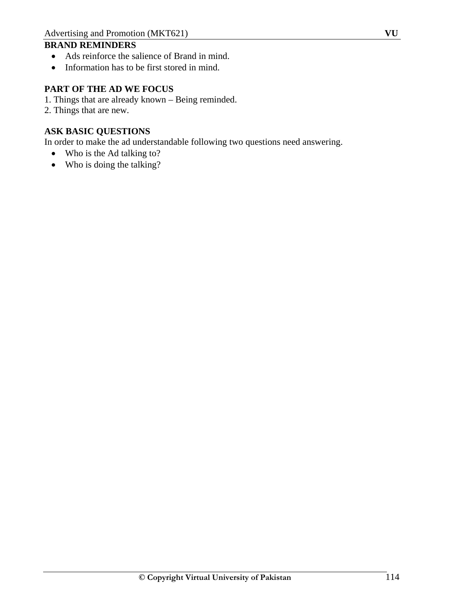# **BRAND REMINDERS**

- Ads reinforce the salience of Brand in mind.
- Information has to be first stored in mind.

# **PART OF THE AD WE FOCUS**

- 1. Things that are already known Being reminded.
- 2. Things that are new.

# **ASK BASIC QUESTIONS**

In order to make the ad understandable following two questions need answering.

- Who is the Ad talking to?
- Who is doing the talking?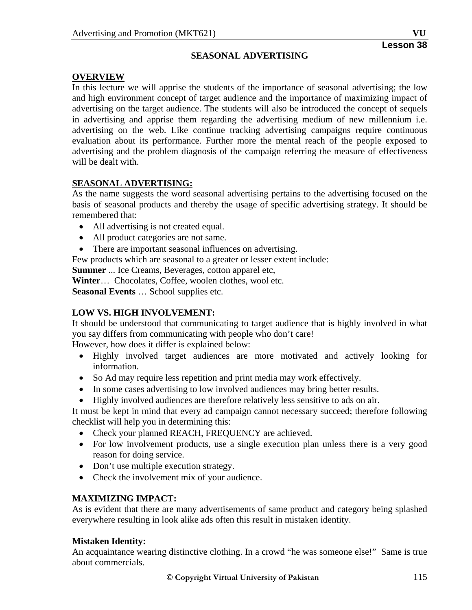# **SEASONAL ADVERTISING**

# **OVERVIEW**

In this lecture we will apprise the students of the importance of seasonal advertising; the low and high environment concept of target audience and the importance of maximizing impact of advertising on the target audience. The students will also be introduced the concept of sequels in advertising and apprise them regarding the advertising medium of new millennium i.e. advertising on the web. Like continue tracking advertising campaigns require continuous evaluation about its performance. Further more the mental reach of the people exposed to advertising and the problem diagnosis of the campaign referring the measure of effectiveness will be dealt with.

# **SEASONAL ADVERTISING:**

As the name suggests the word seasonal advertising pertains to the advertising focused on the basis of seasonal products and thereby the usage of specific advertising strategy. It should be remembered that:

- All advertising is not created equal.
- All product categories are not same.
- There are important seasonal influences on advertising.

Few products which are seasonal to a greater or lesser extent include:

**Summer** ... Ice Creams, Beverages, cotton apparel etc,

Winter... Chocolates, Coffee, woolen clothes, wool etc.

**Seasonal Events** … School supplies etc.

# **LOW VS. HIGH INVOLVEMENT:**

It should be understood that communicating to target audience that is highly involved in what you say differs from communicating with people who don't care!

However, how does it differ is explained below:

- Highly involved target audiences are more motivated and actively looking for information.
- So Ad may require less repetition and print media may work effectively.
- In some cases advertising to low involved audiences may bring better results.
- Highly involved audiences are therefore relatively less sensitive to ads on air.

It must be kept in mind that every ad campaign cannot necessary succeed; therefore following checklist will help you in determining this:

- Check your planned REACH, FREQUENCY are achieved.
- For low involvement products, use a single execution plan unless there is a very good reason for doing service.
- Don't use multiple execution strategy.
- Check the involvement mix of your audience.

# **MAXIMIZING IMPACT:**

As is evident that there are many advertisements of same product and category being splashed everywhere resulting in look alike ads often this result in mistaken identity.

# **Mistaken Identity:**

An acquaintance wearing distinctive clothing. In a crowd "he was someone else!" Same is true about commercials.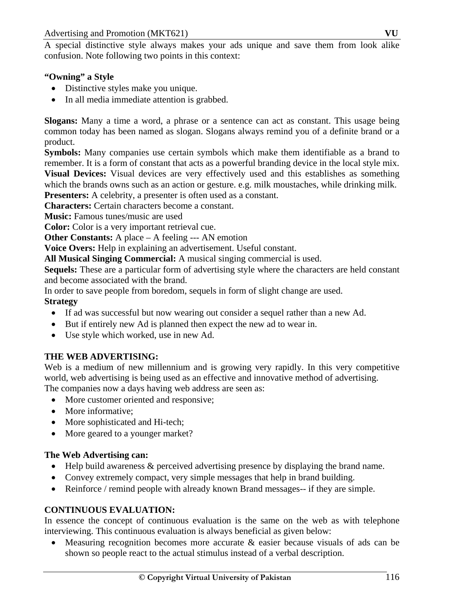A special distinctive style always makes your ads unique and save them from look alike confusion. Note following two points in this context:

# **"Owning" a Style**

- Distinctive styles make you unique.
- In all media immediate attention is grabbed.

**Slogans:** Many a time a word, a phrase or a sentence can act as constant. This usage being common today has been named as slogan. Slogans always remind you of a definite brand or a product.

**Symbols:** Many companies use certain symbols which make them identifiable as a brand to remember. It is a form of constant that acts as a powerful branding device in the local style mix. **Visual Devices:** Visual devices are very effectively used and this establishes as something which the brands owns such as an action or gesture. e.g. milk moustaches, while drinking milk. **Presenters:** A celebrity, a presenter is often used as a constant.

**Characters:** Certain characters become a constant.

**Music:** Famous tunes/music are used

**Color:** Color is a very important retrieval cue.

**Other Constants:** A place – A feeling --- AN emotion

**Voice Overs:** Help in explaining an advertisement. Useful constant.

**All Musical Singing Commercial:** A musical singing commercial is used.

**Sequels:** These are a particular form of advertising style where the characters are held constant and become associated with the brand.

In order to save people from boredom, sequels in form of slight change are used. **Strategy** 

- If ad was successful but now wearing out consider a sequel rather than a new Ad.
- But if entirely new Ad is planned then expect the new ad to wear in.
- Use style which worked, use in new Ad.

# **THE WEB ADVERTISING:**

Web is a medium of new millennium and is growing very rapidly. In this very competitive world, web advertising is being used as an effective and innovative method of advertising. The companies now a days having web address are seen as:

- More customer oriented and responsive;
- More informative;
- More sophisticated and Hi-tech;
- More geared to a younger market?

# **The Web Advertising can:**

- Help build awareness & perceived advertising presence by displaying the brand name.
- Convey extremely compact, very simple messages that help in brand building.
- Reinforce / remind people with already known Brand messages-- if they are simple.

# **CONTINUOUS EVALUATION:**

In essence the concept of continuous evaluation is the same on the web as with telephone interviewing. This continuous evaluation is always beneficial as given below:

• Measuring recognition becomes more accurate & easier because visuals of ads can be shown so people react to the actual stimulus instead of a verbal description.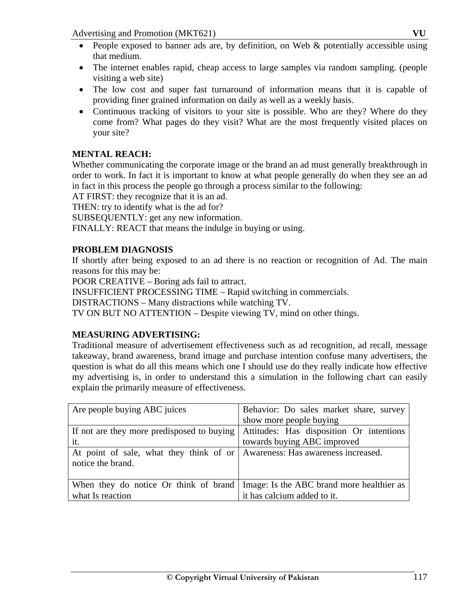- People exposed to banner ads are, by definition, on Web & potentially accessible using that medium.
- The internet enables rapid, cheap access to large samples via random sampling. (people visiting a web site)
- The low cost and super fast turnaround of information means that it is capable of providing finer grained information on daily as well as a weekly basis.
- Continuous tracking of visitors to your site is possible. Who are they? Where do they come from? What pages do they visit? What are the most frequently visited places on your site?

# **MENTAL REACH:**

Whether communicating the corporate image or the brand an ad must generally breakthrough in order to work. In fact it is important to know at what people generally do when they see an ad in fact in this process the people go through a process similar to the following:

AT FIRST: they recognize that it is an ad.

THEN: try to identify what is the ad for?

SUBSEQUENTLY: get any new information.

FINALLY: REACT that means the indulge in buying or using.

# **PROBLEM DIAGNOSIS**

If shortly after being exposed to an ad there is no reaction or recognition of Ad. The main reasons for this may be:

POOR CREATIVE – Boring ads fail to attract.

INSUFFICIENT PROCESSING TIME – Rapid switching in commercials.

DISTRACTIONS – Many distractions while watching TV.

TV ON BUT NO ATTENTION – Despite viewing TV, mind on other things.

# **MEASURING ADVERTISING:**

Traditional measure of advertisement effectiveness such as ad recognition, ad recall, message takeaway, brand awareness, brand image and purchase intention confuse many advertisers, the question is what do all this means which one I should use do they really indicate how effective my advertising is, in order to understand this a simulation in the following chart can easily explain the primarily measure of effectiveness.

| Are people buying ABC juices                                                                       | Behavior: Do sales market share, survey   |  |
|----------------------------------------------------------------------------------------------------|-------------------------------------------|--|
|                                                                                                    | show more people buying                   |  |
| If not are they more predisposed to buying                                                         | Attitudes: Has disposition Or intentions  |  |
| it.                                                                                                | towards buying ABC improved               |  |
| At point of sale, what they think of or   Awareness: Has awareness increased.<br>notice the brand. |                                           |  |
| When they do notice Or think of brand                                                              | Image: Is the ABC brand more healthier as |  |
| what Is reaction                                                                                   | it has calcium added to it.               |  |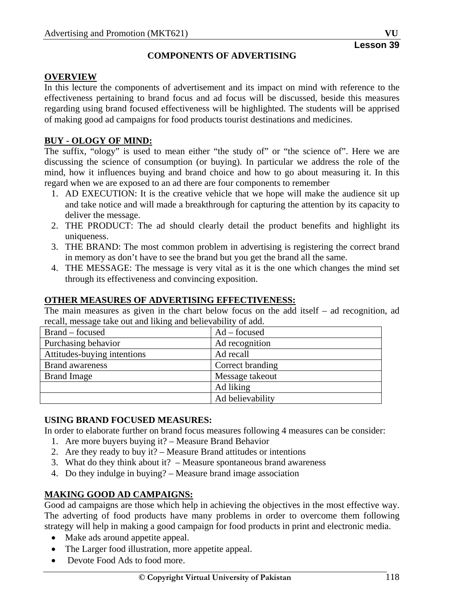### **COMPONENTS OF ADVERTISING**

### **OVERVIEW**

In this lecture the components of advertisement and its impact on mind with reference to the effectiveness pertaining to brand focus and ad focus will be discussed, beside this measures regarding using brand focused effectiveness will be highlighted. The students will be apprised of making good ad campaigns for food products tourist destinations and medicines.

# **BUY - OLOGY OF MIND:**

The suffix, "ology" is used to mean either "the study of" or "the science of". Here we are discussing the science of consumption (or buying). In particular we address the role of the mind, how it influences buying and brand choice and how to go about measuring it. In this regard when we are exposed to an ad there are four components to remember

- 1. AD EXECUTION: It is the creative vehicle that we hope will make the audience sit up and take notice and will made a breakthrough for capturing the attention by its capacity to deliver the message.
- 2. THE PRODUCT: The ad should clearly detail the product benefits and highlight its uniqueness.
- 3. THE BRAND: The most common problem in advertising is registering the correct brand in memory as don't have to see the brand but you get the brand all the same.
- 4. THE MESSAGE: The message is very vital as it is the one which changes the mind set through its effectiveness and convincing exposition.

### **OTHER MEASURES OF ADVERTISING EFFECTIVENESS:**

The main measures as given in the chart below focus on the add itself – ad recognition, ad recall, message take out and liking and believability of add.

| Brand – focused             | $Ad - focused$   |  |  |
|-----------------------------|------------------|--|--|
| Purchasing behavior         | Ad recognition   |  |  |
| Attitudes-buying intentions | Ad recall        |  |  |
| <b>Brand awareness</b>      | Correct branding |  |  |
| <b>Brand Image</b>          | Message takeout  |  |  |
|                             | Ad liking        |  |  |
|                             | Ad believability |  |  |

# **USING BRAND FOCUSED MEASURES:**

In order to elaborate further on brand focus measures following 4 measures can be consider:

- 1. Are more buyers buying it? Measure Brand Behavior
- 2. Are they ready to buy it? Measure Brand attitudes or intentions
- 3. What do they think about it? Measure spontaneous brand awareness
- 4. Do they indulge in buying? Measure brand image association

# **MAKING GOOD AD CAMPAIGNS:**

Good ad campaigns are those which help in achieving the objectives in the most effective way. The adverting of food products have many problems in order to overcome them following strategy will help in making a good campaign for food products in print and electronic media.

- Make ads around appetite appeal.
- The Larger food illustration, more appetite appeal.
- Devote Food Ads to food more.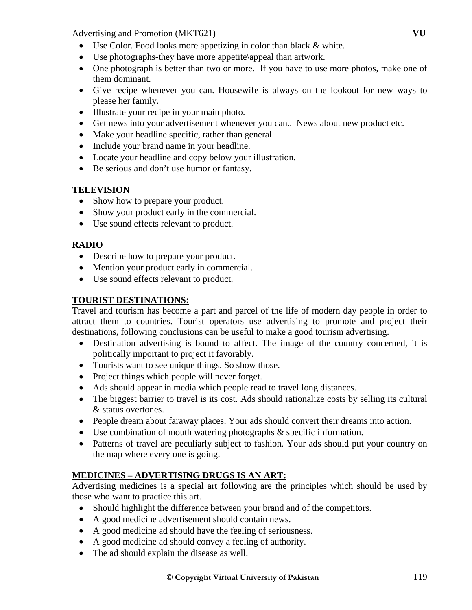Advertising and Promotion (MKT621) **VU** 

- Use Color. Food looks more appetizing in color than black & white.
- Use photographs-they have more appetite\appeal than artwork.
- One photograph is better than two or more. If you have to use more photos, make one of them dominant.
- Give recipe whenever you can. Housewife is always on the lookout for new ways to please her family.
- Illustrate your recipe in your main photo.
- Get news into your advertisement whenever you can.. News about new product etc.
- Make your headline specific, rather than general.
- Include your brand name in your headline.
- Locate your headline and copy below your illustration.
- Be serious and don't use humor or fantasy.

# **TELEVISION**

- Show how to prepare your product.
- Show your product early in the commercial.
- Use sound effects relevant to product.

# **RADIO**

- Describe how to prepare your product.
- Mention your product early in commercial.
- Use sound effects relevant to product.

# **TOURIST DESTINATIONS:**

Travel and tourism has become a part and parcel of the life of modern day people in order to attract them to countries. Tourist operators use advertising to promote and project their destinations, following conclusions can be useful to make a good tourism advertising.

- Destination advertising is bound to affect. The image of the country concerned, it is politically important to project it favorably.
- Tourists want to see unique things. So show those.
- Project things which people will never forget.
- Ads should appear in media which people read to travel long distances.
- The biggest barrier to travel is its cost. Ads should rationalize costs by selling its cultural & status overtones.
- People dream about faraway places. Your ads should convert their dreams into action.
- Use combination of mouth watering photographs & specific information.
- Patterns of travel are peculiarly subject to fashion. Your ads should put your country on the map where every one is going.

# **MEDICINES – ADVERTISING DRUGS IS AN ART:**

Advertising medicines is a special art following are the principles which should be used by those who want to practice this art.

- Should highlight the difference between your brand and of the competitors.
- A good medicine advertisement should contain news.
- A good medicine ad should have the feeling of seriousness.
- A good medicine ad should convey a feeling of authority.
- The ad should explain the disease as well.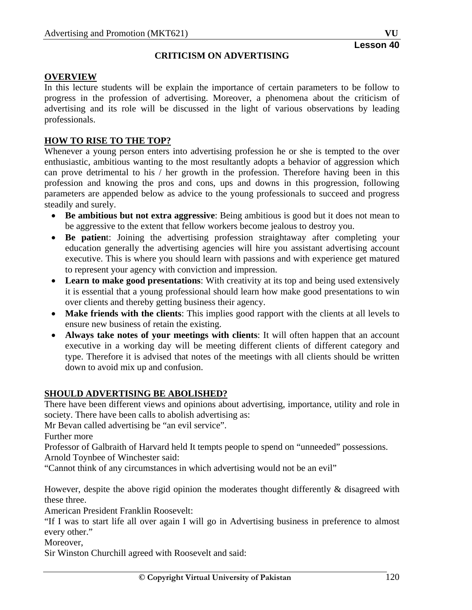### **CRITICISM ON ADVERTISING**

### **OVERVIEW**

In this lecture students will be explain the importance of certain parameters to be follow to progress in the profession of advertising. Moreover, a phenomena about the criticism of advertising and its role will be discussed in the light of various observations by leading professionals.

### **HOW TO RISE TO THE TOP?**

Whenever a young person enters into advertising profession he or she is tempted to the over enthusiastic, ambitious wanting to the most resultantly adopts a behavior of aggression which can prove detrimental to his / her growth in the profession. Therefore having been in this profession and knowing the pros and cons, ups and downs in this progression, following parameters are appended below as advice to the young professionals to succeed and progress steadily and surely.

- **Be ambitious but not extra aggressive**: Being ambitious is good but it does not mean to be aggressive to the extent that fellow workers become jealous to destroy you.
- **Be patien**t: Joining the advertising profession straightaway after completing your education generally the advertising agencies will hire you assistant advertising account executive. This is where you should learn with passions and with experience get matured to represent your agency with conviction and impression.
- **Learn to make good presentations**: With creativity at its top and being used extensively it is essential that a young professional should learn how make good presentations to win over clients and thereby getting business their agency.
- **Make friends with the clients**: This implies good rapport with the clients at all levels to ensure new business of retain the existing.
- **Always take notes of your meetings with clients**: It will often happen that an account executive in a working day will be meeting different clients of different category and type. Therefore it is advised that notes of the meetings with all clients should be written down to avoid mix up and confusion.

### **SHOULD ADVERTISING BE ABOLISHED?**

There have been different views and opinions about advertising, importance, utility and role in society. There have been calls to abolish advertising as:

Mr Bevan called advertising be "an evil service".

Further more

Professor of Galbraith of Harvard held It tempts people to spend on "unneeded" possessions. Arnold Toynbee of Winchester said:

"Cannot think of any circumstances in which advertising would not be an evil"

However, despite the above rigid opinion the moderates thought differently  $\&$  disagreed with these three.

American President Franklin Roosevelt:

"If I was to start life all over again I will go in Advertising business in preference to almost every other."

Moreover,

Sir Winston Churchill agreed with Roosevelt and said: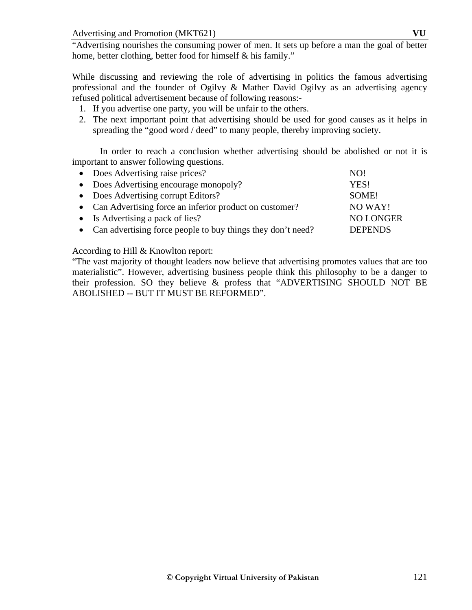"Advertising nourishes the consuming power of men. It sets up before a man the goal of better home, better clothing, better food for himself & his family."

While discussing and reviewing the role of advertising in politics the famous advertising professional and the founder of Ogilvy & Mather David Ogilvy as an advertising agency refused political advertisement because of following reasons:-

- 1. If you advertise one party, you will be unfair to the others.
- 2. The next important point that advertising should be used for good causes as it helps in spreading the "good word / deed" to many people, thereby improving society.

 In order to reach a conclusion whether advertising should be abolished or not it is important to answer following questions.

| • Does Advertising raise prices?                              | NO!            |
|---------------------------------------------------------------|----------------|
| • Does Advertising encourage monopoly?                        | YES!           |
| • Does Advertising corrupt Editors?                           | SOME!          |
| • Can Advertising force an inferior product on customer?      | NO WAY!        |
| • Is Advertising a pack of lies?                              | NO LONGER      |
| • Can advertising force people to buy things they don't need? | <b>DEPENDS</b> |

According to Hill & Knowlton report:

"The vast majority of thought leaders now believe that advertising promotes values that are too materialistic". However, advertising business people think this philosophy to be a danger to their profession. SO they believe & profess that "ADVERTISING SHOULD NOT BE ABOLISHED -- BUT IT MUST BE REFORMED".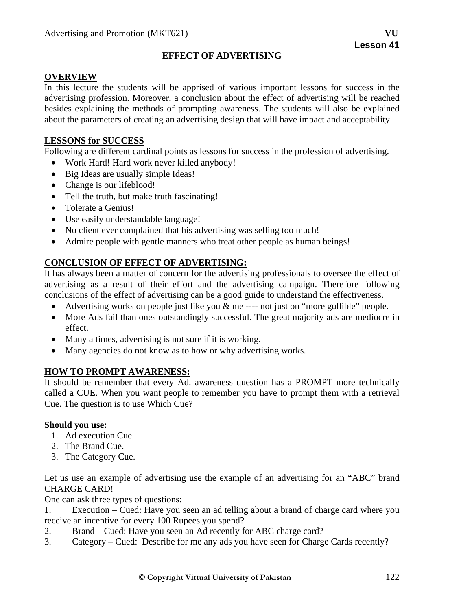# **EFFECT OF ADVERTISING**

### **OVERVIEW**

In this lecture the students will be apprised of various important lessons for success in the advertising profession. Moreover, a conclusion about the effect of advertising will be reached besides explaining the methods of prompting awareness. The students will also be explained about the parameters of creating an advertising design that will have impact and acceptability.

### **LESSONS for SUCCESS**

Following are different cardinal points as lessons for success in the profession of advertising.

- Work Hard! Hard work never killed anybody!
- Big Ideas are usually simple Ideas!
- Change is our lifeblood!
- Tell the truth, but make truth fascinating!
- Tolerate a Genius!
- Use easily understandable language!
- No client ever complained that his advertising was selling too much!
- Admire people with gentle manners who treat other people as human beings!

# **CONCLUSION OF EFFECT OF ADVERTISING:**

It has always been a matter of concern for the advertising professionals to oversee the effect of advertising as a result of their effort and the advertising campaign. Therefore following conclusions of the effect of advertising can be a good guide to understand the effectiveness.

- Advertising works on people just like you & me ---- not just on "more gullible" people.
- More Ads fail than ones outstandingly successful. The great majority ads are mediocre in effect.
- Many a times, advertising is not sure if it is working.
- Many agencies do not know as to how or why advertising works.

# **HOW TO PROMPT AWARENESS:**

It should be remember that every Ad. awareness question has a PROMPT more technically called a CUE. When you want people to remember you have to prompt them with a retrieval Cue. The question is to use Which Cue?

### **Should you use:**

- 1. Ad execution Cue.
- 2. The Brand Cue.
- 3. The Category Cue.

Let us use an example of advertising use the example of an advertising for an "ABC" brand CHARGE CARD!

One can ask three types of questions:

1. Execution – Cued: Have you seen an ad telling about a brand of charge card where you receive an incentive for every 100 Rupees you spend?

- 2. Brand Cued: Have you seen an Ad recently for ABC charge card?
- 3. Category Cued: Describe for me any ads you have seen for Charge Cards recently?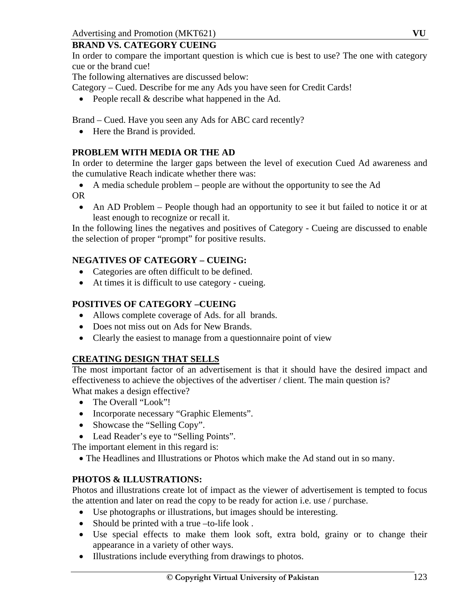# **BRAND VS. CATEGORY CUEING**

In order to compare the important question is which cue is best to use? The one with category cue or the brand cue!

The following alternatives are discussed below:

- Category Cued. Describe for me any Ads you have seen for Credit Cards!
- People recall & describe what happened in the Ad.

Brand – Cued. Have you seen any Ads for ABC card recently?

• Here the Brand is provided.

# **PROBLEM WITH MEDIA OR THE AD**

In order to determine the larger gaps between the level of execution Cued Ad awareness and the cumulative Reach indicate whether there was:

- A media schedule problem people are without the opportunity to see the Ad OR
	- An AD Problem People though had an opportunity to see it but failed to notice it or at least enough to recognize or recall it.

In the following lines the negatives and positives of Category - Cueing are discussed to enable the selection of proper "prompt" for positive results.

# **NEGATIVES OF CATEGORY – CUEING:**

- Categories are often difficult to be defined.
- At times it is difficult to use category cueing.

# **POSITIVES OF CATEGORY –CUEING**

- Allows complete coverage of Ads. for all brands.
- Does not miss out on Ads for New Brands.
- Clearly the easiest to manage from a questionnaire point of view

# **CREATING DESIGN THAT SELLS**

The most important factor of an advertisement is that it should have the desired impact and effectiveness to achieve the objectives of the advertiser / client. The main question is? What makes a design effective?

- The Overall "Look"!
- Incorporate necessary "Graphic Elements".
- Showcase the "Selling Copy".
- Lead Reader's eye to "Selling Points".

The important element in this regard is:

• The Headlines and Illustrations or Photos which make the Ad stand out in so many.

# **PHOTOS & ILLUSTRATIONS:**

Photos and illustrations create lot of impact as the viewer of advertisement is tempted to focus the attention and later on read the copy to be ready for action i.e. use / purchase.

- Use photographs or illustrations, but images should be interesting.
- Should be printed with a true –to-life look.
- Use special effects to make them look soft, extra bold, grainy or to change their appearance in a variety of other ways.
- Illustrations include everything from drawings to photos.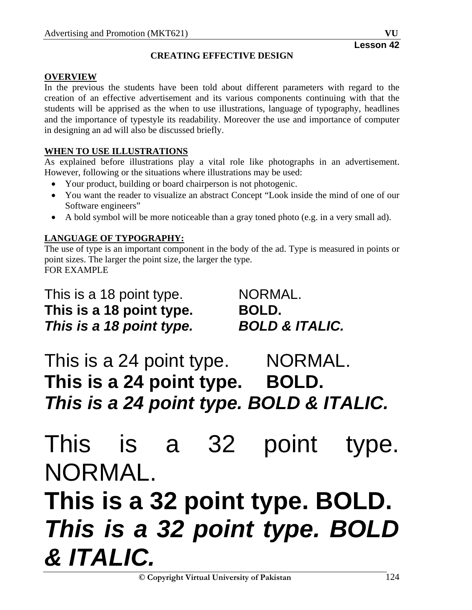# **CREATING EFFECTIVE DESIGN**

### **OVERVIEW**

In the previous the students have been told about different parameters with regard to the creation of an effective advertisement and its various components continuing with that the students will be apprised as the when to use illustrations, language of typography, headlines and the importance of typestyle its readability. Moreover the use and importance of computer in designing an ad will also be discussed briefly.

### **WHEN TO USE ILLUSTRATIONS**

As explained before illustrations play a vital role like photographs in an advertisement. However, following or the situations where illustrations may be used:

- Your product, building or board chairperson is not photogenic.
- You want the reader to visualize an abstract Concept "Look inside the mind of one of our Software engineers"
- A bold symbol will be more noticeable than a gray toned photo (e.g. in a very small ad).

### **LANGUAGE OF TYPOGRAPHY:**

The use of type is an important component in the body of the ad. Type is measured in points or point sizes. The larger the point size, the larger the type. FOR EXAMPLE

This is a 18 point type. NORMAL. **This is a 18 point type. BOLD.**  *This is a 18 point type. BOLD & ITALIC.* 

This is a 24 point type. NORMAL. **This is a 24 point type. BOLD.**  *This is a 24 point type. BOLD & ITALIC.* 

# This is a 32 point type. NORMAL.

# **This is a 32 point type. BOLD.**  *This is a 32 point type. BOLD & ITALIC.*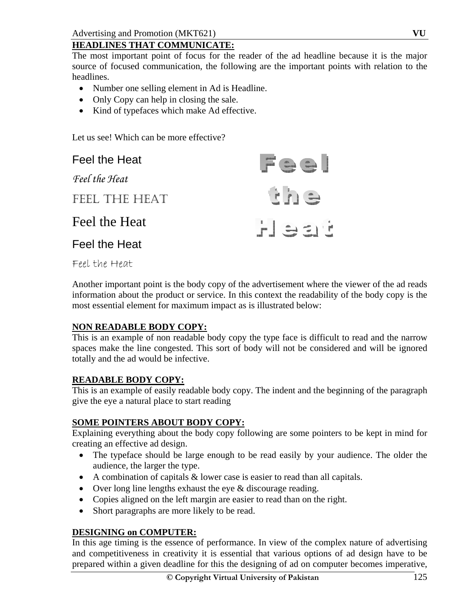# **HEADLINES THAT COMMUNICATE:**

The most important point of focus for the reader of the ad headline because it is the major source of focused communication, the following are the important points with relation to the headlines.

- Number one selling element in Ad is Headline.
- Only Copy can help in closing the sale.
- Kind of typefaces which make Ad effective.

Let us see! Which can be more effective?

| Feel the Heat |      |  |  |
|---------------|------|--|--|
| Feel the Heat |      |  |  |
| FEEL THE HEAT |      |  |  |
| Feel the Heat | Heri |  |  |
| Feel the Heat |      |  |  |
| Feel the Heat |      |  |  |

Another important point is the body copy of the advertisement where the viewer of the ad reads information about the product or service. In this context the readability of the body copy is the most essential element for maximum impact as is illustrated below:

# **NON READABLE BODY COPY:**

This is an example of non readable body copy the type face is difficult to read and the narrow spaces make the line congested. This sort of body will not be considered and will be ignored totally and the ad would be infective.

# **READABLE BODY COPY:**

This is an example of easily readable body copy. The indent and the beginning of the paragraph give the eye a natural place to start reading

# **SOME POINTERS ABOUT BODY COPY:**

Explaining everything about the body copy following are some pointers to be kept in mind for creating an effective ad design.

- The typeface should be large enough to be read easily by your audience. The older the audience, the larger the type.
- A combination of capitals & lower case is easier to read than all capitals.
- Over long line lengths exhaust the eye & discourage reading.
- Copies aligned on the left margin are easier to read than on the right.
- Short paragraphs are more likely to be read.

# **DESIGNING on COMPUTER:**

In this age timing is the essence of performance. In view of the complex nature of advertising and competitiveness in creativity it is essential that various options of ad design have to be prepared within a given deadline for this the designing of ad on computer becomes imperative,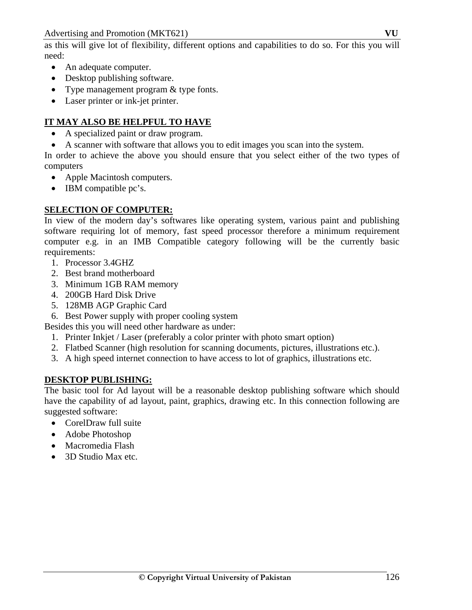as this will give lot of flexibility, different options and capabilities to do so. For this you will need:

- An adequate computer.
- Desktop publishing software.
- Type management program & type fonts.
- Laser printer or ink-jet printer.

# **IT MAY ALSO BE HELPFUL TO HAVE**

- A specialized paint or draw program.
- A scanner with software that allows you to edit images you scan into the system.

In order to achieve the above you should ensure that you select either of the two types of computers

- Apple Macintosh computers.
- IBM compatible pc's.

# **SELECTION OF COMPUTER:**

In view of the modern day's softwares like operating system, various paint and publishing software requiring lot of memory, fast speed processor therefore a minimum requirement computer e.g. in an IMB Compatible category following will be the currently basic requirements:

- 1. Processor 3.4GHZ
- 2. Best brand motherboard
- 3. Minimum 1GB RAM memory
- 4. 200GB Hard Disk Drive
- 5. 128MB AGP Graphic Card
- 6. Best Power supply with proper cooling system

Besides this you will need other hardware as under:

- 1. Printer Inkjet / Laser (preferably a color printer with photo smart option)
- 2. Flatbed Scanner (high resolution for scanning documents, pictures, illustrations etc.).
- 3. A high speed internet connection to have access to lot of graphics, illustrations etc.

# **DESKTOP PUBLISHING:**

The basic tool for Ad layout will be a reasonable desktop publishing software which should have the capability of ad layout, paint, graphics, drawing etc. In this connection following are suggested software:

- CorelDraw full suite
- Adobe Photoshop
- Macromedia Flash
- 3D Studio Max etc.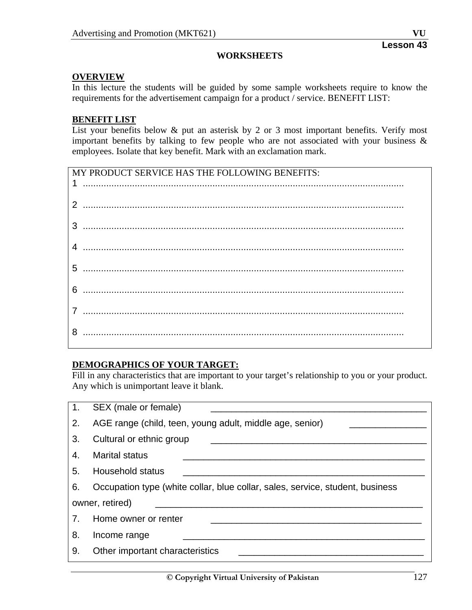### **WORKSHEETS**

# **OVERVIEW**

In this lecture the students will be guided by some sample worksheets require to know the requirements for the advertisement campaign for a product / service. BENEFIT LIST:

# **BENEFIT LIST**

List your benefits below & put an asterisk by 2 or 3 most important benefits. Verify most important benefits by talking to few people who are not associated with your business & employees. Isolate that key benefit. Mark with an exclamation mark.

| MY PRODUCT SERVICE HAS THE FOLLOWING BENEFITS: |
|------------------------------------------------|
|                                                |
|                                                |
|                                                |
|                                                |
|                                                |
|                                                |
|                                                |
|                                                |
|                                                |
|                                                |
|                                                |
|                                                |
|                                                |
|                                                |
|                                                |
|                                                |
|                                                |

# **DEMOGRAPHICS OF YOUR TARGET:**

Fill in any characteristics that are important to your target's relationship to you or your product. Any which is unimportant leave it blank.

| 1.              | SEX (male or female)                                                          |  |  |
|-----------------|-------------------------------------------------------------------------------|--|--|
| 2.              | AGE range (child, teen, young adult, middle age, senior)                      |  |  |
| 3.              | Cultural or ethnic group                                                      |  |  |
| 4.              | Marital status                                                                |  |  |
| 5.              | Household status                                                              |  |  |
| 6.              | Occupation type (white collar, blue collar, sales, service, student, business |  |  |
| owner, retired) |                                                                               |  |  |
| $7_{\cdot}$     | Home owner or renter                                                          |  |  |
| 8.              | Income range                                                                  |  |  |
| 9.              | Other important characteristics                                               |  |  |
|                 |                                                                               |  |  |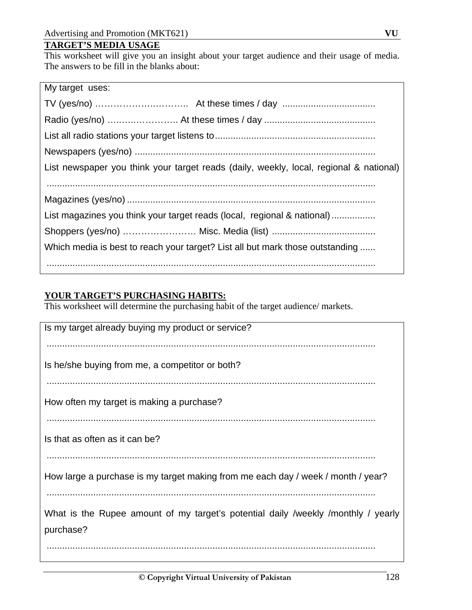# **TARGET'S MEDIA USAGE**

This worksheet will give you an insight about your target audience and their usage of media. The answers to be fill in the blanks about:

# **YOUR TARGET'S PURCHASING HABITS:**

This worksheet will determine the purchasing habit of the target audience/ markets.

| Is my target already buying my product or service?                                             |
|------------------------------------------------------------------------------------------------|
| Is he/she buying from me, a competitor or both?                                                |
| How often my target is making a purchase?                                                      |
| Is that as often as it can be?                                                                 |
| How large a purchase is my target making from me each day / week / month / year?               |
| What is the Rupee amount of my target's potential daily /weekly /monthly / yearly<br>purchase? |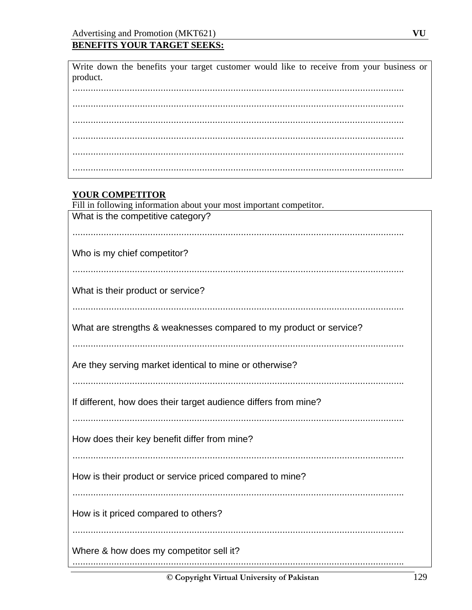# **BENEFITS YOUR TARGET SEEKS:**

| Write down the benefits your target customer would like to receive from your business or |
|------------------------------------------------------------------------------------------|
| product.                                                                                 |
|                                                                                          |
|                                                                                          |
|                                                                                          |
|                                                                                          |
|                                                                                          |
|                                                                                          |
|                                                                                          |
| <b>YOUR COMPETITOR</b>                                                                   |
| Fill in following information about your most important competitor.                      |
| What is the competitive category?                                                        |
|                                                                                          |
| Who is my chief competitor?                                                              |
|                                                                                          |
|                                                                                          |
| What is their product or service?                                                        |
|                                                                                          |
|                                                                                          |
| What are strengths & weaknesses compared to my product or service?                       |
|                                                                                          |
|                                                                                          |
| Are they serving market identical to mine or otherwise?                                  |
|                                                                                          |
|                                                                                          |
| If different, how does their target audience differs from mine?                          |
|                                                                                          |
|                                                                                          |
| How does their key benefit differ from mine?                                             |
|                                                                                          |
|                                                                                          |
| How is their product or service priced compared to mine?                                 |
|                                                                                          |
|                                                                                          |
| How is it priced compared to others?                                                     |
|                                                                                          |
| Where & how does my competitor sell it?                                                  |
|                                                                                          |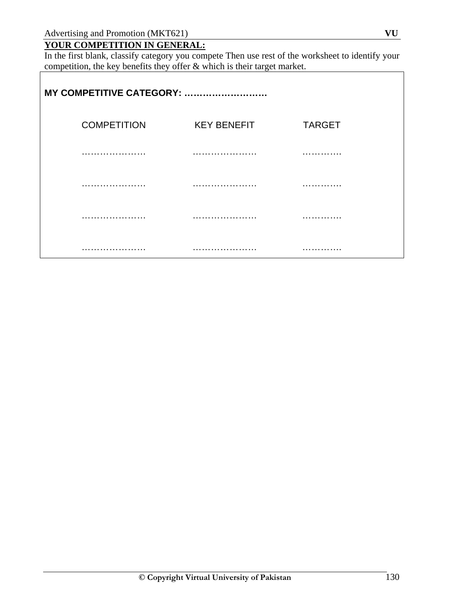# **YOUR COMPETITION IN GENERAL:**

In the first blank, classify category you compete Then use rest of the worksheet to identify your competition, the key benefits they offer & which is their target market.  $\overline{\mathsf{L}}$ 

| MY COMPETITIVE CATEGORY: |                    |               |  |
|--------------------------|--------------------|---------------|--|
| <b>COMPETITION</b>       | <b>KEY BENEFIT</b> | <b>TARGET</b> |  |
|                          |                    | .             |  |
|                          |                    | .             |  |
|                          |                    | .             |  |
|                          |                    | .             |  |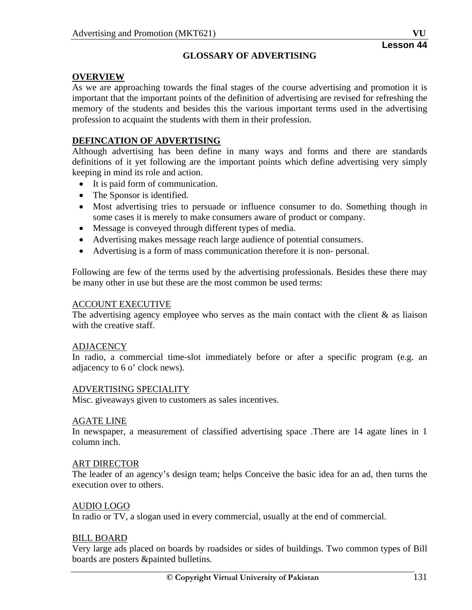# **OVERVIEW**

As we are approaching towards the final stages of the course advertising and promotion it is important that the important points of the definition of advertising are revised for refreshing the memory of the students and besides this the various important terms used in the advertising profession to acquaint the students with them in their profession.

# **DEFINCATION OF ADVERTISING**

Although advertising has been define in many ways and forms and there are standards definitions of it yet following are the important points which define advertising very simply keeping in mind its role and action.

- It is paid form of communication.
- The Sponsor is identified.
- Most advertising tries to persuade or influence consumer to do. Something though in some cases it is merely to make consumers aware of product or company.
- Message is conveyed through different types of media.
- Advertising makes message reach large audience of potential consumers.
- Advertising is a form of mass communication therefore it is non- personal.

Following are few of the terms used by the advertising professionals. Besides these there may be many other in use but these are the most common be used terms:

# ACCOUNT EXECUTIVE

The advertising agency employee who serves as the main contact with the client  $\&$  as liaison with the creative staff.

# ADJACENCY

In radio, a commercial time-slot immediately before or after a specific program (e.g. an adjacency to 6 o' clock news).

# ADVERTISING SPECIALITY

Misc. giveaways given to customers as sales incentives.

# AGATE LINE

In newspaper, a measurement of classified advertising space .There are 14 agate lines in 1 column inch.

# ART DIRECTOR

The leader of an agency's design team; helps Conceive the basic idea for an ad, then turns the execution over to others.

# AUDIO LOGO

In radio or TV, a slogan used in every commercial, usually at the end of commercial.

# BILL BOARD

Very large ads placed on boards by roadsides or sides of buildings. Two common types of Bill boards are posters &painted bulletins.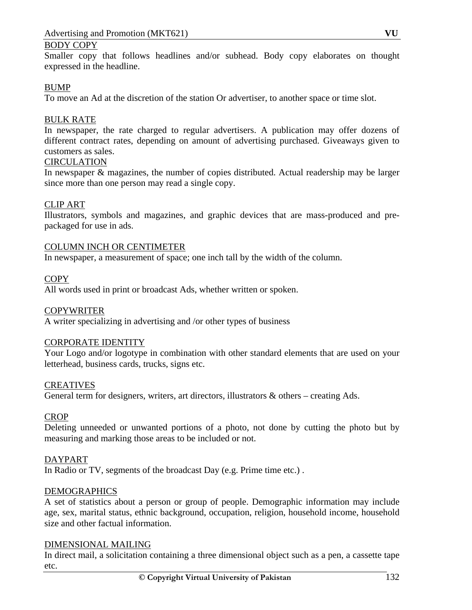# BODY COPY

Smaller copy that follows headlines and/or subhead. Body copy elaborates on thought expressed in the headline.

# BUMP

To move an Ad at the discretion of the station Or advertiser, to another space or time slot.

# BULK RATE

In newspaper, the rate charged to regular advertisers. A publication may offer dozens of different contract rates, depending on amount of advertising purchased. Giveaways given to customers as sales.

### CIRCULATION

In newspaper & magazines, the number of copies distributed. Actual readership may be larger since more than one person may read a single copy.

# CLIP ART

Illustrators, symbols and magazines, and graphic devices that are mass-produced and prepackaged for use in ads.

### COLUMN INCH OR CENTIMETER

In newspaper, a measurement of space; one inch tall by the width of the column.

### **COPY**

All words used in print or broadcast Ads, whether written or spoken.

### **COPYWRITER**

A writer specializing in advertising and /or other types of business

# CORPORATE IDENTITY

Your Logo and/or logotype in combination with other standard elements that are used on your letterhead, business cards, trucks, signs etc.

# CREATIVES

General term for designers, writers, art directors, illustrators & others – creating Ads.

# **CROP**

Deleting unneeded or unwanted portions of a photo, not done by cutting the photo but by measuring and marking those areas to be included or not.

# DAYPART

In Radio or TV, segments of the broadcast Day (e.g. Prime time etc.) .

### **DEMOGRAPHICS**

A set of statistics about a person or group of people. Demographic information may include age, sex, marital status, ethnic background, occupation, religion, household income, household size and other factual information.

### DIMENSIONAL MAILING

In direct mail, a solicitation containing a three dimensional object such as a pen, a cassette tape etc.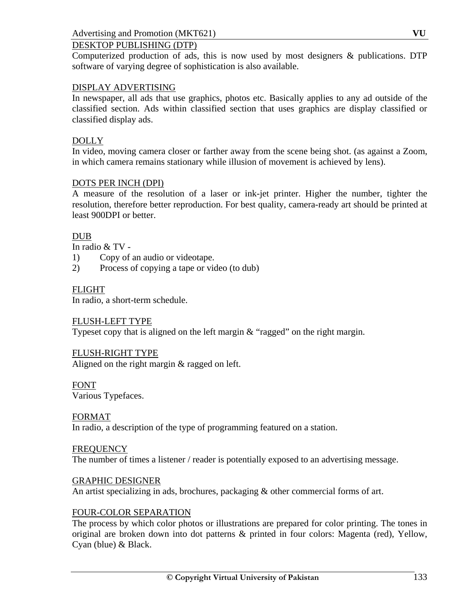# DESKTOP PUBLISHING (DTP)

Computerized production of ads, this is now used by most designers & publications. DTP software of varying degree of sophistication is also available.

# DISPLAY ADVERTISING

In newspaper, all ads that use graphics, photos etc. Basically applies to any ad outside of the classified section. Ads within classified section that uses graphics are display classified or classified display ads.

# DOLLY

In video, moving camera closer or farther away from the scene being shot. (as against a Zoom, in which camera remains stationary while illusion of movement is achieved by lens).

# DOTS PER INCH (DPI)

A measure of the resolution of a laser or ink-jet printer. Higher the number, tighter the resolution, therefore better reproduction. For best quality, camera-ready art should be printed at least 900DPI or better.

# DUB

In radio & TV -

- 1) Copy of an audio or videotape.
- 2) Process of copying a tape or video (to dub)

# FLIGHT

In radio, a short-term schedule.

# FLUSH-LEFT TYPE

Typeset copy that is aligned on the left margin & "ragged" on the right margin.

# FLUSH-RIGHT TYPE

Aligned on the right margin & ragged on left.

FONT

Various Typefaces.

# FORMAT

In radio, a description of the type of programming featured on a station.

# **FREQUENCY**

The number of times a listener / reader is potentially exposed to an advertising message.

# GRAPHIC DESIGNER

An artist specializing in ads, brochures, packaging & other commercial forms of art.

# FOUR-COLOR SEPARATION

The process by which color photos or illustrations are prepared for color printing. The tones in original are broken down into dot patterns & printed in four colors: Magenta (red), Yellow, Cyan (blue) & Black.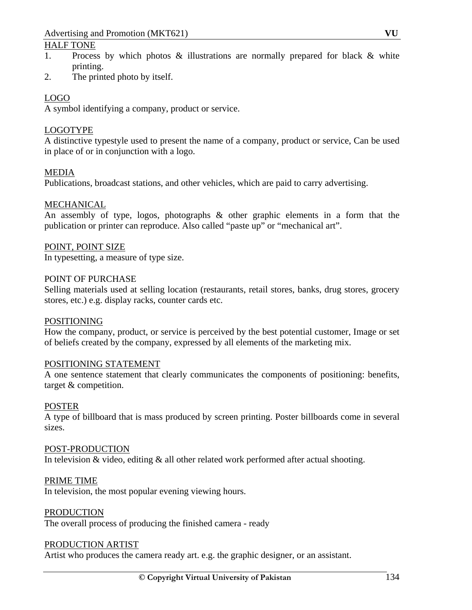# HALF TONE

- 1. Process by which photos & illustrations are normally prepared for black & white printing.
- 2. The printed photo by itself.

# LOGO

A symbol identifying a company, product or service.

# LOGOTYPE

A distinctive typestyle used to present the name of a company, product or service, Can be used in place of or in conjunction with a logo.

### MEDIA

Publications, broadcast stations, and other vehicles, which are paid to carry advertising.

### MECHANICAL

An assembly of type, logos, photographs & other graphic elements in a form that the publication or printer can reproduce. Also called "paste up" or "mechanical art".

### POINT, POINT SIZE

In typesetting, a measure of type size.

### POINT OF PURCHASE

Selling materials used at selling location (restaurants, retail stores, banks, drug stores, grocery stores, etc.) e.g. display racks, counter cards etc.

### POSITIONING

How the company, product, or service is perceived by the best potential customer, Image or set of beliefs created by the company, expressed by all elements of the marketing mix.

### POSITIONING STATEMENT

A one sentence statement that clearly communicates the components of positioning: benefits, target & competition.

### POSTER

A type of billboard that is mass produced by screen printing. Poster billboards come in several sizes.

### POST-PRODUCTION

In television & video, editing & all other related work performed after actual shooting.

### PRIME TIME

In television, the most popular evening viewing hours.

### PRODUCTION

The overall process of producing the finished camera - ready

#### PRODUCTION ARTIST

Artist who produces the camera ready art. e.g. the graphic designer, or an assistant.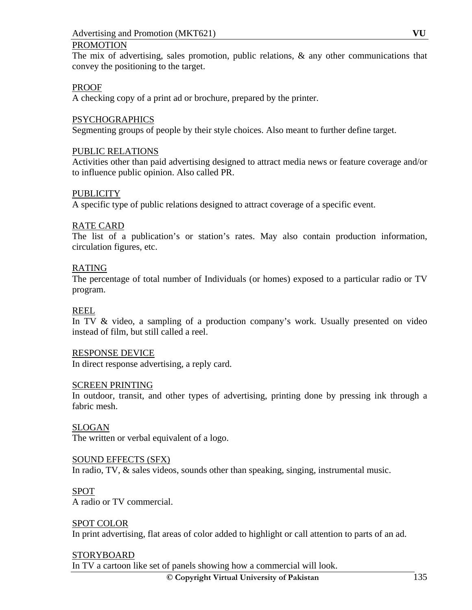# Advertising and Promotion (MKT621) **VU**

# PROMOTION

The mix of advertising, sales promotion, public relations, & any other communications that convey the positioning to the target.

# PROOF

A checking copy of a print ad or brochure, prepared by the printer.

# PSYCHOGRAPHICS

Segmenting groups of people by their style choices. Also meant to further define target.

# PUBLIC RELATIONS

Activities other than paid advertising designed to attract media news or feature coverage and/or to influence public opinion. Also called PR.

### PUBLICITY

A specific type of public relations designed to attract coverage of a specific event.

### RATE CARD

The list of a publication's or station's rates. May also contain production information, circulation figures, etc.

# RATING

The percentage of total number of Individuals (or homes) exposed to a particular radio or TV program.

### REEL

In TV & video, a sampling of a production company's work. Usually presented on video instead of film, but still called a reel.

### RESPONSE DEVICE

In direct response advertising, a reply card.

### SCREEN PRINTING

In outdoor, transit, and other types of advertising, printing done by pressing ink through a fabric mesh.

# SLOGAN

The written or verbal equivalent of a logo.

# SOUND EFFECTS (SFX)

In radio, TV, & sales videos, sounds other than speaking, singing, instrumental music.

# SPOT

A radio or TV commercial.

# SPOT COLOR

In print advertising, flat areas of color added to highlight or call attention to parts of an ad.

# STORYBOARD

In TV a cartoon like set of panels showing how a commercial will look.

**© Copyright Virtual University of Pakistan** 135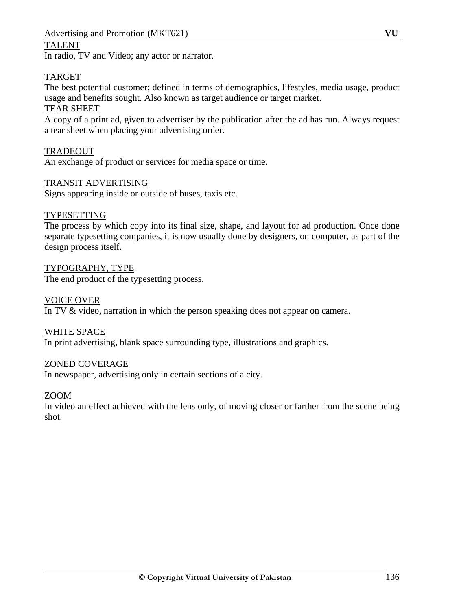# TALENT

In radio, TV and Video; any actor or narrator.

# TARGET

The best potential customer; defined in terms of demographics, lifestyles, media usage, product usage and benefits sought. Also known as target audience or target market.

# TEAR SHEET

A copy of a print ad, given to advertiser by the publication after the ad has run. Always request a tear sheet when placing your advertising order.

# TRADEOUT

An exchange of product or services for media space or time.

# TRANSIT ADVERTISING

Signs appearing inside or outside of buses, taxis etc.

# TYPESETTING

The process by which copy into its final size, shape, and layout for ad production. Once done separate typesetting companies, it is now usually done by designers, on computer, as part of the design process itself.

TYPOGRAPHY, TYPE The end product of the typesetting process.

# VOICE OVER

In TV & video, narration in which the person speaking does not appear on camera.

# WHITE SPACE

In print advertising, blank space surrounding type, illustrations and graphics.

# ZONED COVERAGE

In newspaper, advertising only in certain sections of a city.

# ZOOM

In video an effect achieved with the lens only, of moving closer or farther from the scene being shot.